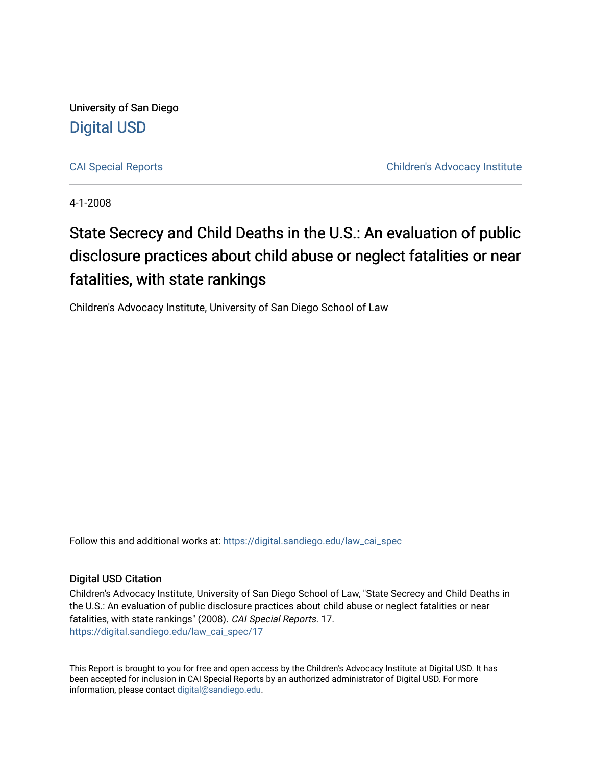University of San Diego [Digital USD](https://digital.sandiego.edu/)

[CAI Special Reports](https://digital.sandiego.edu/law_cai_spec) [Children's Advocacy Institute](https://digital.sandiego.edu/law_cai) 

4-1-2008

## State Secrecy and Child Deaths in the U.S.: An evaluation of public disclosure practices about child abuse or neglect fatalities or near fatalities, with state rankings

Children's Advocacy Institute, University of San Diego School of Law

Follow this and additional works at: [https://digital.sandiego.edu/law\\_cai\\_spec](https://digital.sandiego.edu/law_cai_spec?utm_source=digital.sandiego.edu%2Flaw_cai_spec%2F17&utm_medium=PDF&utm_campaign=PDFCoverPages) 

### Digital USD Citation

Children's Advocacy Institute, University of San Diego School of Law, "State Secrecy and Child Deaths in the U.S.: An evaluation of public disclosure practices about child abuse or neglect fatalities or near fatalities, with state rankings" (2008). CAI Special Reports. 17. [https://digital.sandiego.edu/law\\_cai\\_spec/17](https://digital.sandiego.edu/law_cai_spec/17?utm_source=digital.sandiego.edu%2Flaw_cai_spec%2F17&utm_medium=PDF&utm_campaign=PDFCoverPages)

This Report is brought to you for free and open access by the Children's Advocacy Institute at Digital USD. It has been accepted for inclusion in CAI Special Reports by an authorized administrator of Digital USD. For more information, please contact [digital@sandiego.edu.](mailto:digital@sandiego.edu)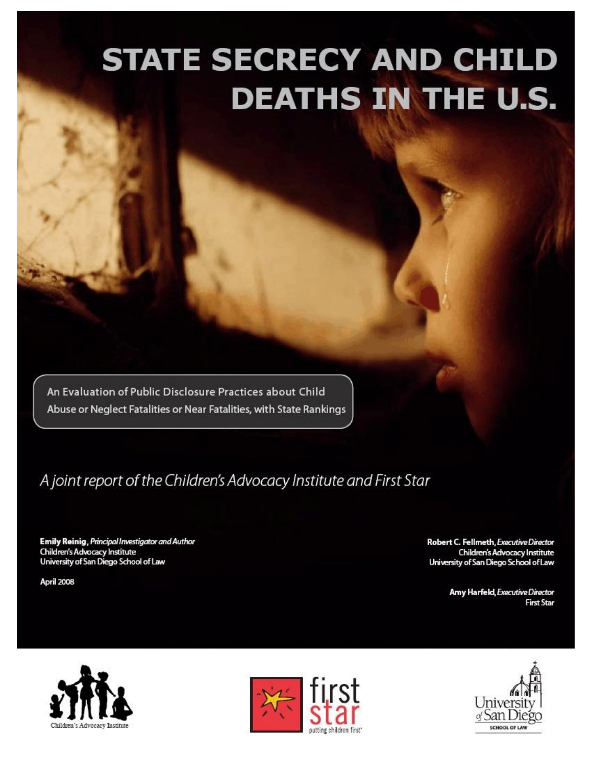# **STATE SECRECY AND CHILD DEATHS IN THE U.S.**

An Evaluation of Public Disclosure Practices about Child Abuse or Neglect Fatalities or Near Fatalities, with State Rankings

## A joint report of the Children's Advocacy Institute and First Star

Emily Reinig, Principal Investigator and Author Children's Advocacy Institute<br>University of San Diego School of Law

April 2008

Robert C. Fellmeth, Executive Director Children's Advocacy Institute University of San Diego School of Law

> Amy Harfeld, Executive Director **First Star**





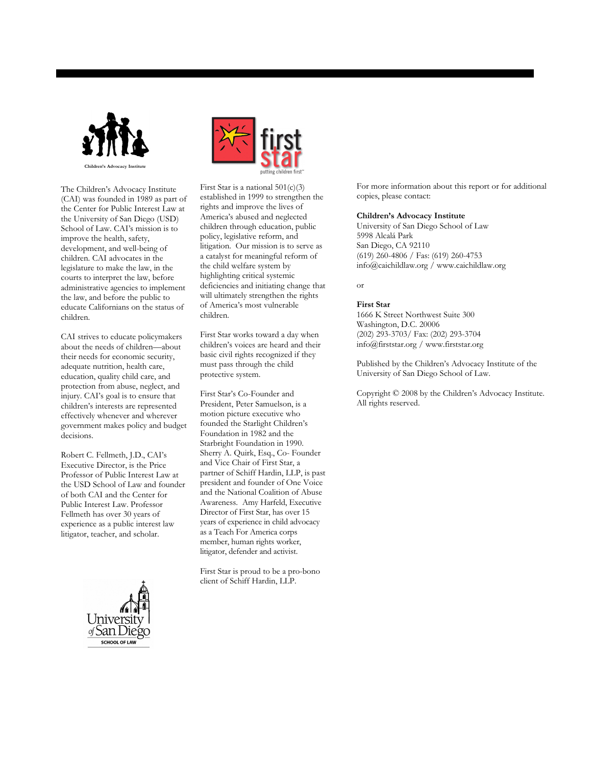

The Children's Advocacy Institute (CAI) was founded in 1989 as part of the Center for Public Interest Law at the University of San Diego (USD) School of Law. CAI's mission is to improve the health, safety, development, and well-being of children. CAI advocates in the legislature to make the law, in the courts to interpret the law, before administrative agencies to implement the law, and before the public to educate Californians on the status of children.

CAI strives to educate policymakers about the needs of children—about their needs for economic security, adequate nutrition, health care, education, quality child care, and protection from abuse, neglect, and injury. CAI's goal is to ensure that children's interests are represented effectively whenever and wherever government makes policy and budget decisions.

Robert C. Fellmeth, J.D., CAI's Executive Director, is the Price Professor of Public Interest Law at the USD School of Law and founder of both CAI and the Center for Public Interest Law. Professor Fellmeth has over 30 years of experience as a public interest law litigator, teacher, and scholar.





First Star is a national 501(c)(3) established in 1999 to strengthen the rights and improve the lives of America's abused and neglected children through education, public policy, legislative reform, and litigation. Our mission is to serve as a catalyst for meaningful reform of the child welfare system by highlighting critical systemic deficiencies and initiating change that will ultimately strengthen the rights of America's most vulnerable children.

First Star works toward a day when children's voices are heard and their basic civil rights recognized if they must pass through the child protective system.

First Star's Co-Founder and President, Peter Samuelson, is a motion picture executive who founded the Starlight Children's Foundation in 1982 and the Starbright Foundation in 1990. Sherry A. Quirk, Esq., Co- Founder and Vice Chair of First Star, a partner of Schiff Hardin, LLP, is past president and founder of One Voice and the National Coalition of Abuse Awareness. Amy Harfeld, Executive Director of First Star, has over 15 years of experience in child advocacy as a Teach For America corps member, human rights worker, litigator, defender and activist.

First Star is proud to be a pro-bono client of Schiff Hardin, LLP.

For more information about this report or for additional copies, please contact:

### **Children's Advocacy Institute**

University of San Diego School of Law 5998 Alcalá Park San Diego, CA 92110 (619) 260-4806 / Fas: (619) 260-4753 info@caichildlaw.org / www.caichildlaw.org

or

### **First Star**

1666 K Street Northwest Suite 300 Washington, D.C. 20006 (202) 293-3703/ Fax: (202) 293-3704 info@firststar.org / www.firststar.org

Published by the Children's Advocacy Institute of the University of San Diego School of Law.

Copyright © 2008 by the Children's Advocacy Institute. All rights reserved.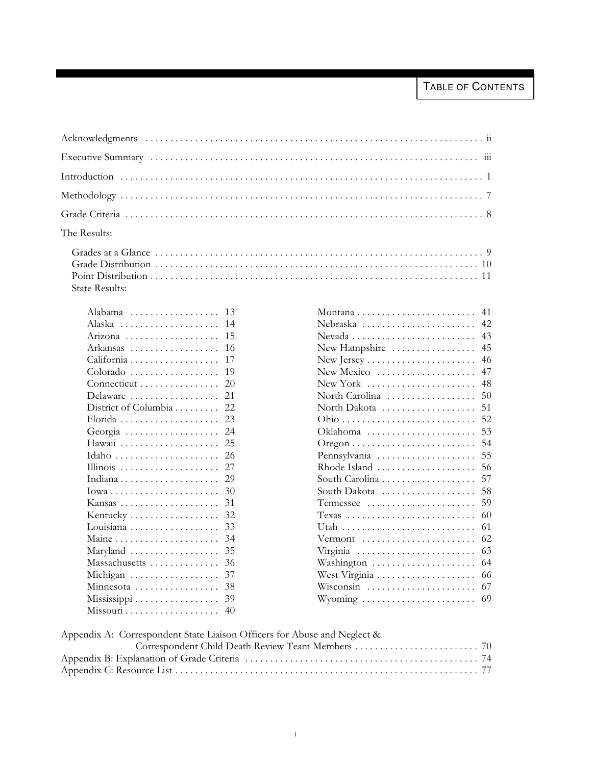| The Results:          |
|-----------------------|
| <b>State Results:</b> |

| Alabama                                                 | 13  |
|---------------------------------------------------------|-----|
| Alaska                                                  | 14  |
| Arizona                                                 | 15  |
| Arkansas                                                | 16  |
| California                                              | 17  |
| Colorado                                                | 19  |
| Connecticut                                             | 20  |
| Delaware                                                | 21  |
| District of Columbia                                    | 22  |
| Florida                                                 | 23  |
| Georgia                                                 | 2.4 |
|                                                         | 25  |
| Idaho                                                   | 26  |
|                                                         | 27  |
|                                                         | 29  |
| $Iowa \ldots \ldots \ldots \ldots \ldots \ldots \ldots$ | 30  |
| Kansas                                                  | 31  |
| Kentucky                                                | 32  |
| Louisiana                                               | 33  |
|                                                         | 34  |
| Maryland                                                | 35  |
| Massachusetts                                           | 36  |
| Michigan                                                | 37  |
| Minnesota                                               | 38  |
| Mississippi                                             | 39  |
|                                                         | 40  |

|                                                            | 41 |
|------------------------------------------------------------|----|
| Nebraska                                                   | 42 |
|                                                            | 43 |
|                                                            |    |
| New Hampshire $\dots\dots\dots\dots\dots\dots$             | 45 |
| New Jersey $\dots\dots\dots\dots\dots\dots\dots\dots\dots$ | 46 |
| New Mexico                                                 | 47 |
| New York                                                   | 48 |
| North Carolina                                             | 50 |
| North Dakota                                               | 51 |
|                                                            | 52 |
| Oklahoma                                                   | 53 |
|                                                            | 54 |
| Pennsylvania                                               | 55 |
| Rhode Island                                               | 56 |
| South Carolina                                             | 57 |
| South Dakota                                               | 58 |
| Tennessee                                                  | 59 |
| $T$ exas                                                   | 60 |
|                                                            | 61 |
| Vermont                                                    | 62 |
| Virginia                                                   | 63 |
| Washington                                                 | 64 |
|                                                            | 66 |
| Wisconsin                                                  | 67 |
|                                                            | 69 |
| Wyoming                                                    |    |

| Appendix A: Correspondent State Liaison Officers for Abuse and Neglect & |  |
|--------------------------------------------------------------------------|--|
|                                                                          |  |
|                                                                          |  |
|                                                                          |  |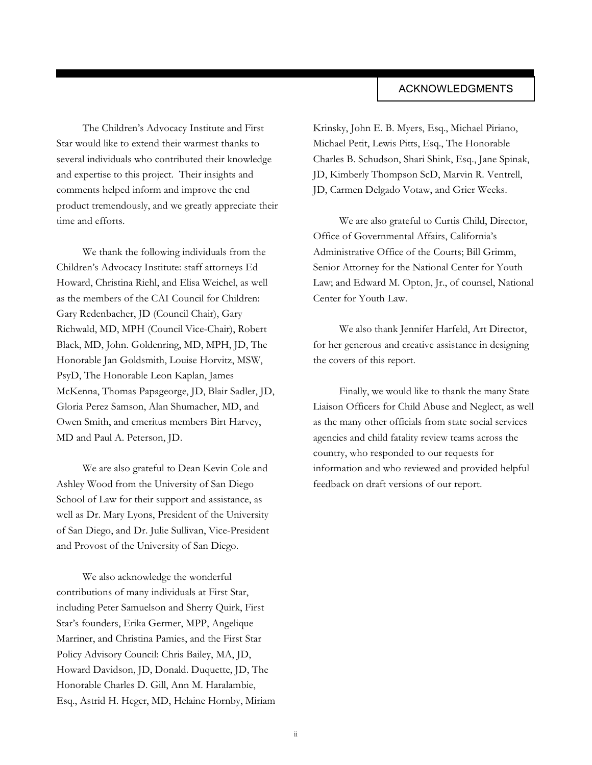### ACKNOWLEDGMENTS

The Children's Advocacy Institute and First Star would like to extend their warmest thanks to several individuals who contributed their knowledge and expertise to this project. Their insights and comments helped inform and improve the end product tremendously, and we greatly appreciate their time and efforts.

We thank the following individuals from the Children's Advocacy Institute: staff attorneys Ed Howard, Christina Riehl, and Elisa Weichel, as well as the members of the CAI Council for Children: Gary Redenbacher, JD (Council Chair), Gary Richwald, MD, MPH (Council Vice-Chair), Robert Black, MD, John. Goldenring, MD, MPH, JD, The Honorable Jan Goldsmith, Louise Horvitz, MSW, PsyD, The Honorable Leon Kaplan, James McKenna, Thomas Papageorge, JD, Blair Sadler, JD, Gloria Perez Samson, Alan Shumacher, MD, and Owen Smith, and emeritus members Birt Harvey, MD and Paul A. Peterson, JD.

We are also grateful to Dean Kevin Cole and Ashley Wood from the University of San Diego School of Law for their support and assistance, as well as Dr. Mary Lyons, President of the University of San Diego, and Dr. Julie Sullivan, Vice-President and Provost of the University of San Diego.

We also acknowledge the wonderful contributions of many individuals at First Star, including Peter Samuelson and Sherry Quirk, First Star's founders, Erika Germer, MPP, Angelique Marriner, and Christina Pamies, and the First Star Policy Advisory Council: Chris Bailey, MA, JD, Howard Davidson, JD, Donald. Duquette, JD, The Honorable Charles D. Gill, Ann M. Haralambie, Esq., Astrid H. Heger, MD, Helaine Hornby, Miriam

Krinsky, John E. B. Myers, Esq., Michael Piriano, Michael Petit, Lewis Pitts, Esq., The Honorable Charles B. Schudson, Shari Shink, Esq., Jane Spinak, JD, Kimberly Thompson ScD, Marvin R. Ventrell, JD, Carmen Delgado Votaw, and Grier Weeks.

We are also grateful to Curtis Child, Director, Office of Governmental Affairs, California's Administrative Office of the Courts; Bill Grimm, Senior Attorney for the National Center for Youth Law; and Edward M. Opton, Jr., of counsel, National Center for Youth Law.

We also thank Jennifer Harfeld, Art Director, for her generous and creative assistance in designing the covers of this report.

Finally, we would like to thank the many State Liaison Officers for Child Abuse and Neglect, as well as the many other officials from state social services agencies and child fatality review teams across the country, who responded to our requests for information and who reviewed and provided helpful feedback on draft versions of our report.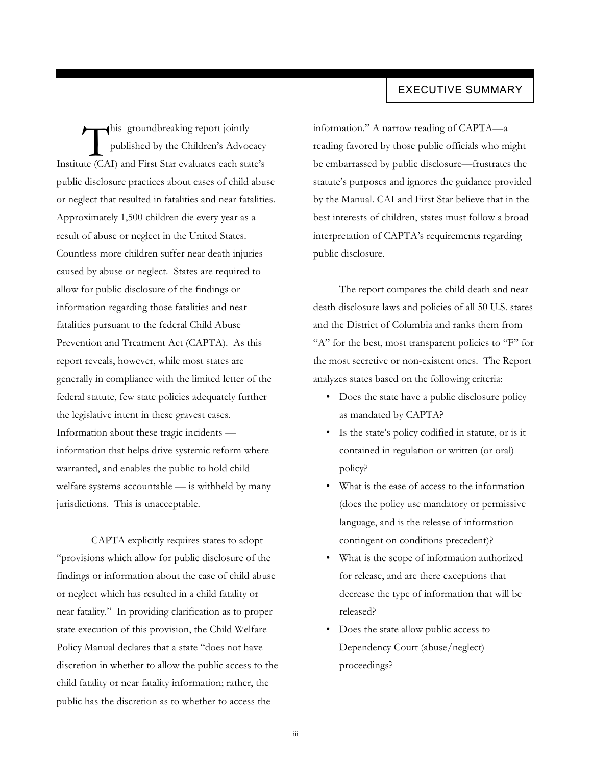### EXECUTIVE SUMMARY

This groundbreaking report jointly<br>published by the Children's Advocacy<br>Institute (CAI) and First Star evaluates each state's his groundbreaking report jointly published by the Children's Advocacy public disclosure practices about cases of child abuse or neglect that resulted in fatalities and near fatalities. Approximately 1,500 children die every year as a result of abuse or neglect in the United States. Countless more children suffer near death injuries caused by abuse or neglect. States are required to allow for public disclosure of the findings or information regarding those fatalities and near fatalities pursuant to the federal Child Abuse Prevention and Treatment Act (CAPTA). As this report reveals, however, while most states are generally in compliance with the limited letter of the federal statute, few state policies adequately further the legislative intent in these gravest cases. Information about these tragic incidents information that helps drive systemic reform where warranted, and enables the public to hold child welfare systems accountable — is withheld by many jurisdictions. This is unacceptable.

CAPTA explicitly requires states to adopt "provisions which allow for public disclosure of the findings or information about the case of child abuse or neglect which has resulted in a child fatality or near fatality." In providing clarification as to proper state execution of this provision, the Child Welfare Policy Manual declares that a state "does not have discretion in whether to allow the public access to the child fatality or near fatality information; rather, the public has the discretion as to whether to access the

information." A narrow reading of CAPTA—a reading favored by those public officials who might be embarrassed by public disclosure—frustrates the statute's purposes and ignores the guidance provided by the Manual. CAI and First Star believe that in the best interests of children, states must follow a broad interpretation of CAPTA's requirements regarding public disclosure.

The report compares the child death and near death disclosure laws and policies of all 50 U.S. states and the District of Columbia and ranks them from "A" for the best, most transparent policies to "F" for the most secretive or non-existent ones. The Report analyzes states based on the following criteria:

- Does the state have a public disclosure policy as mandated by CAPTA?
- Is the state's policy codified in statute, or is it contained in regulation or written (or oral) policy?
- What is the ease of access to the information (does the policy use mandatory or permissive language, and is the release of information contingent on conditions precedent)?
- What is the scope of information authorized for release, and are there exceptions that decrease the type of information that will be released?
- Does the state allow public access to Dependency Court (abuse/neglect) proceedings?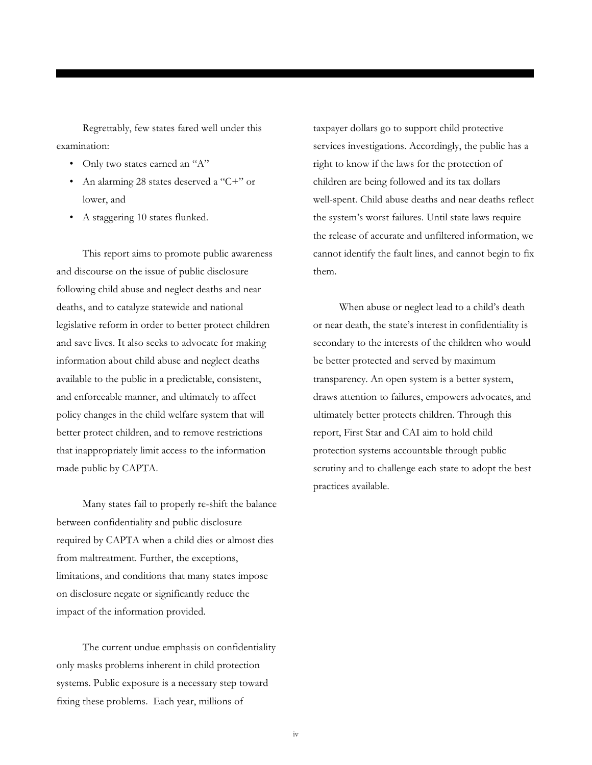Regrettably, few states fared well under this examination:

- Only two states earned an "A"
- An alarming 28 states deserved a "C+" or lower, and
- A staggering 10 states flunked.

This report aims to promote public awareness and discourse on the issue of public disclosure following child abuse and neglect deaths and near deaths, and to catalyze statewide and national legislative reform in order to better protect children and save lives. It also seeks to advocate for making information about child abuse and neglect deaths available to the public in a predictable, consistent, and enforceable manner, and ultimately to affect policy changes in the child welfare system that will better protect children, and to remove restrictions that inappropriately limit access to the information made public by CAPTA.

Many states fail to properly re-shift the balance between confidentiality and public disclosure required by CAPTA when a child dies or almost dies from maltreatment. Further, the exceptions, limitations, and conditions that many states impose on disclosure negate or significantly reduce the impact of the information provided.

The current undue emphasis on confidentiality only masks problems inherent in child protection systems. Public exposure is a necessary step toward fixing these problems. Each year, millions of

taxpayer dollars go to support child protective services investigations. Accordingly, the public has a right to know if the laws for the protection of children are being followed and its tax dollars well-spent. Child abuse deaths and near deaths reflect the system's worst failures. Until state laws require the release of accurate and unfiltered information, we cannot identify the fault lines, and cannot begin to fix them.

When abuse or neglect lead to a child's death or near death, the state's interest in confidentiality is secondary to the interests of the children who would be better protected and served by maximum transparency. An open system is a better system, draws attention to failures, empowers advocates, and ultimately better protects children. Through this report, First Star and CAI aim to hold child protection systems accountable through public scrutiny and to challenge each state to adopt the best practices available.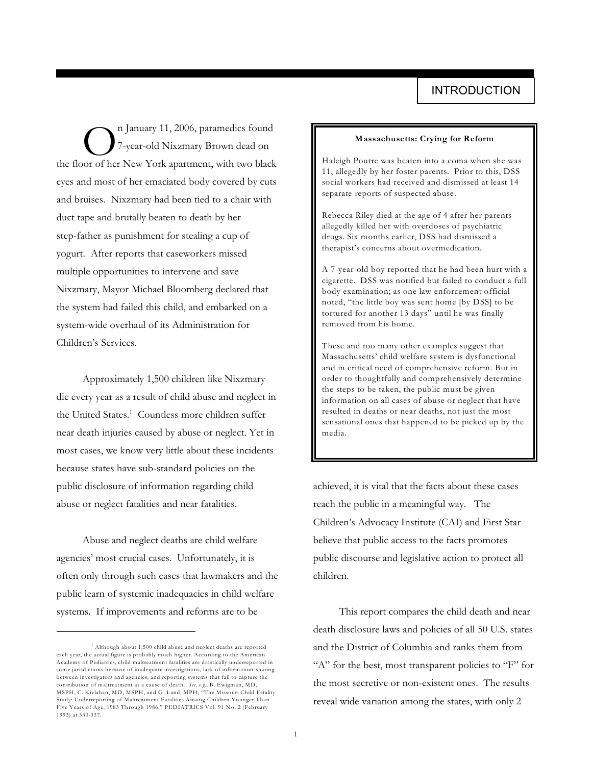On January 11, 2006, paramedics found<br>T-year-old Nixzmary Brown dead on<br>the floor of her New York apartment, with two black n January 11, 2006, paramedics found 7-year-old Nixzmary Brown dead on eyes and most of her emaciated body covered by cuts and bruises. Nixzmary had been tied to a chair with duct tape and brutally beaten to death by her step-father as punishment for stealing a cup of yogurt. After reports that caseworkers missed multiple opportunities to intervene and save Nixzmary, Mayor Michael Bloomberg declared that the system had failed this child, and embarked on a system-wide overhaul of its Administration for Children's Services.

Approximately 1,500 children like Nixzmary die every year as a result of child abuse and neglect in the United States.<sup>1</sup> Countless more children suffer near death injuries caused by abuse or neglect. Yet in most cases, we know very little about these incidents because states have sub-standard policies on the public disclosure of information regarding child abuse or neglect fatalities and near fatalities.

Abuse and neglect deaths are child welfare agencies' most crucial cases. Unfortunately, it is often only through such cases that lawmakers and the public learn of systemic inadequacies in child welfare systems. If improvements and reforms are to be

### **Massachusetts: Crying for Reform**

Haleigh Poutre was beaten into a coma when she was 11, allegedly by her foster parents. Prior to this, DSS social workers had received and dismissed at least 14 separate reports of suspected abuse.

Rebecca Riley died at the age of 4 after her parents allegedly killed her with overdoses of psychiatric drugs. Six months earlier, DSS had dismissed a therapist's concerns about overmedication.

A 7-year-old boy reported that he had been hurt with a cigarette. DSS was notified but failed to conduct a full body examination; as one law enforcement official noted, "the little boy was sent home [by DSS] to be tortured for another 13 days" until he was finally removed from his home.

These and too many other examples suggest that Massachusetts' child welfare system is dysfunctional and in critical need of comprehensive reform. But in order to thoughtfully and comprehensively determine the steps to be taken, the public must be given information on all cases of abuse or neglect that have resulted in deaths or near deaths, not just the most sensational ones that happened to be picked up by the media.

achieved, it is vital that the facts about these cases reach the public in a meaningful way. The Children's Advocacy Institute (CAI) and First Star believe that public access to the facts promotes public discourse and legislative action to protect all children.

This report compares the child death and near death disclosure laws and policies of all 50 U.S. states and the District of Columbia and ranks them from "A" for the best, most transparent policies to "F" for the most secretive or non-existent ones. The results reveal wide variation among the states, with only 2

 $1$  Although about 1,500 child abuse and neglect deaths are reported each year, the actual figure is probably much higher. According to the American Academy of Pediatrics, child maltreatment fatalities are drastically underreported in some jurisdictions because of inadequate investigations, lack of information-sharing between investigators and agencies, and reporting systems that fail to capture the contribution of maltreatment as a cause of death. *See, e.g*., B. Ewigman, MD,<br>MSPH, C. Kivlahan, MD, MSPH, and G. Land, MPH, "The Missouri Child Fatality Study: Underreporting of Maltreatment Fatalities Among Children Younger Than Five Years of Age, 1983 Through 1986," PEDIATRICS Vol. 91 No. 2 (February 1993) at 330-337.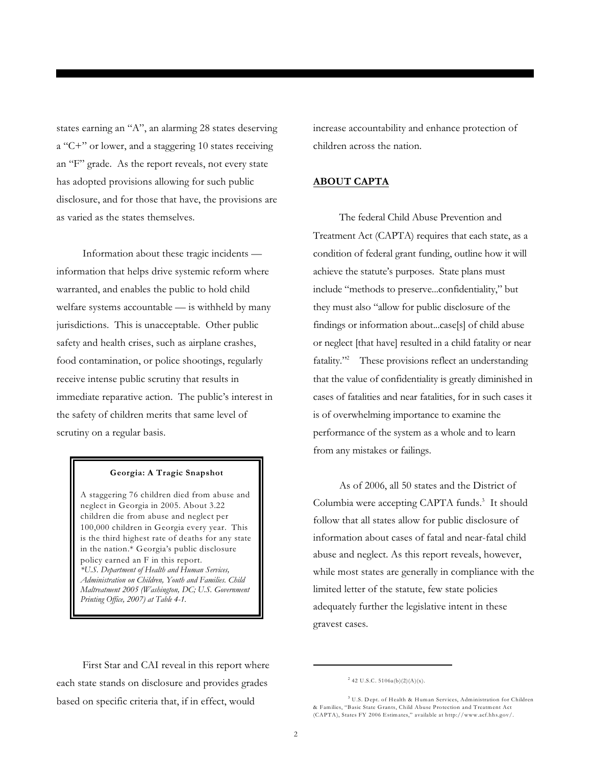states earning an "A", an alarming 28 states deserving a "C+" or lower, and a staggering 10 states receiving an "F" grade. As the report reveals, not every state has adopted provisions allowing for such public disclosure, and for those that have, the provisions are as varied as the states themselves.

Information about these tragic incidents information that helps drive systemic reform where warranted, and enables the public to hold child welfare systems accountable — is withheld by many jurisdictions. This is unacceptable. Other public safety and health crises, such as airplane crashes, food contamination, or police shootings, regularly receive intense public scrutiny that results in immediate reparative action. The public's interest in the safety of children merits that same level of scrutiny on a regular basis.

### **Georgia: A Tragic Snapshot**

A staggering 76 children died from abuse and neglect in Georgia in 2005. About 3.22 children die from abuse and neglect per 100,000 children in Georgia every year. This is the third highest rate of deaths for any state in the nation.\* Georgia's public disclosure policy earned an F in this report. *\*U.S. Department of Health and Human Services, Administration on Children, Youth and Families. Child Maltreatment 2005 (Washington, DC; U.S. Government Printing Office, 2007) at Table 4-1.*

increase accountability and enhance protection of children across the nation.

### **ABOUT CAPTA**

The federal Child Abuse Prevention and Treatment Act (CAPTA) requires that each state, as a condition of federal grant funding, outline how it will achieve the statute's purposes. State plans must include "methods to preserve...confidentiality," but they must also "allow for public disclosure of the findings or information about...case[s] of child abuse or neglect [that have] resulted in a child fatality or near fatality."<sup>2</sup> These provisions reflect an understanding that the value of confidentiality is greatly diminished in cases of fatalities and near fatalities, for in such cases it is of overwhelming importance to examine the performance of the system as a whole and to learn from any mistakes or failings.

As of 2006, all 50 states and the District of Columbia were accepting CAPTA funds.<sup>3</sup> It should follow that all states allow for public disclosure of information about cases of fatal and near-fatal child abuse and neglect. As this report reveals, however, while most states are generally in compliance with the limited letter of the statute, few state policies adequately further the legislative intent in these gravest cases.

First Star and CAI reveal in this report where each state stands on disclosure and provides grades based on specific criteria that, if in effect, would

 $242$  U.S.C.  $5106a(b)(2)(A)(x)$ .

<sup>&</sup>lt;sup>3</sup> U.S. Dept. of Health & Human Services, Administration for Children & Families, "Basic State Grants, Child Abuse Protection and Treatment Act (CAPTA), States FY 2006 Estimates," available at http://www.acf.hhs.gov/.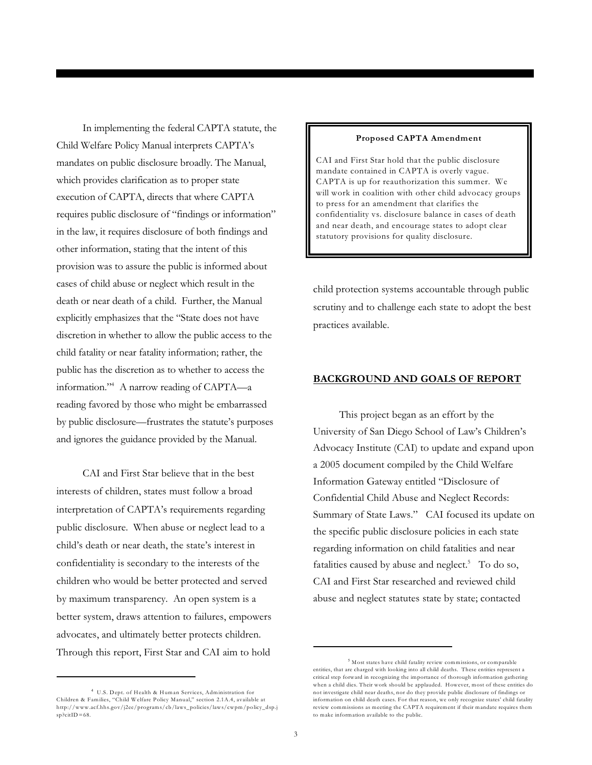In implementing the federal CAPTA statute, the Child Welfare Policy Manual interprets CAPTA's mandates on public disclosure broadly. The Manual, which provides clarification as to proper state execution of CAPTA, directs that where CAPTA requires public disclosure of "findings or information" in the law, it requires disclosure of both findings and other information, stating that the intent of this provision was to assure the public is informed about cases of child abuse or neglect which result in the death or near death of a child. Further, the Manual explicitly emphasizes that the "State does not have discretion in whether to allow the public access to the child fatality or near fatality information; rather, the public has the discretion as to whether to access the information."<sup>4</sup> A narrow reading of CAPTA—a reading favored by those who might be embarrassed by public disclosure—frustrates the statute's purposes and ignores the guidance provided by the Manual.

CAI and First Star believe that in the best interests of children, states must follow a broad interpretation of CAPTA's requirements regarding public disclosure. When abuse or neglect lead to a child's death or near death, the state's interest in confidentiality is secondary to the interests of the children who would be better protected and served by maximum transparency. An open system is a better system, draws attention to failures, empowers advocates, and ultimately better protects children. Through this report, First Star and CAI aim to hold

### U.S. Dept. of Health & Human Services, Administration for 4 Children & Families, "Child Welfare Policy Manual," section 2.1A.4, available at http://www.acf.hhs.gov/j2ee/programs/cb/laws\_policies/laws/cwpm/policy\_dsp.j  $sp?citID=68.$

### **Proposed CAPTA Amendment**

CAI and First Star hold that the public disclosure mandate contained in CAPTA is overly vague. CAPTA is up for reauthorization this summer. We will work in coalition with other child advocacy groups to press for an amendment that clarifies the confidentiality vs. disclosure balance in cases of death and near death, and encourage states to adopt clear statutory provisions for quality disclosure.

child protection systems accountable through public scrutiny and to challenge each state to adopt the best practices available.

### **BACKGROUND AND GOALS OF REPORT**

This project began as an effort by the University of San Diego School of Law's Children's Advocacy Institute (CAI) to update and expand upon a 2005 document compiled by the Child Welfare Information Gateway entitled "Disclosure of Confidential Child Abuse and Neglect Records: Summary of State Laws." CAI focused its update on the specific public disclosure policies in each state regarding information on child fatalities and near fatalities caused by abuse and neglect. $5$  To do so, CAI and First Star researched and reviewed child abuse and neglect statutes state by state; contacted

<sup>&</sup>lt;sup>5</sup> Most states have child fatality review commissions, or comparable entities, that are charged with looking into all child deaths. These entities represent a critical step forward in recognizing the importance of thorough information gathering when a child dies. Their work should be applauded. However, most of these entities do not investigate child near deaths, nor do they provide public disclosure of findings or information on child death cases. For that reason, we only recognize states' child fatality review commissions as meeting the CAPTA requirement if their mandate requires them to make information available to the public.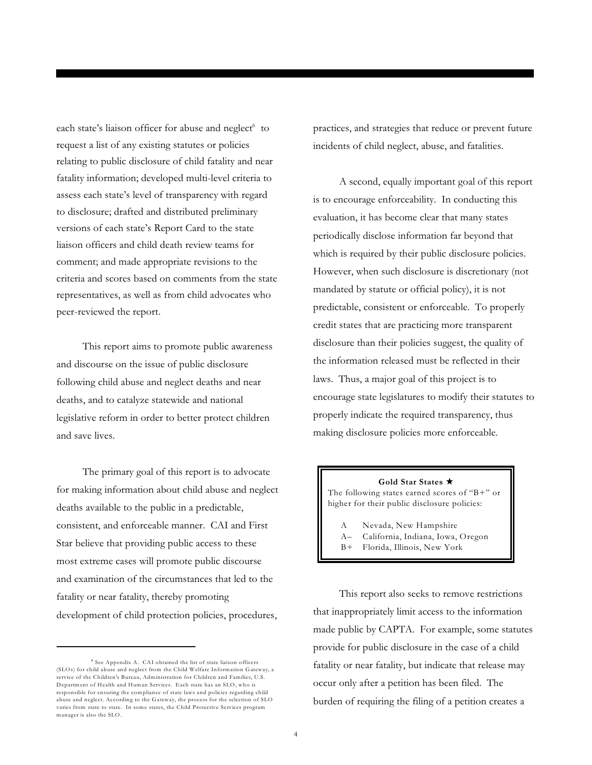each state's liaison officer for abuse and neglect<sup>6</sup> to request a list of any existing statutes or policies relating to public disclosure of child fatality and near fatality information; developed multi-level criteria to assess each state's level of transparency with regard to disclosure; drafted and distributed preliminary versions of each state's Report Card to the state liaison officers and child death review teams for comment; and made appropriate revisions to the criteria and scores based on comments from the state representatives, as well as from child advocates who peer-reviewed the report.

This report aims to promote public awareness and discourse on the issue of public disclosure following child abuse and neglect deaths and near deaths, and to catalyze statewide and national legislative reform in order to better protect children and save lives.

The primary goal of this report is to advocate for making information about child abuse and neglect deaths available to the public in a predictable, consistent, and enforceable manner. CAI and First Star believe that providing public access to these most extreme cases will promote public discourse and examination of the circumstances that led to the fatality or near fatality, thereby promoting development of child protection policies, procedures,

practices, and strategies that reduce or prevent future incidents of child neglect, abuse, and fatalities.

A second, equally important goal of this report is to encourage enforceability. In conducting this evaluation, it has become clear that many states periodically disclose information far beyond that which is required by their public disclosure policies. However, when such disclosure is discretionary (not mandated by statute or official policy), it is not predictable, consistent or enforceable. To properly credit states that are practicing more transparent disclosure than their policies suggest, the quality of the information released must be reflected in their laws. Thus, a major goal of this project is to encourage state legislatures to modify their statutes to properly indicate the required transparency, thus making disclosure policies more enforceable.

### Gold Star States  $\star$

The following states earned scores of "B+" or higher for their public disclosure policies:

- A Nevada, New Hampshire
- A– California, Indiana, Iowa, Oregon
- B+ Florida, Illinois, New York

This report also seeks to remove restrictions that inappropriately limit access to the information made public by CAPTA. For example, some statutes provide for public disclosure in the case of a child fatality or near fatality, but indicate that release may occur only after a petition has been filed. The burden of requiring the filing of a petition creates a

<sup>&</sup>lt;sup>6</sup> See Appendix A. CAI obtained the list of state liaison officers (SLOs) for child abuse and neglect from the Child Welfare Information Gateway, a service of the Children's Bureau, Administration for Children and Families, U.S. Department of Health and Human Services. Each state has an SLO, who is responsible for ensuring the compliance of state laws and policies regarding child abuse and neglect. According to the Gateway, the process for the selection of SLO varies from state to state. In some states, the Child Protective Services program manager is also the SLO.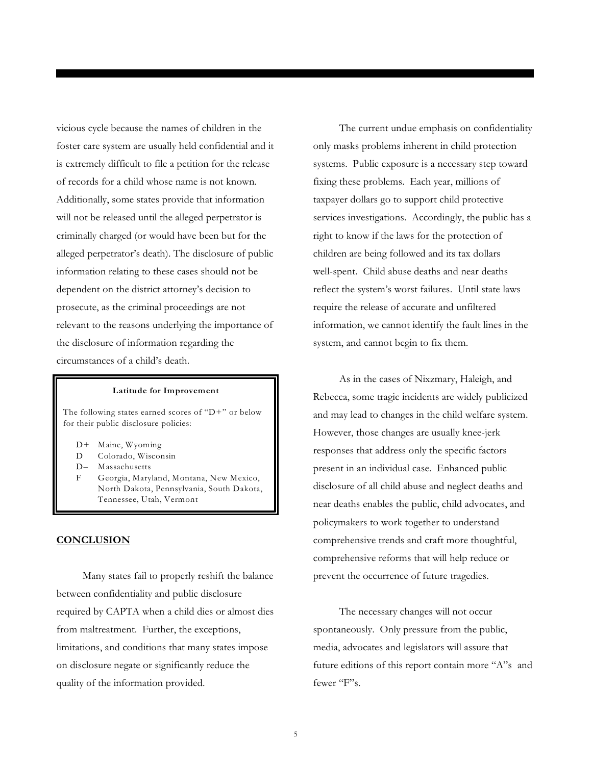vicious cycle because the names of children in the foster care system are usually held confidential and it is extremely difficult to file a petition for the release of records for a child whose name is not known. Additionally, some states provide that information will not be released until the alleged perpetrator is criminally charged (or would have been but for the alleged perpetrator's death). The disclosure of public information relating to these cases should not be dependent on the district attorney's decision to prosecute, as the criminal proceedings are not relevant to the reasons underlying the importance of the disclosure of information regarding the circumstances of a child's death.

### **Latitude for Improvement**

The following states earned scores of "D+" or below for their public disclosure policies:

- D+ Maine, Wyoming
- D Colorado, Wisconsin
- D– Massachusetts
- F Georgia, Maryland, Montana, New Mexico, North Dakota, Pennsylvania, South Dakota, Tennessee, Utah, Vermont

### **CONCLUSION**

Many states fail to properly reshift the balance between confidentiality and public disclosure required by CAPTA when a child dies or almost dies from maltreatment. Further, the exceptions, limitations, and conditions that many states impose on disclosure negate or significantly reduce the quality of the information provided.

The current undue emphasis on confidentiality only masks problems inherent in child protection systems. Public exposure is a necessary step toward fixing these problems. Each year, millions of taxpayer dollars go to support child protective services investigations. Accordingly, the public has a right to know if the laws for the protection of children are being followed and its tax dollars well-spent. Child abuse deaths and near deaths reflect the system's worst failures. Until state laws require the release of accurate and unfiltered information, we cannot identify the fault lines in the system, and cannot begin to fix them.

As in the cases of Nixzmary, Haleigh, and Rebecca, some tragic incidents are widely publicized and may lead to changes in the child welfare system. However, those changes are usually knee-jerk responses that address only the specific factors present in an individual case. Enhanced public disclosure of all child abuse and neglect deaths and near deaths enables the public, child advocates, and policymakers to work together to understand comprehensive trends and craft more thoughtful, comprehensive reforms that will help reduce or prevent the occurrence of future tragedies.

The necessary changes will not occur spontaneously. Only pressure from the public, media, advocates and legislators will assure that future editions of this report contain more "A"s and fewer "F"s.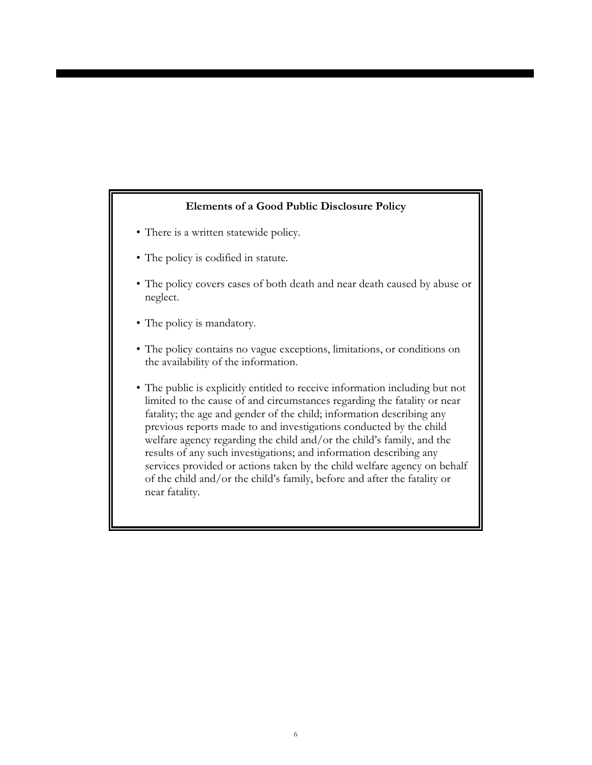### **Elements of a Good Public Disclosure Policy**

- There is a written statewide policy.
- The policy is codified in statute.
- The policy covers cases of both death and near death caused by abuse or neglect.
- The policy is mandatory.
- The policy contains no vague exceptions, limitations, or conditions on the availability of the information.
- The public is explicitly entitled to receive information including but not limited to the cause of and circumstances regarding the fatality or near fatality; the age and gender of the child; information describing any previous reports made to and investigations conducted by the child welfare agency regarding the child and/or the child's family, and the results of any such investigations; and information describing any services provided or actions taken by the child welfare agency on behalf of the child and/or the child's family, before and after the fatality or near fatality.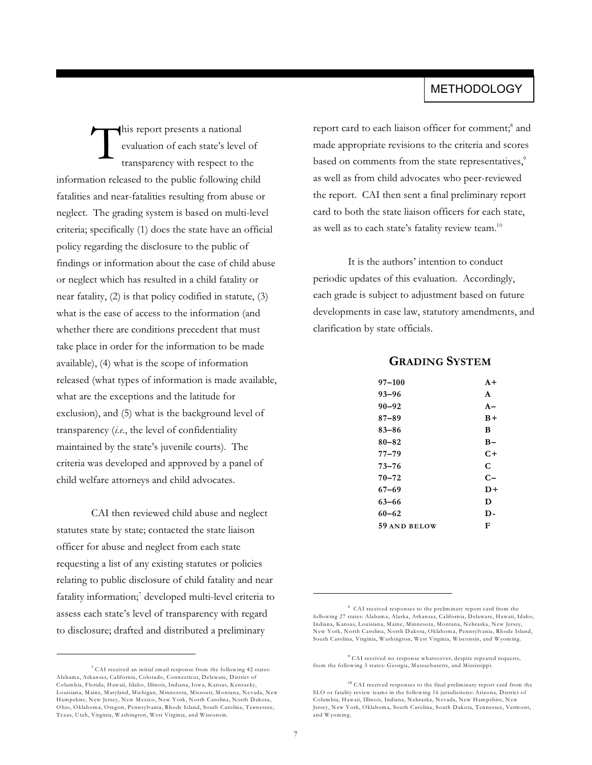## **METHODOLOGY**

T his report presents a national evaluation of each state's level of transparency with respect to the information released to the public following child fatalities and near-fatalities resulting from abuse or neglect. The grading system is based on multi-level criteria; specifically (1) does the state have an official policy regarding the disclosure to the public of findings or information about the case of child abuse or neglect which has resulted in a child fatality or near fatality, (2) is that policy codified in statute, (3) what is the ease of access to the information (and whether there are conditions precedent that must take place in order for the information to be made available), (4) what is the scope of information released (what types of information is made available, what are the exceptions and the latitude for exclusion), and (5) what is the background level of transparency (*i.e.*, the level of confidentiality maintained by the state's juvenile courts). The criteria was developed and approved by a panel of child welfare attorneys and child advocates.

CAI then reviewed child abuse and neglect statutes state by state; contacted the state liaison officer for abuse and neglect from each state requesting a list of any existing statutes or policies relating to public disclosure of child fatality and near fatality information;<sup>7</sup> developed multi-level criteria to assess each state's level of transparency with regard to disclosure; drafted and distributed a preliminary

report card to each liaison officer for comment;<sup>8</sup> and made appropriate revisions to the criteria and scores based on comments from the state representatives,<sup>9</sup> as well as from child advocates who peer-reviewed the report. CAI then sent a final preliminary report card to both the state liaison officers for each state, as well as to each state's fatality review team.<sup>10</sup>

It is the authors' intention to conduct periodic updates of this evaluation. Accordingly, each grade is subject to adjustment based on future developments in case law, statutory amendments, and clarification by state officials.

### **GRADING SYSTEM**

| $97 - 100$   | $A +$        |
|--------------|--------------|
| $93 - 96$    | $\mathbf{A}$ |
| $90 - 92$    | $A -$        |
| $87 - 89$    | $B+$         |
| 83–86        | B            |
| 80–82        | $B-$         |
| 77–79        | C+           |
| $73 - 76$    | C            |
| $70 - 72$    | $C-$         |
| $67 - 69$    | D+           |
| $63 - 66$    | D            |
| $60 - 62$    | D-           |
| 59 AND BELOW | F            |
|              |              |

<sup>9</sup> CAI received no response whatsoever, despite repeated requests, from the following 3 states: Georgia, Massachusetts, and Mississippi.

 $7$  CAI received an initial email response from the following 42 states: Alabama, Arkansas, California, Colorado, Connecticut, Delaware, District of Columbia, Florida, Hawaii, Idaho, Illinois, Indiana, Iowa, Kansas, Kentucky, Louisiana, Maine, Maryland, Michigan, Minnesota, Missouri, Montana, Nevada, New Hampshire, New Jersey, New Mexico, New York, North Carolina, North Dakota, Ohio, Oklahoma, Oregon, Pennsylvania, Rhode Island, South Carolina, Tennessee, Texas, Utah, Virginia, Washington, West Virginia, and Wisconsin.

 $8$  CAI received responses to the preliminary report card from the following 27 states: Alabama, Alaska, Arkansas, California, Delaware, Hawaii, Idaho, Indiana, Kansas, Louisiana, Maine, Minnesota, Montana, Nebraska, New Jersey, New York, North Carolina, North Dakota, Oklahoma, Pennsylvania, Rhode Island, South Carolina, Virginia, Washington, West Virginia, Wisconsin, and Wyoming.

 $^{10}$  CAI received responses to the final preliminary report card from the SLO or fatality review teams in the following 16 jurisdictions: Arizona, District of Columbia, Hawaii, Illinois, Indiana, Nebraska, Nevada, New Hampshire, New Jersey, New York, Oklahoma, South Carolina, South Dakota, Tennessee, Vermont, and Wyoming.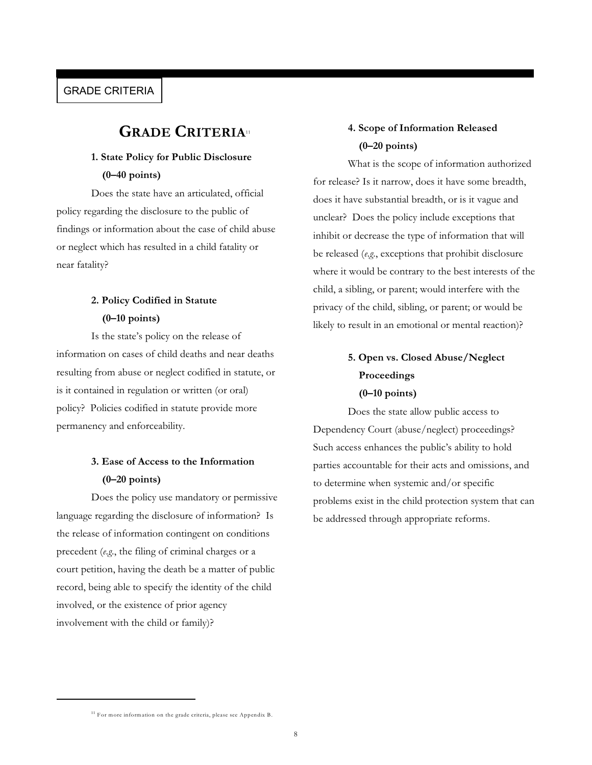### GRADE CRITERIA

## **GRADE CRITERIA**<sup>11</sup>

## **1. State Policy for Public Disclosure (0–40 points)**

Does the state have an articulated, official policy regarding the disclosure to the public of findings or information about the case of child abuse or neglect which has resulted in a child fatality or near fatality?

## **2. Policy Codified in Statute (0–10 points)**

Is the state's policy on the release of information on cases of child deaths and near deaths resulting from abuse or neglect codified in statute, or is it contained in regulation or written (or oral) policy? Policies codified in statute provide more permanency and enforceability.

## **3. Ease of Access to the Information (0–20 points)**

Does the policy use mandatory or permissive language regarding the disclosure of information? Is the release of information contingent on conditions precedent (*e.g.*, the filing of criminal charges or a court petition, having the death be a matter of public record, being able to specify the identity of the child involved, or the existence of prior agency involvement with the child or family)?

## **4. Scope of Information Released (0–20 points)**

What is the scope of information authorized for release? Is it narrow, does it have some breadth, does it have substantial breadth, or is it vague and unclear? Does the policy include exceptions that inhibit or decrease the type of information that will be released (*e.g.*, exceptions that prohibit disclosure where it would be contrary to the best interests of the child, a sibling, or parent; would interfere with the privacy of the child, sibling, or parent; or would be likely to result in an emotional or mental reaction)?

## **5. Open vs. Closed Abuse/Neglect Proceedings (0–10 points)**

Does the state allow public access to Dependency Court (abuse/neglect) proceedings? Such access enhances the public's ability to hold parties accountable for their acts and omissions, and to determine when systemic and/or specific problems exist in the child protection system that can be addressed through appropriate reforms.

<sup>&</sup>lt;sup>11</sup> For more information on the grade criteria, please see Appendix B.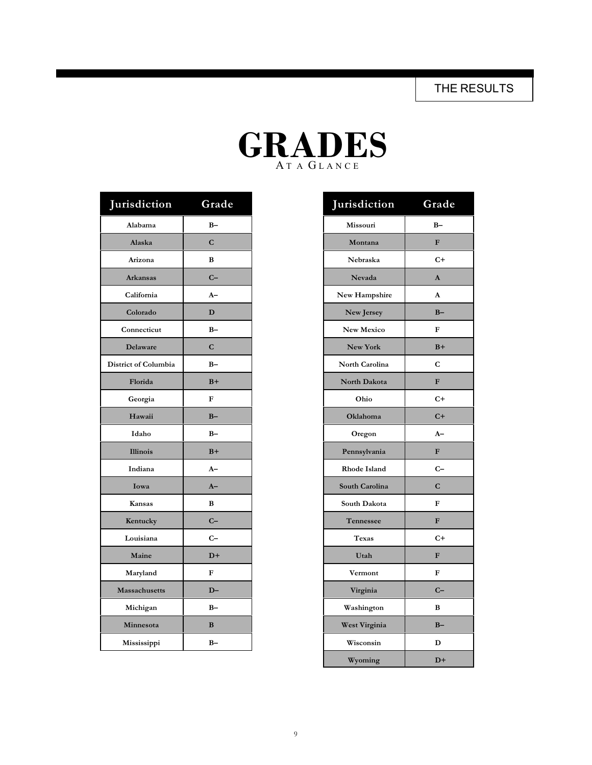THE RESULTS

| ADI<br>$J$ il $\bm{l}$ |
|------------------------|
| ATA GLANCE             |

| Jurisdiction         | Grade        | Jurisdiction          | Grade |
|----------------------|--------------|-----------------------|-------|
| Alabama              | $B -$        | Missouri              |       |
| Alaska               | $\mathbf C$  | Montana               |       |
| Arizona              | B            | Nebraska              |       |
| <b>Arkansas</b>      | $C-$         | <b>Nevada</b>         |       |
| California           | $A-$         | New Hampshire         |       |
| Colorado             | D            | New Jersey            |       |
| Connecticut          | $B -$        | <b>New Mexico</b>     |       |
| <b>Delaware</b>      | $\mathbf C$  | New York              |       |
| District of Columbia | $B -$        | <b>North Carolina</b> |       |
| Florida              | $B+$         | North Dakota          |       |
| Georgia              | $\mathbf{F}$ | Ohio                  |       |
| Hawaii               | $B -$        | Oklahoma              |       |
| Idaho                | $B -$        | Oregon                |       |
| <b>Illinois</b>      | $B+$         | Pennsylvania          |       |
| Indiana              | $A-$         | Rhode Island          |       |
| Iowa                 | $A-$         | South Carolina        |       |
| Kansas               | $\bf{B}$     | South Dakota          |       |
| Kentucky             | $C-$         | Tennessee             |       |
| Louisiana            | $C-$         | Texas                 |       |
| Maine                | $D+$         | Utah                  |       |
| Maryland             | ${\bf F}$    | Vermont               |       |
| Massachusetts        | $D-$         | Virginia              |       |
| Michigan             | $B -$        | Washington            |       |
| Minnesota            | $\bf{B}$     | West Virginia         |       |
| Mississippi          | $B -$        | Wisconsin             |       |

| isdiction        | Grade        | Jurisdiction   | Grade        |
|------------------|--------------|----------------|--------------|
| Alabama          | $B -$        | Missouri       | $B -$        |
| Alaska           | $\mathbf C$  | Montana        | F            |
| Arizona          | B            | Nebraska       | $C+$         |
| <b>Arkansas</b>  | $C-$         | Nevada         | $\mathbf{A}$ |
| California       | $A-$         | New Hampshire  | $\mathbf{A}$ |
| Colorado         | D            | New Jersey     | $B -$        |
| onnecticut       | $B -$        | New Mexico     | $\mathbf F$  |
| <b>Delaware</b>  | $\mathbf C$  | New York       | $B+$         |
| t of Columbia    | $B -$        | North Carolina | C            |
| Florida          | $B+$         | North Dakota   | $\mathbf{F}$ |
| Georgia          | ${\bf F}$    | Ohio           | $C+$         |
| Hawaii           | $B -$        | Oklahoma       | $C+$         |
| Idaho            | $B -$        | Oregon         | $A-$         |
| Illinois         | $B+$         | Pennsylvania   | $\mathbf{F}$ |
| Indiana          | $A-$         | Rhode Island   | $C-$         |
| Iowa             | $A-$         | South Carolina | $\mathbf C$  |
| Kansas           | B            | South Dakota   | ${\bf F}$    |
| Kentucky         | $C -$        | Tennessee      | ${\bf F}$    |
| ouisiana         | $C-$         | <b>Texas</b>   | $C+$         |
| Maine            | $D+$         | Utah           | $\mathbf{F}$ |
| <b>Aaryland</b>  | ${\bf F}$    | Vermont        | $\mathbf F$  |
| ssachusetts      | $D-$         | Virginia       | $C-$         |
| Michigan         | $B-$         | Washington     | $\, {\bf B}$ |
| <b>Iinnesota</b> | $\, {\bf B}$ | West Virginia  | $B -$        |
| lississippi      | $B -$        | Wisconsin      | D            |
|                  |              | Wyoming        | $D+$         |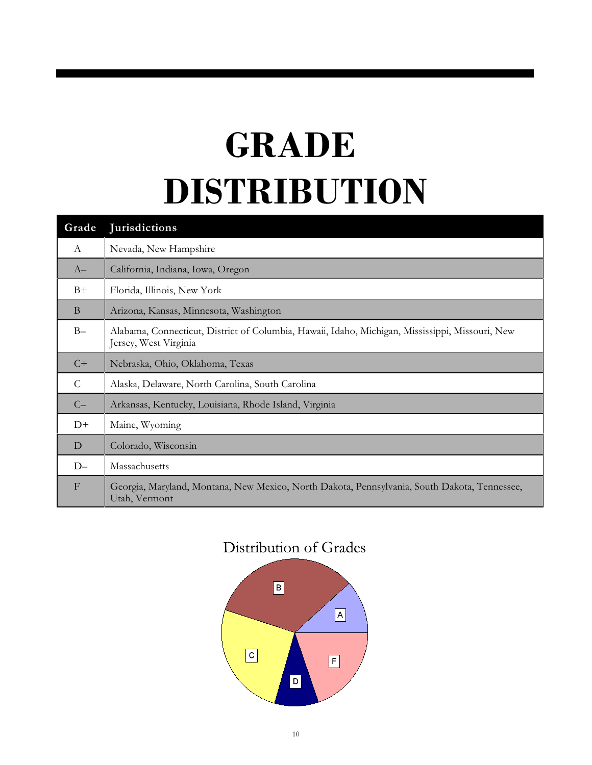# **GRADE DISTRIBUTION**

| Grade        | <b>Jurisdictions</b>                                                                                                     |
|--------------|--------------------------------------------------------------------------------------------------------------------------|
| $\mathbf{A}$ | Nevada, New Hampshire                                                                                                    |
| $A-$         | California, Indiana, Iowa, Oregon                                                                                        |
| $B+$         | Florida, Illinois, New York                                                                                              |
| B            | Arizona, Kansas, Minnesota, Washington                                                                                   |
| $B -$        | Alabama, Connecticut, District of Columbia, Hawaii, Idaho, Michigan, Mississippi, Missouri, New<br>Jersey, West Virginia |
| $C+$         | Nebraska, Ohio, Oklahoma, Texas                                                                                          |
| $\mathsf{C}$ | Alaska, Delaware, North Carolina, South Carolina                                                                         |
| $C-$         | Arkansas, Kentucky, Louisiana, Rhode Island, Virginia                                                                    |
| $D+$         | Maine, Wyoming                                                                                                           |
| D            | Colorado, Wisconsin                                                                                                      |
| $D-$         | Massachusetts                                                                                                            |
| $\mathbf{F}$ | Georgia, Maryland, Montana, New Mexico, North Dakota, Pennsylvania, South Dakota, Tennessee,<br>Utah, Vermont            |

## Distribution of Grades

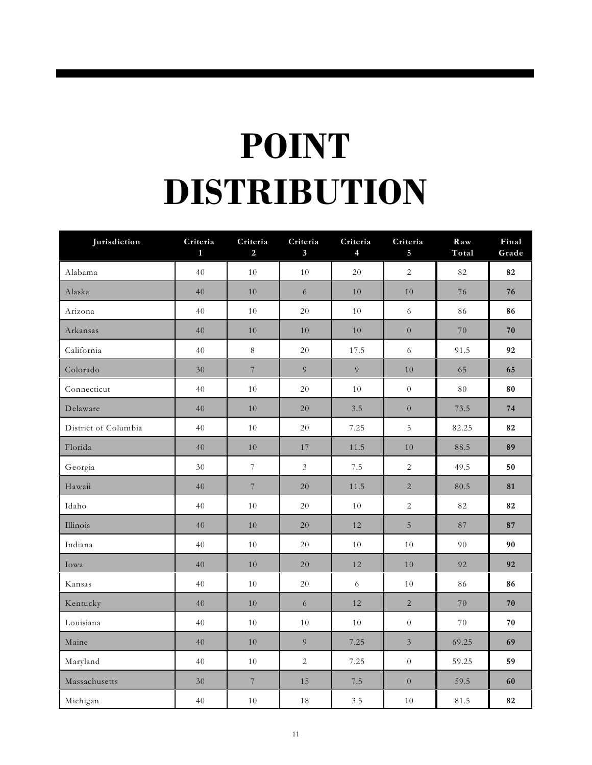# **POINT DISTRIBUTION**

| Jurisdiction         | Criteria<br>1 | Criteria<br>2    | Criteria<br>$3\overline{)}$ | Criteria<br>4 | Criteria<br>5    | Raw<br>Total | Final<br>Grade |
|----------------------|---------------|------------------|-----------------------------|---------------|------------------|--------------|----------------|
| Alabama              | 40            | 10               | 10                          | 20            | $\overline{2}$   | 82           | 82             |
| Alaska               | 40            | 10               | 6                           | 10            | 10               | 76           | 76             |
| Arizona              | 40            | 10               | $20\,$                      | 10            | $\sqrt{6}$       | 86           | 86             |
| Arkansas             | 40            | $10\,$           | 10                          | 10            | $\overline{0}$   | 70           | 70             |
| California           | 40            | $8\,$            | 20                          | 17.5          | 6                | 91.5         | 92             |
| Colorado             | 30            | $\,7$            | $\overline{9}$              | 9             | $10\,$           | 65           | 65             |
| Connecticut          | 40            | $10\,$           | 20                          | $10\,$        | $\boldsymbol{0}$ | $80\,$       | 80             |
| Delaware             | 40            | $10\,$           | 20                          | 3.5           | $\boldsymbol{0}$ | 73.5         | 74             |
| District of Columbia | 40            | 10               | 20                          | 7.25          | $\overline{5}$   | 82.25        | 82             |
| Florida              | 40            | $10\,$           | $17\,$                      | 11.5          | 10               | 88.5         | 89             |
| Georgia              | $30\,$        | $\boldsymbol{7}$ | $\mathfrak{Z}$              | 7.5           | $\sqrt{2}$       | 49.5         | 50             |
| Hawaii               | 40            | $\overline{7}$   | 20                          | 11.5          | $\overline{2}$   | 80.5         | 81             |
| Idaho                | 40            | $10\,$           | 20                          | 10            | $\sqrt{2}$       | $82\,$       | 82             |
| Illinois             | 40            | 10               | 20                          | 12            | $\overline{5}$   | 87           | 87             |
| Indiana              | 40            | $1\,0$           | 20                          | 10            | $1\,0$           | 90           | 90             |
| Iowa                 | 40            | 10               | 20                          | 12            | $10\,$           | 92           | 92             |
| Kansas               | 40            | 10               | 20                          | $6\,$         | 10               | 86           | 86             |
| Kentucky             | 40            | 10               | 6                           | 12            | $\overline{2}$   | 70           | 70             |
| Louisiana            | 40            | 10               | 10                          | 10            | $\overline{0}$   | $70\,$       | 70             |
| Maine                | 40            | 10               | 9                           | 7.25          | $\mathfrak{Z}$   | 69.25        | 69             |
| Maryland             | 40            | $1\,0$           | $\overline{2}$              | 7.25          | $\overline{0}$   | 59.25        | 59             |
| Massachusetts        | 30            | $7\phantom{.}$   | $1\,5$                      | 7.5           | $\overline{0}$   | 59.5         | 60             |
| Michigan             | 40            | 10               | $1\,8$                      | 3.5           | $10\,$           | 81.5         | 82             |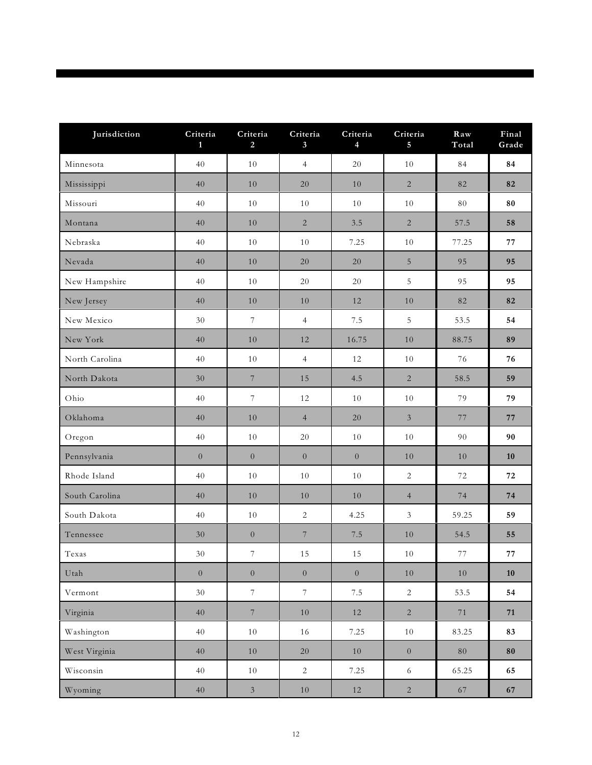| Jurisdiction   | Criteria<br>$\mathbf{1}$ | Criteria<br>2            | Criteria<br>3 <sup>1</sup> | Criteria<br>$\overline{4}$ | Criteria<br>5    | Raw<br>Total | Final<br>Grade |
|----------------|--------------------------|--------------------------|----------------------------|----------------------------|------------------|--------------|----------------|
| Minnesota      | 40                       | 10                       | $\overline{4}$             | 20                         | 10               | 84           | 84             |
| Mississippi    | 40                       | 10                       | 20                         | 10                         | $\sqrt{2}$       | 82           | 82             |
| Missouri       | 40                       | $10\,$                   | 10                         | 10                         | 10               | 80           | 80             |
| Montana        | 40                       | 10                       | 2                          | 3.5                        | $\sqrt{2}$       | 57.5         | 58             |
| Nebraska       | 40                       | 10                       | 10                         | 7.25                       | 10               | 77.25        | 77             |
| Nevada         | 40                       | 10                       | 20                         | 20                         | 5                | 95           | 95             |
| New Hampshire  | 40                       | 10                       | 20                         | 20                         | $\overline{5}$   | 95           | 95             |
| New Jersey     | 40                       | 10                       | 10                         | 12                         | 10               | 82           | 82             |
| New Mexico     | $30\,$                   | $\overline{\mathcal{I}}$ | $\overline{4}$             | 7.5                        | $\overline{5}$   | 53.5         | 54             |
| New York       | 40                       | 10                       | 12                         | 16.75                      | 10               | 88.75        | 89             |
| North Carolina | 40                       | 10                       | $\overline{4}$             | 12                         | 10               | 76           | 76             |
| North Dakota   | $30\,$                   | $\overline{7}$           | 15                         | 4.5                        | $\sqrt{2}$       | 58.5         | 59             |
| Ohio           | 40                       | $\boldsymbol{7}$         | 12                         | 10                         | 10               | 79           | 79             |
| Oklahoma       | 40                       | 10                       | $\overline{4}$             | 20                         | $\mathfrak{Z}$   | 77           | $77\,$         |
| Oregon         | 40                       | 10                       | $20\,$                     | 10                         | 10               | 90           | 90             |
| Pennsylvania   | $\overline{0}$           | $\boldsymbol{0}$         | $\overline{0}$             | $\overline{0}$             | $10$             | $10\,$       | 10             |
| Rhode Island   | 40                       | 10                       | 10                         | 10                         | $\sqrt{2}$       | 72           | 72             |
| South Carolina | 40                       | 10                       | 10                         | 10                         | $\overline{4}$   | 74           | 74             |
| South Dakota   | 40                       | $10\,$                   | $\sqrt{2}$                 | 4.25                       | $\mathfrak{Z}$   | 59.25        | 59             |
| Tennessee      | 30                       | $\overline{0}$           | $\boldsymbol{7}$           | $7.5\,$                    | $10\,$           | 54.5         | 55             |
| Texas          | 30                       | $\boldsymbol{7}$         | $15\,$                     | 15                         | 10               | $77\,$       | $77\,$         |
| Utah           | $\boldsymbol{0}$         | $\overline{0}$           | $\boldsymbol{0}$           | $\boldsymbol{0}$           | $10\,$           | $10\,$       | ${\bf 10}$     |
| Vermont        | 30                       | $\overline{7}$           | $\overline{7}$             | $7.5\,$                    | $\overline{2}$   | 53.5         | 54             |
| Virginia       | $40\,$                   | $\,7$                    | 10                         | 12                         | $\overline{c}$   | $7\sqrt{1}$  | 71             |
| Washington     | $40\,$                   | $10\,$                   | 16                         | 7.25                       | $10\,$           | 83.25        | 83             |
| West Virginia  | $40\,$                   | $10\,$                   | 20                         | 10                         | $\boldsymbol{0}$ | $80\,$       | ${\bf 80}$     |
| Wisconsin      | $40\,$                   | $10\,$                   | $\overline{2}$             | 7.25                       | $\sqrt{6}$       | 65.25        | 65             |
| Wyoming        | $40\,$                   | $\mathfrak{Z}$           | $10\,$                     | 12                         | $\overline{2}$   | $67\,$       | 67             |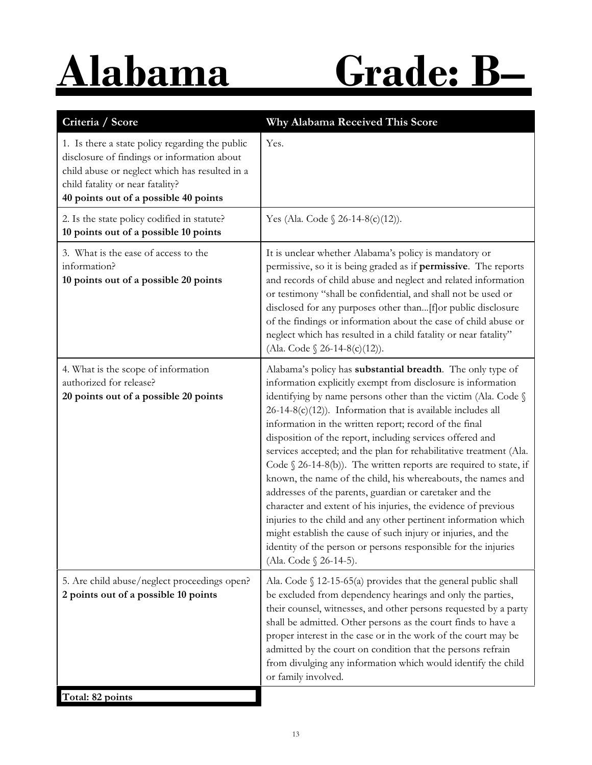# **Alabama Grade: B–**

| Criteria / Score                                                                                                                                                                                                              | Why Alabama Received This Score                                                                                                                                                                                                                                                                                                                                                                                                                                                                                                                                                                                                                                                                                                                                                                                                                                                                                                                                  |
|-------------------------------------------------------------------------------------------------------------------------------------------------------------------------------------------------------------------------------|------------------------------------------------------------------------------------------------------------------------------------------------------------------------------------------------------------------------------------------------------------------------------------------------------------------------------------------------------------------------------------------------------------------------------------------------------------------------------------------------------------------------------------------------------------------------------------------------------------------------------------------------------------------------------------------------------------------------------------------------------------------------------------------------------------------------------------------------------------------------------------------------------------------------------------------------------------------|
| 1. Is there a state policy regarding the public<br>disclosure of findings or information about<br>child abuse or neglect which has resulted in a<br>child fatality or near fatality?<br>40 points out of a possible 40 points | Yes.                                                                                                                                                                                                                                                                                                                                                                                                                                                                                                                                                                                                                                                                                                                                                                                                                                                                                                                                                             |
| 2. Is the state policy codified in statute?<br>10 points out of a possible 10 points                                                                                                                                          | Yes (Ala. Code $\S 26-14-8(c)(12)$ ).                                                                                                                                                                                                                                                                                                                                                                                                                                                                                                                                                                                                                                                                                                                                                                                                                                                                                                                            |
| 3. What is the ease of access to the<br>information?<br>10 points out of a possible 20 points                                                                                                                                 | It is unclear whether Alabama's policy is mandatory or<br>permissive, so it is being graded as if permissive. The reports<br>and records of child abuse and neglect and related information<br>or testimony "shall be confidential, and shall not be used or<br>disclosed for any purposes other than[f]or public disclosure<br>of the findings or information about the case of child abuse or<br>neglect which has resulted in a child fatality or near fatality"<br>(Ala. Code § 26-14-8(c)(12)).                                                                                                                                                                                                                                                                                                                                                                                                                                                             |
| 4. What is the scope of information<br>authorized for release?<br>20 points out of a possible 20 points                                                                                                                       | Alabama's policy has substantial breadth. The only type of<br>information explicitly exempt from disclosure is information<br>identifying by name persons other than the victim (Ala. Code §<br>$26-14-8(c)(12)$ ). Information that is available includes all<br>information in the written report; record of the final<br>disposition of the report, including services offered and<br>services accepted; and the plan for rehabilitative treatment (Ala.<br>Code $\S$ 26-14-8(b)). The written reports are required to state, if<br>known, the name of the child, his whereabouts, the names and<br>addresses of the parents, guardian or caretaker and the<br>character and extent of his injuries, the evidence of previous<br>injuries to the child and any other pertinent information which<br>might establish the cause of such injury or injuries, and the<br>identity of the person or persons responsible for the injuries<br>(Ala. Code § 26-14-5). |
| 5. Are child abuse/neglect proceedings open?<br>2 points out of a possible 10 points                                                                                                                                          | Ala. Code $\S$ 12-15-65(a) provides that the general public shall<br>be excluded from dependency hearings and only the parties,<br>their counsel, witnesses, and other persons requested by a party<br>shall be admitted. Other persons as the court finds to have a<br>proper interest in the case or in the work of the court may be<br>admitted by the court on condition that the persons refrain<br>from divulging any information which would identify the child<br>or family involved.                                                                                                                                                                                                                                                                                                                                                                                                                                                                    |
| Total: 82 points                                                                                                                                                                                                              |                                                                                                                                                                                                                                                                                                                                                                                                                                                                                                                                                                                                                                                                                                                                                                                                                                                                                                                                                                  |

13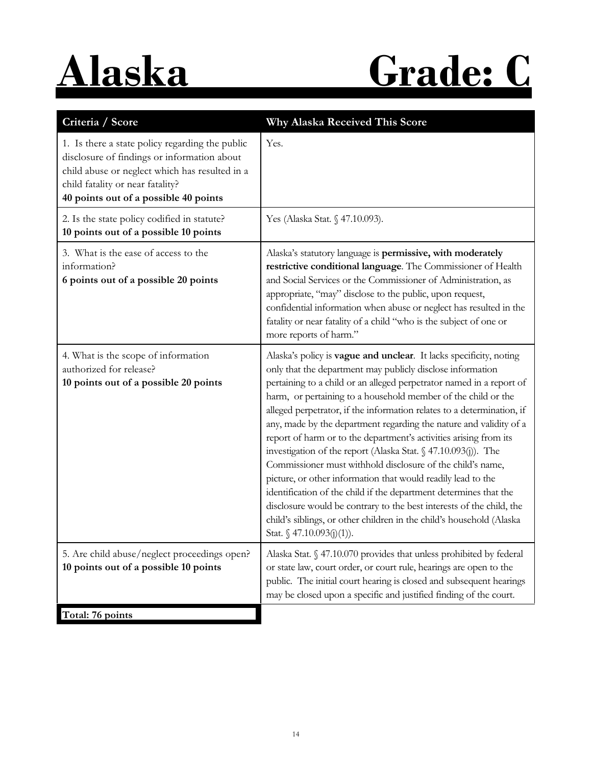# **Alaska Grade: C**

| Criteria / Score                                                                                                                                                                                                              | Why Alaska Received This Score                                                                                                                                                                                                                                                                                                                                                                                                                                                                                                                                                                                                                                                                                                                                                                                                                                                                                                                   |
|-------------------------------------------------------------------------------------------------------------------------------------------------------------------------------------------------------------------------------|--------------------------------------------------------------------------------------------------------------------------------------------------------------------------------------------------------------------------------------------------------------------------------------------------------------------------------------------------------------------------------------------------------------------------------------------------------------------------------------------------------------------------------------------------------------------------------------------------------------------------------------------------------------------------------------------------------------------------------------------------------------------------------------------------------------------------------------------------------------------------------------------------------------------------------------------------|
| 1. Is there a state policy regarding the public<br>disclosure of findings or information about<br>child abuse or neglect which has resulted in a<br>child fatality or near fatality?<br>40 points out of a possible 40 points | Yes.                                                                                                                                                                                                                                                                                                                                                                                                                                                                                                                                                                                                                                                                                                                                                                                                                                                                                                                                             |
| 2. Is the state policy codified in statute?<br>10 points out of a possible 10 points                                                                                                                                          | Yes (Alaska Stat. § 47.10.093).                                                                                                                                                                                                                                                                                                                                                                                                                                                                                                                                                                                                                                                                                                                                                                                                                                                                                                                  |
| 3. What is the ease of access to the<br>information?<br>6 points out of a possible 20 points                                                                                                                                  | Alaska's statutory language is permissive, with moderately<br>restrictive conditional language. The Commissioner of Health<br>and Social Services or the Commissioner of Administration, as<br>appropriate, "may" disclose to the public, upon request,<br>confidential information when abuse or neglect has resulted in the<br>fatality or near fatality of a child "who is the subject of one or<br>more reports of harm."                                                                                                                                                                                                                                                                                                                                                                                                                                                                                                                    |
| 4. What is the scope of information<br>authorized for release?<br>10 points out of a possible 20 points                                                                                                                       | Alaska's policy is vague and unclear. It lacks specificity, noting<br>only that the department may publicly disclose information<br>pertaining to a child or an alleged perpetrator named in a report of<br>harm, or pertaining to a household member of the child or the<br>alleged perpetrator, if the information relates to a determination, if<br>any, made by the department regarding the nature and validity of a<br>report of harm or to the department's activities arising from its<br>investigation of the report (Alaska Stat. § 47.10.093(j)). The<br>Commissioner must withhold disclosure of the child's name,<br>picture, or other information that would readily lead to the<br>identification of the child if the department determines that the<br>disclosure would be contrary to the best interests of the child, the<br>child's siblings, or other children in the child's household (Alaska<br>Stat. § 47.10.093(j)(1)). |
| 5. Are child abuse/neglect proceedings open?<br>10 points out of a possible 10 points                                                                                                                                         | Alaska Stat. § 47.10.070 provides that unless prohibited by federal<br>or state law, court order, or court rule, hearings are open to the<br>public. The initial court hearing is closed and subsequent hearings<br>may be closed upon a specific and justified finding of the court.                                                                                                                                                                                                                                                                                                                                                                                                                                                                                                                                                                                                                                                            |
| Total: 76 points                                                                                                                                                                                                              |                                                                                                                                                                                                                                                                                                                                                                                                                                                                                                                                                                                                                                                                                                                                                                                                                                                                                                                                                  |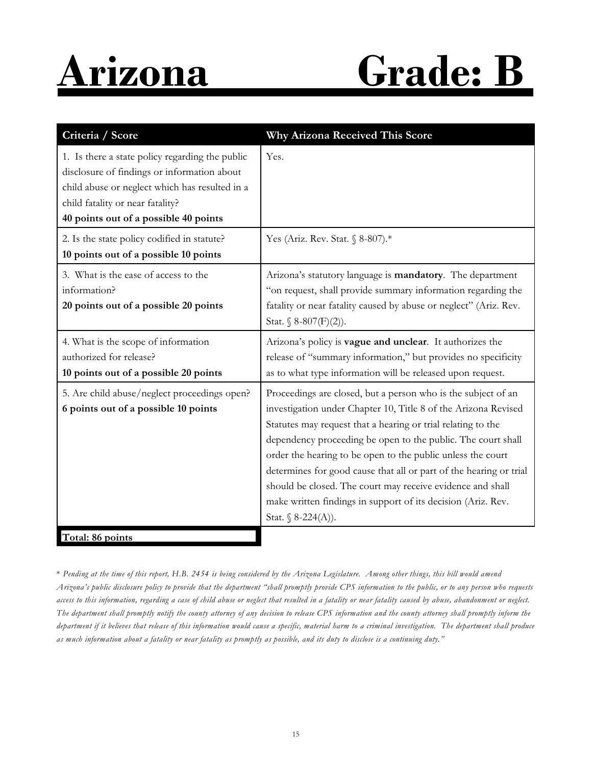# **Arizona Grade: B**

| Criteria / Score                                                                                                                                                                                                              | Why Arizona Received This Score                                                                                                                                                                                                                                                                                                                                                                                                                                                                                                                          |
|-------------------------------------------------------------------------------------------------------------------------------------------------------------------------------------------------------------------------------|----------------------------------------------------------------------------------------------------------------------------------------------------------------------------------------------------------------------------------------------------------------------------------------------------------------------------------------------------------------------------------------------------------------------------------------------------------------------------------------------------------------------------------------------------------|
| 1. Is there a state policy regarding the public<br>disclosure of findings or information about<br>child abuse or neglect which has resulted in a<br>child fatality or near fatality?<br>40 points out of a possible 40 points | Yes.                                                                                                                                                                                                                                                                                                                                                                                                                                                                                                                                                     |
| 2. Is the state policy codified in statute?<br>10 points out of a possible 10 points                                                                                                                                          | Yes (Ariz. Rev. Stat. § 8-807).*                                                                                                                                                                                                                                                                                                                                                                                                                                                                                                                         |
| 3. What is the ease of access to the<br>information?<br>20 points out of a possible 20 points                                                                                                                                 | Arizona's statutory language is mandatory. The department<br>"on request, shall provide summary information regarding the<br>fatality or near fatality caused by abuse or neglect" (Ariz. Rev.<br>Stat. § $8-807(F)(2)$ ).                                                                                                                                                                                                                                                                                                                               |
| 4. What is the scope of information<br>authorized for release?<br>10 points out of a possible 20 points                                                                                                                       | Arizona's policy is vague and unclear. It authorizes the<br>release of "summary information," but provides no specificity<br>as to what type information will be released upon request.                                                                                                                                                                                                                                                                                                                                                                  |
| 5. Are child abuse/neglect proceedings open?<br>6 points out of a possible 10 points                                                                                                                                          | Proceedings are closed, but a person who is the subject of an<br>investigation under Chapter 10, Title 8 of the Arizona Revised<br>Statutes may request that a hearing or trial relating to the<br>dependency proceeding be open to the public. The court shall<br>order the hearing to be open to the public unless the court<br>determines for good cause that all or part of the hearing or trial<br>should be closed. The court may receive evidence and shall<br>make written findings in support of its decision (Ariz. Rev.<br>Stat. § 8-224(A)). |
| Total: 86 points                                                                                                                                                                                                              |                                                                                                                                                                                                                                                                                                                                                                                                                                                                                                                                                          |

\* *Pending at the time of this report, H.B. 2454 is being considered by the Arizona Legislature. Among other things, this bill would amend Arizona's public disclosure policy to provide that the department "shall promptly provide CPS information to the public, or to any person who requests access to this information, regarding a case of child abuse or neglect that resulted in a fatality or near fatality caused by abuse, abandonment or neglect. The department shall promptly notify the county attorney of any decision to release CPS information and the county attorney shall promptly inform the department if it believes that release of this information would cause a specific, material harm to a criminal investigation. The department shall produce as much information about a fatality or near fatality as promptly as possible, and its duty to disclose is a continuing duty."*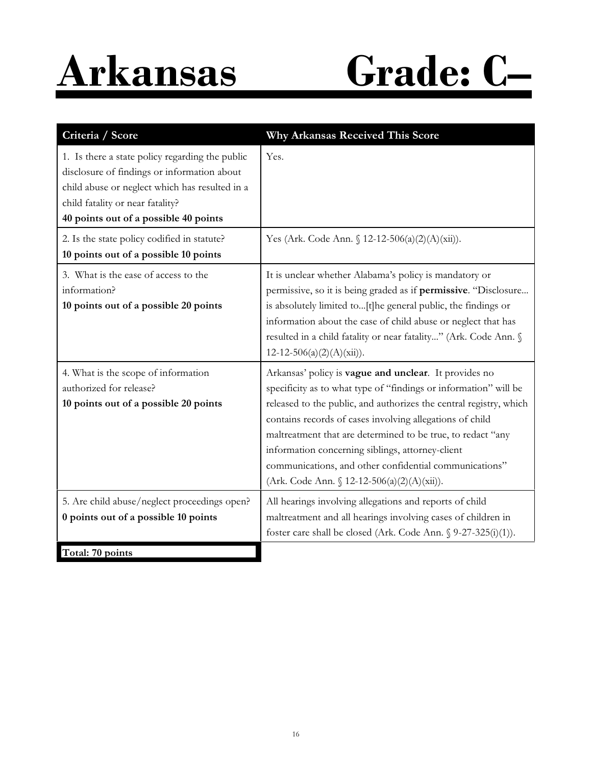# **Arkansas Grade: C–**

| Criteria / Score                                                                                                                                                                                                              | Why Arkansas Received This Score                                                                                                                                                                                                                                                                                                                                                                                                                                                        |
|-------------------------------------------------------------------------------------------------------------------------------------------------------------------------------------------------------------------------------|-----------------------------------------------------------------------------------------------------------------------------------------------------------------------------------------------------------------------------------------------------------------------------------------------------------------------------------------------------------------------------------------------------------------------------------------------------------------------------------------|
| 1. Is there a state policy regarding the public<br>disclosure of findings or information about<br>child abuse or neglect which has resulted in a<br>child fatality or near fatality?<br>40 points out of a possible 40 points | Yes.                                                                                                                                                                                                                                                                                                                                                                                                                                                                                    |
| 2. Is the state policy codified in statute?<br>10 points out of a possible 10 points                                                                                                                                          | Yes (Ark. Code Ann. § 12-12-506(a)(2)(A)(xii)).                                                                                                                                                                                                                                                                                                                                                                                                                                         |
| 3. What is the ease of access to the<br>information?<br>10 points out of a possible 20 points                                                                                                                                 | It is unclear whether Alabama's policy is mandatory or<br>permissive, so it is being graded as if permissive. "Disclosure<br>is absolutely limited to[t]he general public, the findings or<br>information about the case of child abuse or neglect that has<br>resulted in a child fatality or near fatality" (Ark. Code Ann. §<br>$12-12-506(a)(2)(A)(xii)).$                                                                                                                          |
| 4. What is the scope of information<br>authorized for release?<br>10 points out of a possible 20 points                                                                                                                       | Arkansas' policy is vague and unclear. It provides no<br>specificity as to what type of "findings or information" will be<br>released to the public, and authorizes the central registry, which<br>contains records of cases involving allegations of child<br>maltreatment that are determined to be true, to redact "any<br>information concerning siblings, attorney-client<br>communications, and other confidential communications"<br>(Ark. Code Ann. § 12-12-506(a)(2)(A)(xii)). |
| 5. Are child abuse/neglect proceedings open?<br>0 points out of a possible 10 points<br>Total: 70 points                                                                                                                      | All hearings involving allegations and reports of child<br>maltreatment and all hearings involving cases of children in<br>foster care shall be closed (Ark. Code Ann. § 9-27-325(i)(1)).                                                                                                                                                                                                                                                                                               |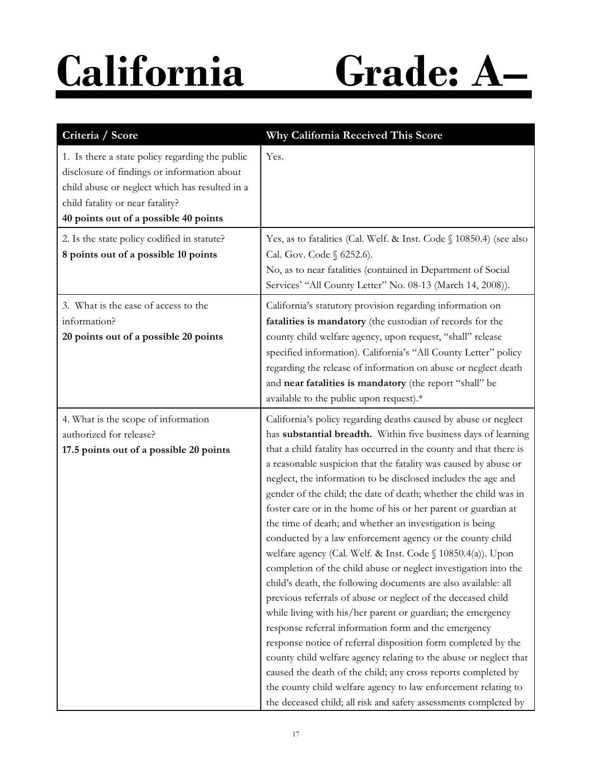**California Grade: A–**

| Criteria / Score                                                                                                                                                                                                              | Why California Received This Score                                                                                                                                                                                                                                                                                                                                                                                                                                                                                                                                                                                                                                                                                                                                                                                                                                                                                                                                                                                                                                                                                                                                                                                                                                                                                                                 |
|-------------------------------------------------------------------------------------------------------------------------------------------------------------------------------------------------------------------------------|----------------------------------------------------------------------------------------------------------------------------------------------------------------------------------------------------------------------------------------------------------------------------------------------------------------------------------------------------------------------------------------------------------------------------------------------------------------------------------------------------------------------------------------------------------------------------------------------------------------------------------------------------------------------------------------------------------------------------------------------------------------------------------------------------------------------------------------------------------------------------------------------------------------------------------------------------------------------------------------------------------------------------------------------------------------------------------------------------------------------------------------------------------------------------------------------------------------------------------------------------------------------------------------------------------------------------------------------------|
| 1. Is there a state policy regarding the public<br>disclosure of findings or information about<br>child abuse or neglect which has resulted in a<br>child fatality or near fatality?<br>40 points out of a possible 40 points | Yes.                                                                                                                                                                                                                                                                                                                                                                                                                                                                                                                                                                                                                                                                                                                                                                                                                                                                                                                                                                                                                                                                                                                                                                                                                                                                                                                                               |
| 2. Is the state policy codified in statute?<br>8 points out of a possible 10 points                                                                                                                                           | Yes, as to fatalities (Cal. Welf. & Inst. Code § 10850.4) (see also<br>Cal. Gov. Code § 6252.6).<br>No, as to near fatalities (contained in Department of Social<br>Services' "All County Letter" No. 08-13 (March 14, 2008)).                                                                                                                                                                                                                                                                                                                                                                                                                                                                                                                                                                                                                                                                                                                                                                                                                                                                                                                                                                                                                                                                                                                     |
| 3. What is the ease of access to the<br>information?<br>20 points out of a possible 20 points                                                                                                                                 | California's statutory provision regarding information on<br>fatalities is mandatory (the custodian of records for the<br>county child welfare agency, upon request, "shall" release<br>specified information). California's "All County Letter" policy<br>regarding the release of information on abuse or neglect death<br>and near fatalities is mandatory (the report "shall" be<br>available to the public upon request).*                                                                                                                                                                                                                                                                                                                                                                                                                                                                                                                                                                                                                                                                                                                                                                                                                                                                                                                    |
| 4. What is the scope of information<br>authorized for release?<br>17.5 points out of a possible 20 points                                                                                                                     | California's policy regarding deaths caused by abuse or neglect<br>has substantial breadth. Within five business days of learning<br>that a child fatality has occurred in the county and that there is<br>a reasonable suspicion that the fatality was caused by abuse or<br>neglect, the information to be disclosed includes the age and<br>gender of the child; the date of death; whether the child was in<br>foster care or in the home of his or her parent or guardian at<br>the time of death; and whether an investigation is being<br>conducted by a law enforcement agency or the county child<br>welfare agency (Cal. Welf. & Inst. Code § 10850.4(a)). Upon<br>completion of the child abuse or neglect investigation into the<br>child's death, the following documents are also available: all<br>previous referrals of abuse or neglect of the deceased child<br>while living with his/her parent or guardian; the emergency<br>response referral information form and the emergency<br>response notice of referral disposition form completed by the<br>county child welfare agency relating to the abuse or neglect that<br>caused the death of the child; any cross reports completed by<br>the county child welfare agency to law enforcement relating to<br>the deceased child; all risk and safety assessments completed by |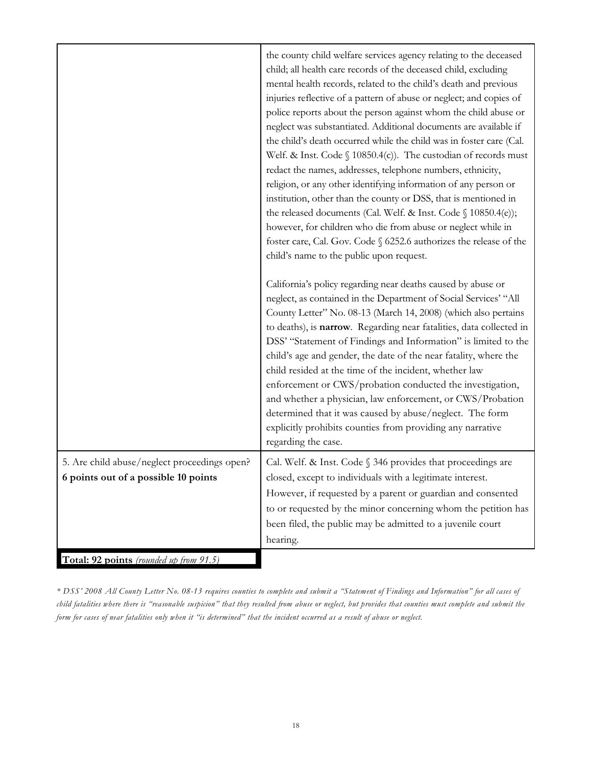|                                                                                      | the county child welfare services agency relating to the deceased<br>child; all health care records of the deceased child, excluding<br>mental health records, related to the child's death and previous<br>injuries reflective of a pattern of abuse or neglect; and copies of<br>police reports about the person against whom the child abuse or<br>neglect was substantiated. Additional documents are available if<br>the child's death occurred while the child was in foster care (Cal.<br>Welf. & Inst. Code $\S$ 10850.4(c)). The custodian of records must<br>redact the names, addresses, telephone numbers, ethnicity,<br>religion, or any other identifying information of any person or<br>institution, other than the county or DSS, that is mentioned in<br>the released documents (Cal. Welf. & Inst. Code § 10850.4(e));<br>however, for children who die from abuse or neglect while in<br>foster care, Cal. Gov. Code § 6252.6 authorizes the release of the<br>child's name to the public upon request.<br>California's policy regarding near deaths caused by abuse or<br>neglect, as contained in the Department of Social Services' "All<br>County Letter" No. 08-13 (March 14, 2008) (which also pertains<br>to deaths), is narrow. Regarding near fatalities, data collected in<br>DSS' "Statement of Findings and Information" is limited to the<br>child's age and gender, the date of the near fatality, where the<br>child resided at the time of the incident, whether law<br>enforcement or CWS/probation conducted the investigation,<br>and whether a physician, law enforcement, or CWS/Probation<br>determined that it was caused by abuse/neglect. The form<br>explicitly prohibits counties from providing any narrative<br>regarding the case. |
|--------------------------------------------------------------------------------------|--------------------------------------------------------------------------------------------------------------------------------------------------------------------------------------------------------------------------------------------------------------------------------------------------------------------------------------------------------------------------------------------------------------------------------------------------------------------------------------------------------------------------------------------------------------------------------------------------------------------------------------------------------------------------------------------------------------------------------------------------------------------------------------------------------------------------------------------------------------------------------------------------------------------------------------------------------------------------------------------------------------------------------------------------------------------------------------------------------------------------------------------------------------------------------------------------------------------------------------------------------------------------------------------------------------------------------------------------------------------------------------------------------------------------------------------------------------------------------------------------------------------------------------------------------------------------------------------------------------------------------------------------------------------------------------------------------------------------------------------------------------------------------------|
| 5. Are child abuse/neglect proceedings open?<br>6 points out of a possible 10 points | Cal. Welf. & Inst. Code § 346 provides that proceedings are<br>closed, except to individuals with a legitimate interest.<br>However, if requested by a parent or guardian and consented<br>to or requested by the minor concerning whom the petition has<br>been filed, the public may be admitted to a juvenile court<br>hearing.                                                                                                                                                                                                                                                                                                                                                                                                                                                                                                                                                                                                                                                                                                                                                                                                                                                                                                                                                                                                                                                                                                                                                                                                                                                                                                                                                                                                                                                   |
| Total: 92 points (rounded up from 91.5)                                              |                                                                                                                                                                                                                                                                                                                                                                                                                                                                                                                                                                                                                                                                                                                                                                                                                                                                                                                                                                                                                                                                                                                                                                                                                                                                                                                                                                                                                                                                                                                                                                                                                                                                                                                                                                                      |

*\* DSS' 2008 All County Letter No. 08-13 requires counties to complete and submit a "Statement of Findings and Information" for all cases of child fatalities where there is "reasonable suspicion" that they resulted from abuse or neglect, but provides that counties must complete and submit the form for cases of near fatalities only when it "is determined" that the incident occurred as a result of abuse or neglect.*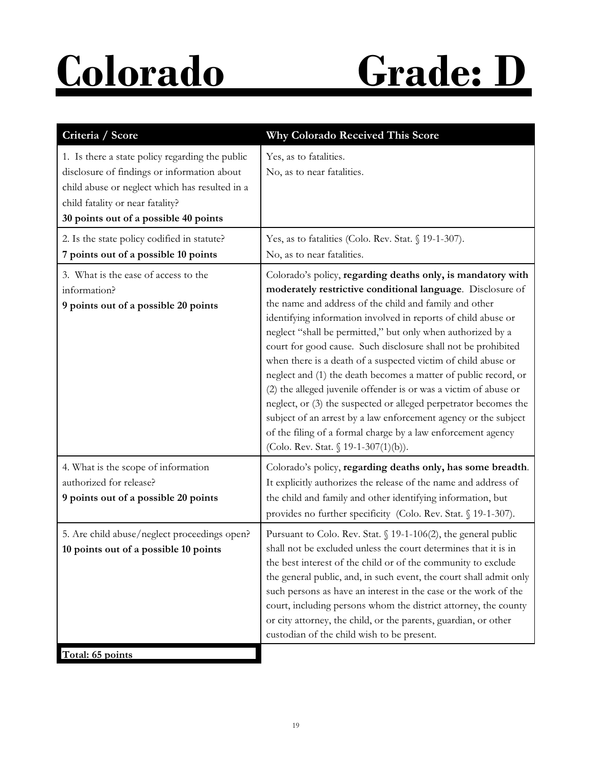# **Colorado Grade: D**

| Criteria / Score                                                                                                                                                                                                              | Why Colorado Received This Score                                                                                                                                                                                                                                                                                                                                                                                                                                                                                                                                                                                                                                                                                                                                                                                                            |
|-------------------------------------------------------------------------------------------------------------------------------------------------------------------------------------------------------------------------------|---------------------------------------------------------------------------------------------------------------------------------------------------------------------------------------------------------------------------------------------------------------------------------------------------------------------------------------------------------------------------------------------------------------------------------------------------------------------------------------------------------------------------------------------------------------------------------------------------------------------------------------------------------------------------------------------------------------------------------------------------------------------------------------------------------------------------------------------|
| 1. Is there a state policy regarding the public<br>disclosure of findings or information about<br>child abuse or neglect which has resulted in a<br>child fatality or near fatality?<br>30 points out of a possible 40 points | Yes, as to fatalities.<br>No, as to near fatalities.                                                                                                                                                                                                                                                                                                                                                                                                                                                                                                                                                                                                                                                                                                                                                                                        |
| 2. Is the state policy codified in statute?<br>7 points out of a possible 10 points                                                                                                                                           | Yes, as to fatalities (Colo. Rev. Stat. § 19-1-307).<br>No, as to near fatalities.                                                                                                                                                                                                                                                                                                                                                                                                                                                                                                                                                                                                                                                                                                                                                          |
| 3. What is the ease of access to the<br>information?<br>9 points out of a possible 20 points                                                                                                                                  | Colorado's policy, regarding deaths only, is mandatory with<br>moderately restrictive conditional language. Disclosure of<br>the name and address of the child and family and other<br>identifying information involved in reports of child abuse or<br>neglect "shall be permitted," but only when authorized by a<br>court for good cause. Such disclosure shall not be prohibited<br>when there is a death of a suspected victim of child abuse or<br>neglect and (1) the death becomes a matter of public record, or<br>(2) the alleged juvenile offender is or was a victim of abuse or<br>neglect, or (3) the suspected or alleged perpetrator becomes the<br>subject of an arrest by a law enforcement agency or the subject<br>of the filing of a formal charge by a law enforcement agency<br>(Colo. Rev. Stat. § 19-1-307(1)(b)). |
| 4. What is the scope of information<br>authorized for release?<br>9 points out of a possible 20 points                                                                                                                        | Colorado's policy, regarding deaths only, has some breadth.<br>It explicitly authorizes the release of the name and address of<br>the child and family and other identifying information, but<br>provides no further specificity (Colo. Rev. Stat. § 19-1-307).                                                                                                                                                                                                                                                                                                                                                                                                                                                                                                                                                                             |
| 5. Are child abuse/neglect proceedings open?<br>10 points out of a possible 10 points<br>Total: 65 points                                                                                                                     | Pursuant to Colo. Rev. Stat. § 19-1-106(2), the general public<br>shall not be excluded unless the court determines that it is in<br>the best interest of the child or of the community to exclude<br>the general public, and, in such event, the court shall admit only<br>such persons as have an interest in the case or the work of the<br>court, including persons whom the district attorney, the county<br>or city attorney, the child, or the parents, guardian, or other<br>custodian of the child wish to be present.                                                                                                                                                                                                                                                                                                             |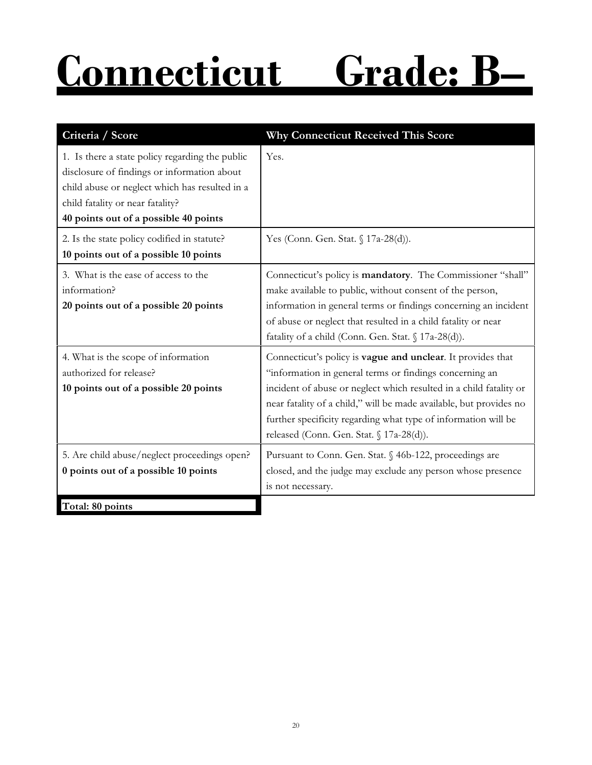# **Connecticut Grade: B–**

| Criteria / Score                                                                                                                                                                                                              | Why Connecticut Received This Score                                                                                                                                                                                                                                                                                                                                              |
|-------------------------------------------------------------------------------------------------------------------------------------------------------------------------------------------------------------------------------|----------------------------------------------------------------------------------------------------------------------------------------------------------------------------------------------------------------------------------------------------------------------------------------------------------------------------------------------------------------------------------|
| 1. Is there a state policy regarding the public<br>disclosure of findings or information about<br>child abuse or neglect which has resulted in a<br>child fatality or near fatality?<br>40 points out of a possible 40 points | Yes.                                                                                                                                                                                                                                                                                                                                                                             |
| 2. Is the state policy codified in statute?<br>10 points out of a possible 10 points                                                                                                                                          | Yes (Conn. Gen. Stat. § 17a-28(d)).                                                                                                                                                                                                                                                                                                                                              |
| 3. What is the ease of access to the<br>information?<br>20 points out of a possible 20 points                                                                                                                                 | Connecticut's policy is mandatory. The Commissioner "shall"<br>make available to public, without consent of the person,<br>information in general terms or findings concerning an incident<br>of abuse or neglect that resulted in a child fatality or near<br>fatality of a child (Conn. Gen. Stat. § 17a-28(d)).                                                               |
| 4. What is the scope of information<br>authorized for release?<br>10 points out of a possible 20 points                                                                                                                       | Connecticut's policy is vague and unclear. It provides that<br>"information in general terms or findings concerning an<br>incident of abuse or neglect which resulted in a child fatality or<br>near fatality of a child," will be made available, but provides no<br>further specificity regarding what type of information will be<br>released (Conn. Gen. Stat. § 17a-28(d)). |
| 5. Are child abuse/neglect proceedings open?<br>0 points out of a possible 10 points                                                                                                                                          | Pursuant to Conn. Gen. Stat. § 46b-122, proceedings are<br>closed, and the judge may exclude any person whose presence<br>is not necessary.                                                                                                                                                                                                                                      |
| Total: 80 points                                                                                                                                                                                                              |                                                                                                                                                                                                                                                                                                                                                                                  |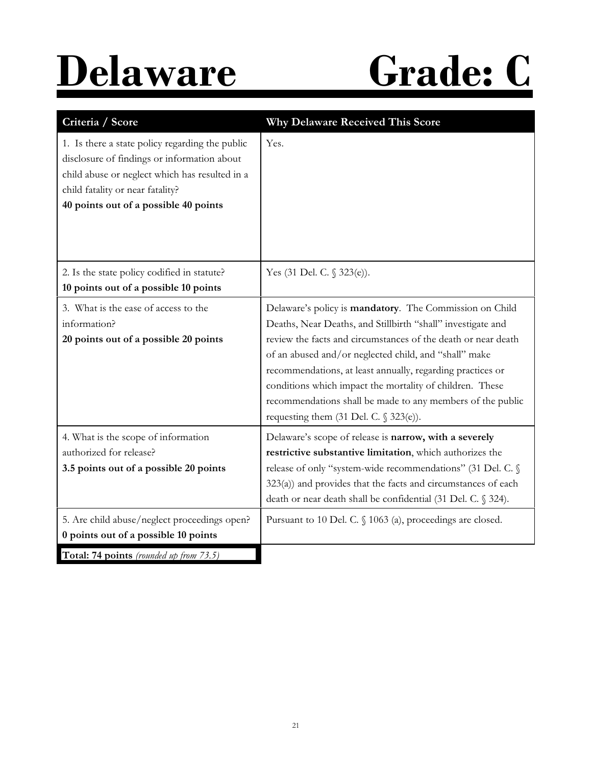# **Delaware Grade: C**

| Criteria / Score                                                                                                                                                                                                              | <b>Why Delaware Received This Score</b>                                                                                                                                                                                                                                                                                                                                                                                                                                                 |
|-------------------------------------------------------------------------------------------------------------------------------------------------------------------------------------------------------------------------------|-----------------------------------------------------------------------------------------------------------------------------------------------------------------------------------------------------------------------------------------------------------------------------------------------------------------------------------------------------------------------------------------------------------------------------------------------------------------------------------------|
| 1. Is there a state policy regarding the public<br>disclosure of findings or information about<br>child abuse or neglect which has resulted in a<br>child fatality or near fatality?<br>40 points out of a possible 40 points | Yes.                                                                                                                                                                                                                                                                                                                                                                                                                                                                                    |
| 2. Is the state policy codified in statute?<br>10 points out of a possible 10 points                                                                                                                                          | Yes (31 Del. C. § 323(e)).                                                                                                                                                                                                                                                                                                                                                                                                                                                              |
| 3. What is the ease of access to the<br>information?<br>20 points out of a possible 20 points                                                                                                                                 | Delaware's policy is mandatory. The Commission on Child<br>Deaths, Near Deaths, and Stillbirth "shall" investigate and<br>review the facts and circumstances of the death or near death<br>of an abused and/or neglected child, and "shall" make<br>recommendations, at least annually, regarding practices or<br>conditions which impact the mortality of children. These<br>recommendations shall be made to any members of the public<br>requesting them $(31$ Del. C. $\S 323(e)$ . |
| 4. What is the scope of information<br>authorized for release?<br>3.5 points out of a possible 20 points                                                                                                                      | Delaware's scope of release is narrow, with a severely<br>restrictive substantive limitation, which authorizes the<br>release of only "system-wide recommendations" (31 Del. C. §<br>$323(a)$ ) and provides that the facts and circumstances of each<br>death or near death shall be confidential (31 Del. C. § 324).                                                                                                                                                                  |
| 5. Are child abuse/neglect proceedings open?<br>0 points out of a possible 10 points                                                                                                                                          | Pursuant to 10 Del. C. § 1063 (a), proceedings are closed.                                                                                                                                                                                                                                                                                                                                                                                                                              |
| Total: 74 points (rounded up from 73.5)                                                                                                                                                                                       |                                                                                                                                                                                                                                                                                                                                                                                                                                                                                         |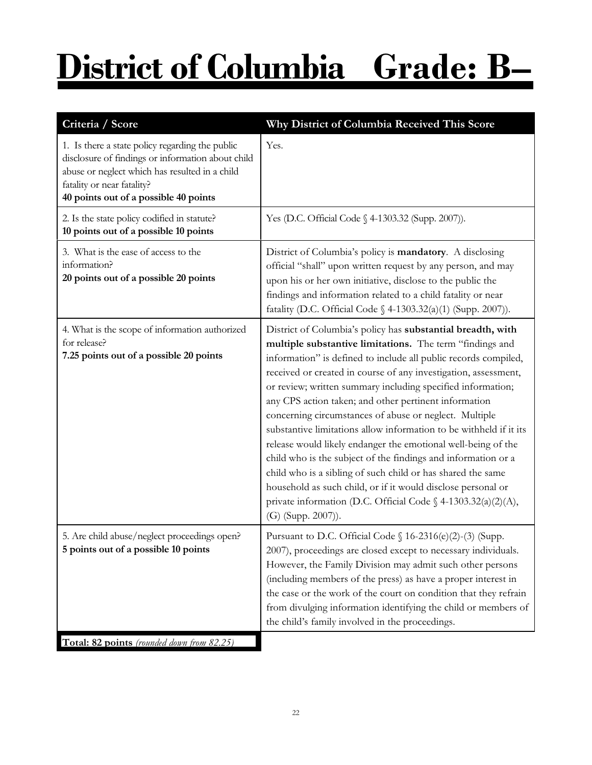# **District of Columbia Grade: B–**

| Criteria / Score                                                                                                                                                                                                              | Why District of Columbia Received This Score                                                                                                                                                                                                                                                                                                                                                                                                                                                                                                                                                                                                                                                                                                                                                                                                                                  |
|-------------------------------------------------------------------------------------------------------------------------------------------------------------------------------------------------------------------------------|-------------------------------------------------------------------------------------------------------------------------------------------------------------------------------------------------------------------------------------------------------------------------------------------------------------------------------------------------------------------------------------------------------------------------------------------------------------------------------------------------------------------------------------------------------------------------------------------------------------------------------------------------------------------------------------------------------------------------------------------------------------------------------------------------------------------------------------------------------------------------------|
| 1. Is there a state policy regarding the public<br>disclosure of findings or information about child<br>abuse or neglect which has resulted in a child<br>fatality or near fatality?<br>40 points out of a possible 40 points | Yes.                                                                                                                                                                                                                                                                                                                                                                                                                                                                                                                                                                                                                                                                                                                                                                                                                                                                          |
| 2. Is the state policy codified in statute?<br>10 points out of a possible 10 points                                                                                                                                          | Yes (D.C. Official Code § 4-1303.32 (Supp. 2007)).                                                                                                                                                                                                                                                                                                                                                                                                                                                                                                                                                                                                                                                                                                                                                                                                                            |
| 3. What is the ease of access to the<br>information?<br>20 points out of a possible 20 points                                                                                                                                 | District of Columbia's policy is mandatory. A disclosing<br>official "shall" upon written request by any person, and may<br>upon his or her own initiative, disclose to the public the<br>findings and information related to a child fatality or near<br>fatality (D.C. Official Code § 4-1303.32(a)(1) (Supp. 2007)).                                                                                                                                                                                                                                                                                                                                                                                                                                                                                                                                                       |
| 4. What is the scope of information authorized<br>for release?<br>7.25 points out of a possible 20 points                                                                                                                     | District of Columbia's policy has substantial breadth, with<br>multiple substantive limitations. The term "findings and<br>information" is defined to include all public records compiled,<br>received or created in course of any investigation, assessment,<br>or review; written summary including specified information;<br>any CPS action taken; and other pertinent information<br>concerning circumstances of abuse or neglect. Multiple<br>substantive limitations allow information to be withheld if it its<br>release would likely endanger the emotional well-being of the<br>child who is the subject of the findings and information or a<br>child who is a sibling of such child or has shared the same<br>household as such child, or if it would disclose personal or<br>private information (D.C. Official Code § 4-1303.32(a)(2)(A),<br>(G) (Supp. 2007)). |
| 5. Are child abuse/neglect proceedings open?<br>5 points out of a possible 10 points                                                                                                                                          | Pursuant to D.C. Official Code § 16-2316(e)(2)-(3) (Supp.<br>2007), proceedings are closed except to necessary individuals.<br>However, the Family Division may admit such other persons<br>(including members of the press) as have a proper interest in<br>the case or the work of the court on condition that they refrain<br>from divulging information identifying the child or members of<br>the child's family involved in the proceedings.                                                                                                                                                                                                                                                                                                                                                                                                                            |
| Total: 82 points (rounded down from 82.25)                                                                                                                                                                                    |                                                                                                                                                                                                                                                                                                                                                                                                                                                                                                                                                                                                                                                                                                                                                                                                                                                                               |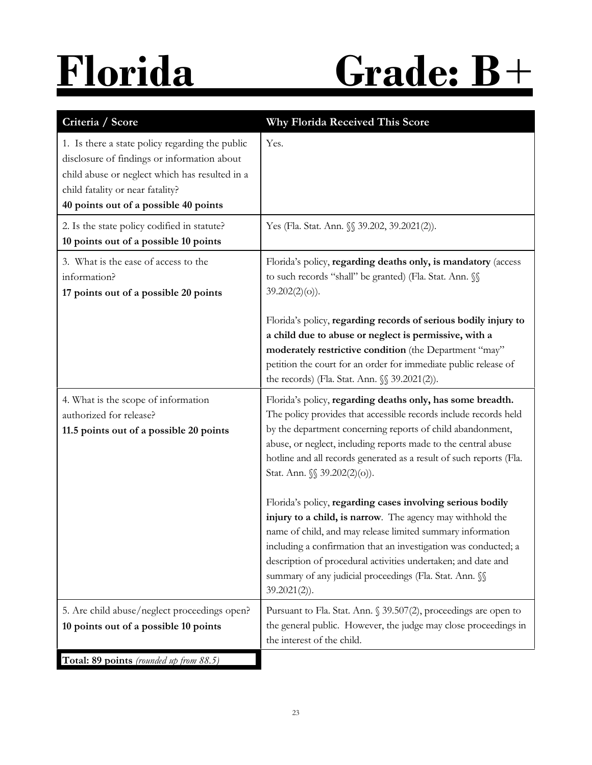# **Florida Grade: B**+

| Criteria / Score                                                                                                                                                                                                              | Why Florida Received This Score                                                                                                                                                                                                                                                                                                                                                                        |
|-------------------------------------------------------------------------------------------------------------------------------------------------------------------------------------------------------------------------------|--------------------------------------------------------------------------------------------------------------------------------------------------------------------------------------------------------------------------------------------------------------------------------------------------------------------------------------------------------------------------------------------------------|
| 1. Is there a state policy regarding the public<br>disclosure of findings or information about<br>child abuse or neglect which has resulted in a<br>child fatality or near fatality?<br>40 points out of a possible 40 points | Yes.                                                                                                                                                                                                                                                                                                                                                                                                   |
| 2. Is the state policy codified in statute?<br>10 points out of a possible 10 points                                                                                                                                          | Yes (Fla. Stat. Ann. §§ 39.202, 39.2021(2)).                                                                                                                                                                                                                                                                                                                                                           |
| 3. What is the ease of access to the<br>information?<br>17 points out of a possible 20 points                                                                                                                                 | Florida's policy, regarding deaths only, is mandatory (access<br>to such records "shall" be granted) (Fla. Stat. Ann. SS<br>$39.202(2)(o)$ ).                                                                                                                                                                                                                                                          |
|                                                                                                                                                                                                                               | Florida's policy, regarding records of serious bodily injury to<br>a child due to abuse or neglect is permissive, with a<br>moderately restrictive condition (the Department "may"<br>petition the court for an order for immediate public release of<br>the records) (Fla. Stat. Ann. $\S$ 39.2021(2)).                                                                                               |
|                                                                                                                                                                                                                               |                                                                                                                                                                                                                                                                                                                                                                                                        |
| 4. What is the scope of information<br>authorized for release?<br>11.5 points out of a possible 20 points                                                                                                                     | Florida's policy, regarding deaths only, has some breadth.<br>The policy provides that accessible records include records held<br>by the department concerning reports of child abandonment,<br>abuse, or neglect, including reports made to the central abuse<br>hotline and all records generated as a result of such reports (Fla.<br>Stat. Ann. §§ 39.202(2)(0)).                                  |
|                                                                                                                                                                                                                               | Florida's policy, regarding cases involving serious bodily<br>injury to a child, is narrow. The agency may withhold the<br>name of child, and may release limited summary information<br>including a confirmation that an investigation was conducted; a<br>description of procedural activities undertaken; and date and<br>summary of any judicial proceedings (Fla. Stat. Ann. SS<br>$39.2021(2)$ . |
| 5. Are child abuse/neglect proceedings open?<br>10 points out of a possible 10 points                                                                                                                                         | Pursuant to Fla. Stat. Ann. § 39.507(2), proceedings are open to<br>the general public. However, the judge may close proceedings in<br>the interest of the child.                                                                                                                                                                                                                                      |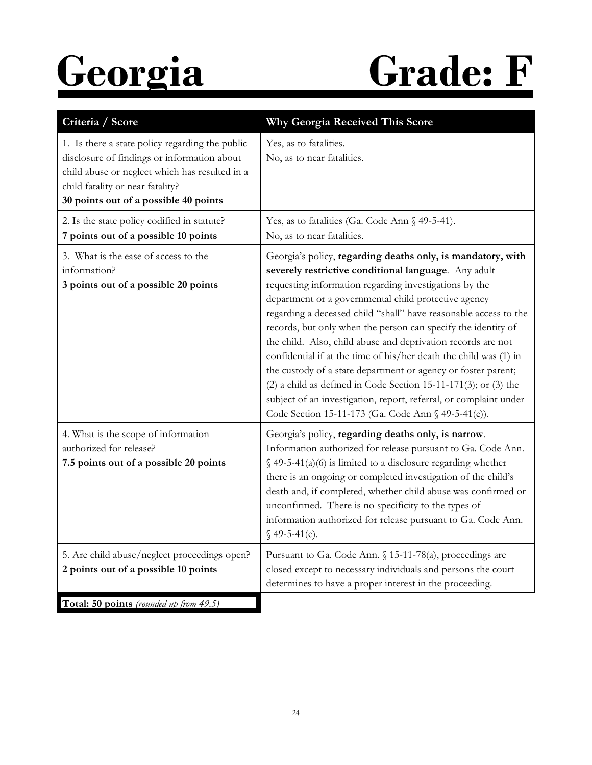# **Georgia Grade: F**

| Criteria / Score                                                                                                                                                                                                              | Why Georgia Received This Score                                                                                                                                                                                                                                                                                                                                                                                                                                                                                                                                                                                                                                                                                                                                                   |
|-------------------------------------------------------------------------------------------------------------------------------------------------------------------------------------------------------------------------------|-----------------------------------------------------------------------------------------------------------------------------------------------------------------------------------------------------------------------------------------------------------------------------------------------------------------------------------------------------------------------------------------------------------------------------------------------------------------------------------------------------------------------------------------------------------------------------------------------------------------------------------------------------------------------------------------------------------------------------------------------------------------------------------|
| 1. Is there a state policy regarding the public<br>disclosure of findings or information about<br>child abuse or neglect which has resulted in a<br>child fatality or near fatality?<br>30 points out of a possible 40 points | Yes, as to fatalities.<br>No, as to near fatalities.                                                                                                                                                                                                                                                                                                                                                                                                                                                                                                                                                                                                                                                                                                                              |
| 2. Is the state policy codified in statute?<br>7 points out of a possible 10 points                                                                                                                                           | Yes, as to fatalities (Ga. Code Ann § 49-5-41).<br>No, as to near fatalities.                                                                                                                                                                                                                                                                                                                                                                                                                                                                                                                                                                                                                                                                                                     |
| 3. What is the ease of access to the<br>information?<br>3 points out of a possible 20 points                                                                                                                                  | Georgia's policy, regarding deaths only, is mandatory, with<br>severely restrictive conditional language. Any adult<br>requesting information regarding investigations by the<br>department or a governmental child protective agency<br>regarding a deceased child "shall" have reasonable access to the<br>records, but only when the person can specify the identity of<br>the child. Also, child abuse and deprivation records are not<br>confidential if at the time of his/her death the child was (1) in<br>the custody of a state department or agency or foster parent;<br>$(2)$ a child as defined in Code Section 15-11-171(3); or (3) the<br>subject of an investigation, report, referral, or complaint under<br>Code Section 15-11-173 (Ga. Code Ann § 49-5-41(e)). |
| 4. What is the scope of information<br>authorized for release?<br>7.5 points out of a possible 20 points                                                                                                                      | Georgia's policy, regarding deaths only, is narrow.<br>Information authorized for release pursuant to Ga. Code Ann.<br>$\S$ 49-5-41(a)(6) is limited to a disclosure regarding whether<br>there is an ongoing or completed investigation of the child's<br>death and, if completed, whether child abuse was confirmed or<br>unconfirmed. There is no specificity to the types of<br>information authorized for release pursuant to Ga. Code Ann.<br>$$49-5-41(e).$                                                                                                                                                                                                                                                                                                                |
| 5. Are child abuse/neglect proceedings open?<br>2 points out of a possible 10 points                                                                                                                                          | Pursuant to Ga. Code Ann. § 15-11-78(a), proceedings are<br>closed except to necessary individuals and persons the court<br>determines to have a proper interest in the proceeding.                                                                                                                                                                                                                                                                                                                                                                                                                                                                                                                                                                                               |
| Total: 50 points (rounded up from 49.5)                                                                                                                                                                                       |                                                                                                                                                                                                                                                                                                                                                                                                                                                                                                                                                                                                                                                                                                                                                                                   |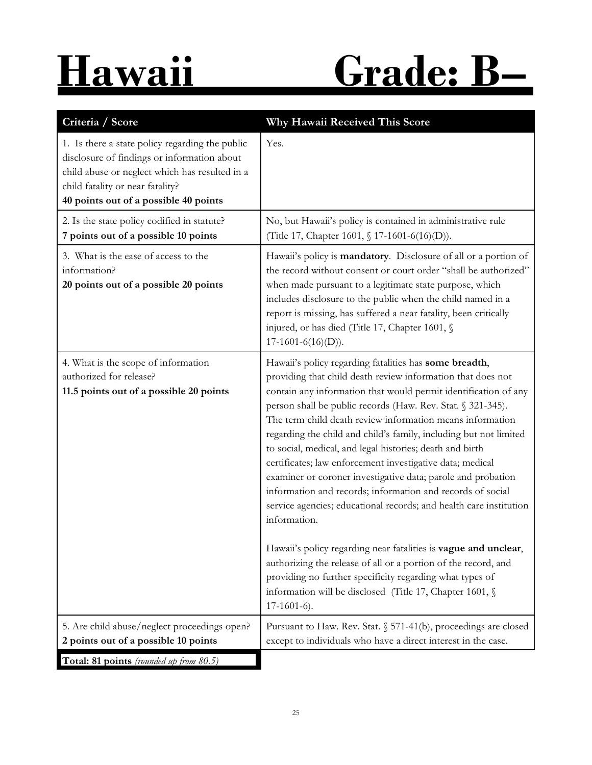# **Hawaii Grade: B–**

| Criteria / Score                                                                                                                                                                                                              | Why Hawaii Received This Score                                                                                                                                                                                                                                                                                                                                                                                                                                                                                                                                                                                                                                                                                                                                                                                                                                                                                                                                                                      |
|-------------------------------------------------------------------------------------------------------------------------------------------------------------------------------------------------------------------------------|-----------------------------------------------------------------------------------------------------------------------------------------------------------------------------------------------------------------------------------------------------------------------------------------------------------------------------------------------------------------------------------------------------------------------------------------------------------------------------------------------------------------------------------------------------------------------------------------------------------------------------------------------------------------------------------------------------------------------------------------------------------------------------------------------------------------------------------------------------------------------------------------------------------------------------------------------------------------------------------------------------|
| 1. Is there a state policy regarding the public<br>disclosure of findings or information about<br>child abuse or neglect which has resulted in a<br>child fatality or near fatality?<br>40 points out of a possible 40 points | Yes.                                                                                                                                                                                                                                                                                                                                                                                                                                                                                                                                                                                                                                                                                                                                                                                                                                                                                                                                                                                                |
| 2. Is the state policy codified in statute?<br>7 points out of a possible 10 points                                                                                                                                           | No, but Hawaii's policy is contained in administrative rule<br>(Title 17, Chapter 1601, § 17-1601-6(16)(D)).                                                                                                                                                                                                                                                                                                                                                                                                                                                                                                                                                                                                                                                                                                                                                                                                                                                                                        |
| 3. What is the ease of access to the<br>information?<br>20 points out of a possible 20 points                                                                                                                                 | Hawaii's policy is mandatory. Disclosure of all or a portion of<br>the record without consent or court order "shall be authorized"<br>when made pursuant to a legitimate state purpose, which<br>includes disclosure to the public when the child named in a<br>report is missing, has suffered a near fatality, been critically<br>injured, or has died (Title 17, Chapter 1601, §<br>$17-1601-6(16)(D)$ ).                                                                                                                                                                                                                                                                                                                                                                                                                                                                                                                                                                                        |
| 4. What is the scope of information<br>authorized for release?<br>11.5 points out of a possible 20 points                                                                                                                     | Hawaii's policy regarding fatalities has some breadth,<br>providing that child death review information that does not<br>contain any information that would permit identification of any<br>person shall be public records (Haw. Rev. Stat. § 321-345).<br>The term child death review information means information<br>regarding the child and child's family, including but not limited<br>to social, medical, and legal histories; death and birth<br>certificates; law enforcement investigative data; medical<br>examiner or coroner investigative data; parole and probation<br>information and records; information and records of social<br>service agencies; educational records; and health care institution<br>information.<br>Hawaii's policy regarding near fatalities is vague and unclear,<br>authorizing the release of all or a portion of the record, and<br>providing no further specificity regarding what types of<br>information will be disclosed (Title 17, Chapter 1601, § |
|                                                                                                                                                                                                                               | $17-1601-6$ .                                                                                                                                                                                                                                                                                                                                                                                                                                                                                                                                                                                                                                                                                                                                                                                                                                                                                                                                                                                       |
| 5. Are child abuse/neglect proceedings open?<br>2 points out of a possible 10 points                                                                                                                                          | Pursuant to Haw. Rev. Stat. § 571-41(b), proceedings are closed<br>except to individuals who have a direct interest in the case.                                                                                                                                                                                                                                                                                                                                                                                                                                                                                                                                                                                                                                                                                                                                                                                                                                                                    |
| Total: 81 points (rounded up from 80.5)                                                                                                                                                                                       |                                                                                                                                                                                                                                                                                                                                                                                                                                                                                                                                                                                                                                                                                                                                                                                                                                                                                                                                                                                                     |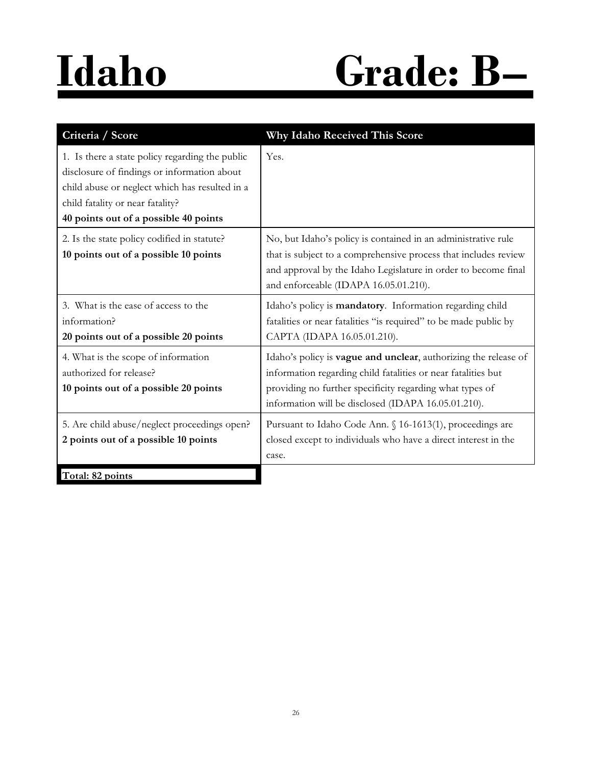# **Idaho Grade: B–**

| Criteria / Score                                                                                                                                                                                                              | Why Idaho Received This Score                                                                                                                                                                                                                               |
|-------------------------------------------------------------------------------------------------------------------------------------------------------------------------------------------------------------------------------|-------------------------------------------------------------------------------------------------------------------------------------------------------------------------------------------------------------------------------------------------------------|
| 1. Is there a state policy regarding the public<br>disclosure of findings or information about<br>child abuse or neglect which has resulted in a<br>child fatality or near fatality?<br>40 points out of a possible 40 points | Yes.                                                                                                                                                                                                                                                        |
| 2. Is the state policy codified in statute?<br>10 points out of a possible 10 points                                                                                                                                          | No, but Idaho's policy is contained in an administrative rule<br>that is subject to a comprehensive process that includes review<br>and approval by the Idaho Legislature in order to become final<br>and enforceable (IDAPA 16.05.01.210).                 |
| 3. What is the ease of access to the<br>information?<br>20 points out of a possible 20 points                                                                                                                                 | Idaho's policy is mandatory. Information regarding child<br>fatalities or near fatalities "is required" to be made public by<br>CAPTA (IDAPA 16.05.01.210).                                                                                                 |
| 4. What is the scope of information<br>authorized for release?<br>10 points out of a possible 20 points                                                                                                                       | Idaho's policy is <b>vague and unclear</b> , authorizing the release of<br>information regarding child fatalities or near fatalities but<br>providing no further specificity regarding what types of<br>information will be disclosed (IDAPA 16.05.01.210). |
| 5. Are child abuse/neglect proceedings open?<br>2 points out of a possible 10 points                                                                                                                                          | Pursuant to Idaho Code Ann. § 16-1613(1), proceedings are<br>closed except to individuals who have a direct interest in the<br>case.                                                                                                                        |
| Total: 82 points                                                                                                                                                                                                              |                                                                                                                                                                                                                                                             |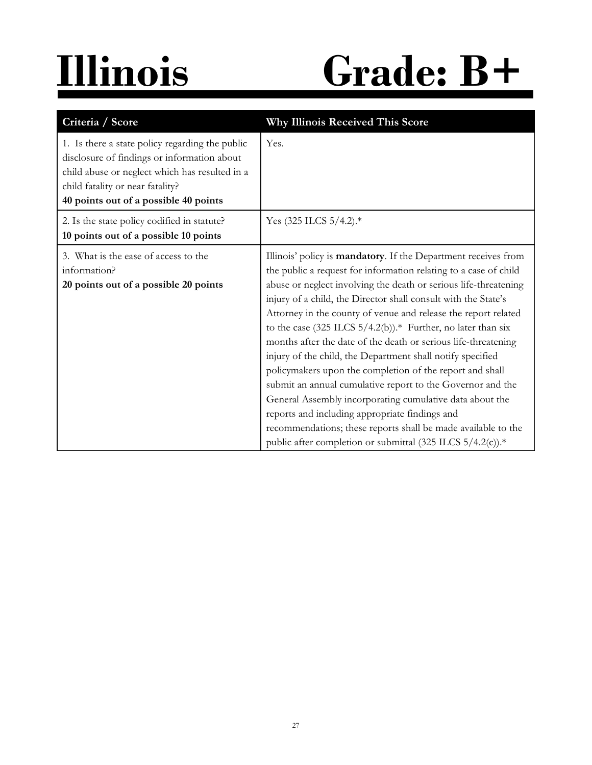# **Illinois Grade: B+**

| Criteria / Score                                                                                                                                                                                                              | <b>Why Illinois Received This Score</b>                                                                                                                                                                                                                                                                                                                                                                                                                                                                                                                                                                                                                                                                                                                                                                                                                                                                                            |
|-------------------------------------------------------------------------------------------------------------------------------------------------------------------------------------------------------------------------------|------------------------------------------------------------------------------------------------------------------------------------------------------------------------------------------------------------------------------------------------------------------------------------------------------------------------------------------------------------------------------------------------------------------------------------------------------------------------------------------------------------------------------------------------------------------------------------------------------------------------------------------------------------------------------------------------------------------------------------------------------------------------------------------------------------------------------------------------------------------------------------------------------------------------------------|
| 1. Is there a state policy regarding the public<br>disclosure of findings or information about<br>child abuse or neglect which has resulted in a<br>child fatality or near fatality?<br>40 points out of a possible 40 points | Yes.                                                                                                                                                                                                                                                                                                                                                                                                                                                                                                                                                                                                                                                                                                                                                                                                                                                                                                                               |
| 2. Is the state policy codified in statute?<br>10 points out of a possible 10 points                                                                                                                                          | Yes $(325$ ILCS $5/4.2$ ).*                                                                                                                                                                                                                                                                                                                                                                                                                                                                                                                                                                                                                                                                                                                                                                                                                                                                                                        |
| 3. What is the ease of access to the<br>information?<br>20 points out of a possible 20 points                                                                                                                                 | Illinois' policy is mandatory. If the Department receives from<br>the public a request for information relating to a case of child<br>abuse or neglect involving the death or serious life-threatening<br>injury of a child, the Director shall consult with the State's<br>Attorney in the county of venue and release the report related<br>to the case $(325$ ILCS $5/4.2(b)$ ). <sup>*</sup> Further, no later than six<br>months after the date of the death or serious life-threatening<br>injury of the child, the Department shall notify specified<br>policymakers upon the completion of the report and shall<br>submit an annual cumulative report to the Governor and the<br>General Assembly incorporating cumulative data about the<br>reports and including appropriate findings and<br>recommendations; these reports shall be made available to the<br>public after completion or submittal (325 ILCS 5/4.2(c)).* |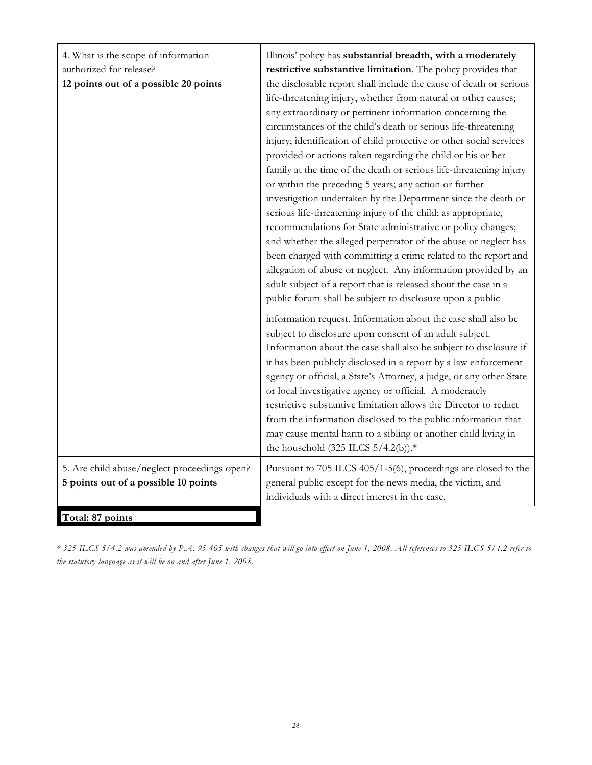| 4. What is the scope of information<br>authorized for release?<br>12 points out of a possible 20 points | Illinois' policy has substantial breadth, with a moderately<br>restrictive substantive limitation. The policy provides that<br>the disclosable report shall include the cause of death or serious<br>life-threatening injury, whether from natural or other causes;<br>any extraordinary or pertinent information concerning the<br>circumstances of the child's death or serious life-threatening<br>injury; identification of child protective or other social services<br>provided or actions taken regarding the child or his or her<br>family at the time of the death or serious life-threatening injury<br>or within the preceding 5 years; any action or further<br>investigation undertaken by the Department since the death or<br>serious life-threatening injury of the child; as appropriate,<br>recommendations for State administrative or policy changes;<br>and whether the alleged perpetrator of the abuse or neglect has<br>been charged with committing a crime related to the report and<br>allegation of abuse or neglect. Any information provided by an<br>adult subject of a report that is released about the case in a<br>public forum shall be subject to disclosure upon a public |
|---------------------------------------------------------------------------------------------------------|-----------------------------------------------------------------------------------------------------------------------------------------------------------------------------------------------------------------------------------------------------------------------------------------------------------------------------------------------------------------------------------------------------------------------------------------------------------------------------------------------------------------------------------------------------------------------------------------------------------------------------------------------------------------------------------------------------------------------------------------------------------------------------------------------------------------------------------------------------------------------------------------------------------------------------------------------------------------------------------------------------------------------------------------------------------------------------------------------------------------------------------------------------------------------------------------------------------------|
| 5. Are child abuse/neglect proceedings open?                                                            | information request. Information about the case shall also be<br>subject to disclosure upon consent of an adult subject.<br>Information about the case shall also be subject to disclosure if<br>it has been publicly disclosed in a report by a law enforcement<br>agency or official, a State's Attorney, a judge, or any other State<br>or local investigative agency or official. A moderately<br>restrictive substantive limitation allows the Director to redact<br>from the information disclosed to the public information that<br>may cause mental harm to a sibling or another child living in<br>the household $(325$ ILCS $5/4.2(b)$ ).*<br>Pursuant to 705 ILCS 405/1-5(6), proceedings are closed to the                                                                                                                                                                                                                                                                                                                                                                                                                                                                                          |
| 5 points out of a possible 10 points                                                                    | general public except for the news media, the victim, and<br>individuals with a direct interest in the case.                                                                                                                                                                                                                                                                                                                                                                                                                                                                                                                                                                                                                                                                                                                                                                                                                                                                                                                                                                                                                                                                                                    |
| Total: 87 points                                                                                        |                                                                                                                                                                                                                                                                                                                                                                                                                                                                                                                                                                                                                                                                                                                                                                                                                                                                                                                                                                                                                                                                                                                                                                                                                 |

*\* 325 ILCS 5/4.2 was amended by P.A. 95-405 with changes that will go into effect on June 1, 2008. All references to 325 ILCS 5/4.2 refer to the statutory language as it will be on and after June 1, 2008.*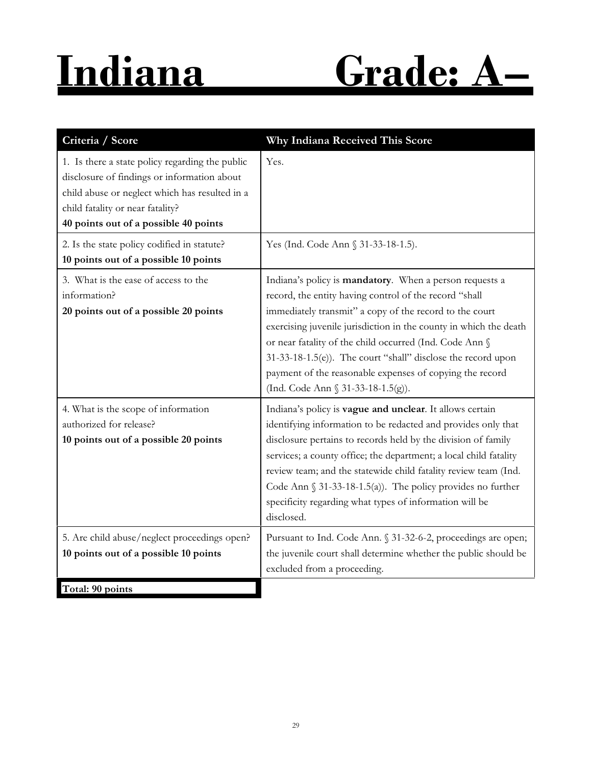# **Indiana Grade: A–**

| Criteria / Score                                                                                                                                                                                                              | Why Indiana Received This Score                                                                                                                                                                                                                                                                                                                                                                                                                                                |
|-------------------------------------------------------------------------------------------------------------------------------------------------------------------------------------------------------------------------------|--------------------------------------------------------------------------------------------------------------------------------------------------------------------------------------------------------------------------------------------------------------------------------------------------------------------------------------------------------------------------------------------------------------------------------------------------------------------------------|
| 1. Is there a state policy regarding the public<br>disclosure of findings or information about<br>child abuse or neglect which has resulted in a<br>child fatality or near fatality?<br>40 points out of a possible 40 points | Yes.                                                                                                                                                                                                                                                                                                                                                                                                                                                                           |
| 2. Is the state policy codified in statute?<br>10 points out of a possible 10 points                                                                                                                                          | Yes (Ind. Code Ann § 31-33-18-1.5).                                                                                                                                                                                                                                                                                                                                                                                                                                            |
| 3. What is the ease of access to the<br>information?<br>20 points out of a possible 20 points                                                                                                                                 | Indiana's policy is mandatory. When a person requests a<br>record, the entity having control of the record "shall<br>immediately transmit" a copy of the record to the court<br>exercising juvenile jurisdiction in the county in which the death<br>or near fatality of the child occurred (Ind. Code Ann §<br>31-33-18-1.5(e)). The court "shall" disclose the record upon<br>payment of the reasonable expenses of copying the record<br>(Ind. Code Ann § 31-33-18-1.5(g)). |
| 4. What is the scope of information<br>authorized for release?<br>10 points out of a possible 20 points                                                                                                                       | Indiana's policy is vague and unclear. It allows certain<br>identifying information to be redacted and provides only that<br>disclosure pertains to records held by the division of family<br>services; a county office; the department; a local child fatality<br>review team; and the statewide child fatality review team (Ind.<br>Code Ann $\S$ 31-33-18-1.5(a)). The policy provides no further<br>specificity regarding what types of information will be<br>disclosed.  |
| 5. Are child abuse/neglect proceedings open?<br>10 points out of a possible 10 points                                                                                                                                         | Pursuant to Ind. Code Ann. § 31-32-6-2, proceedings are open;<br>the juvenile court shall determine whether the public should be<br>excluded from a proceeding.                                                                                                                                                                                                                                                                                                                |
| Total: 90 points                                                                                                                                                                                                              |                                                                                                                                                                                                                                                                                                                                                                                                                                                                                |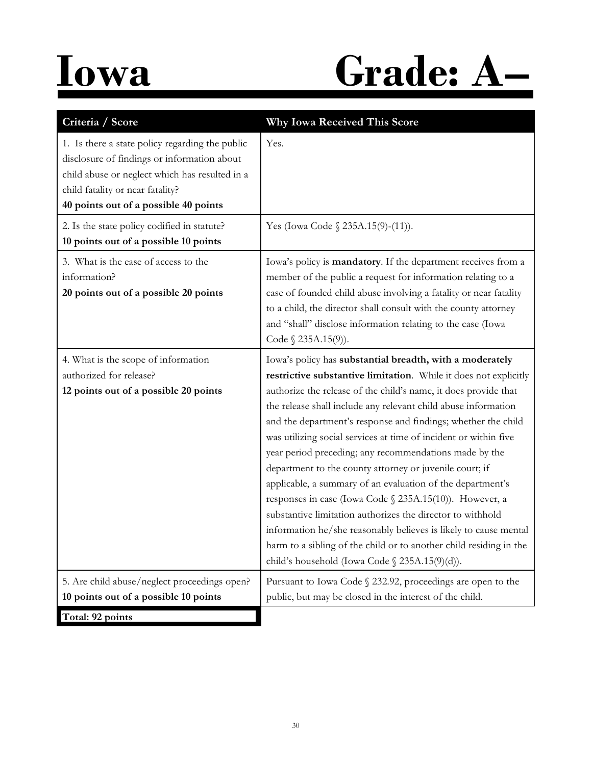## **Iowa Grade: A–**

| Criteria / Score                                                                                                                                                                                                              | Why Iowa Received This Score                                                                                                                                                                                                                                                                                                                                                                                                                                                                                                                                                                                                                                                                                                                                                                                                                                                                                   |
|-------------------------------------------------------------------------------------------------------------------------------------------------------------------------------------------------------------------------------|----------------------------------------------------------------------------------------------------------------------------------------------------------------------------------------------------------------------------------------------------------------------------------------------------------------------------------------------------------------------------------------------------------------------------------------------------------------------------------------------------------------------------------------------------------------------------------------------------------------------------------------------------------------------------------------------------------------------------------------------------------------------------------------------------------------------------------------------------------------------------------------------------------------|
| 1. Is there a state policy regarding the public<br>disclosure of findings or information about<br>child abuse or neglect which has resulted in a<br>child fatality or near fatality?<br>40 points out of a possible 40 points | Yes.                                                                                                                                                                                                                                                                                                                                                                                                                                                                                                                                                                                                                                                                                                                                                                                                                                                                                                           |
| 2. Is the state policy codified in statute?<br>10 points out of a possible 10 points                                                                                                                                          | Yes (Iowa Code § 235A.15(9)-(11)).                                                                                                                                                                                                                                                                                                                                                                                                                                                                                                                                                                                                                                                                                                                                                                                                                                                                             |
| 3. What is the ease of access to the<br>information?<br>20 points out of a possible 20 points                                                                                                                                 | Iowa's policy is mandatory. If the department receives from a<br>member of the public a request for information relating to a<br>case of founded child abuse involving a fatality or near fatality<br>to a child, the director shall consult with the county attorney<br>and "shall" disclose information relating to the case (Iowa<br>Code $\S$ 235A.15(9)).                                                                                                                                                                                                                                                                                                                                                                                                                                                                                                                                                 |
| 4. What is the scope of information<br>authorized for release?<br>12 points out of a possible 20 points                                                                                                                       | Iowa's policy has substantial breadth, with a moderately<br>restrictive substantive limitation. While it does not explicitly<br>authorize the release of the child's name, it does provide that<br>the release shall include any relevant child abuse information<br>and the department's response and findings; whether the child<br>was utilizing social services at time of incident or within five<br>year period preceding; any recommendations made by the<br>department to the county attorney or juvenile court; if<br>applicable, a summary of an evaluation of the department's<br>responses in case (Iowa Code § 235A.15(10)). However, a<br>substantive limitation authorizes the director to withhold<br>information he/she reasonably believes is likely to cause mental<br>harm to a sibling of the child or to another child residing in the<br>child's household (Iowa Code § 235A.15(9)(d)). |
| 5. Are child abuse/neglect proceedings open?                                                                                                                                                                                  | Pursuant to Iowa Code § 232.92, proceedings are open to the                                                                                                                                                                                                                                                                                                                                                                                                                                                                                                                                                                                                                                                                                                                                                                                                                                                    |
| 10 points out of a possible 10 points<br>Total: 92 points                                                                                                                                                                     | public, but may be closed in the interest of the child.                                                                                                                                                                                                                                                                                                                                                                                                                                                                                                                                                                                                                                                                                                                                                                                                                                                        |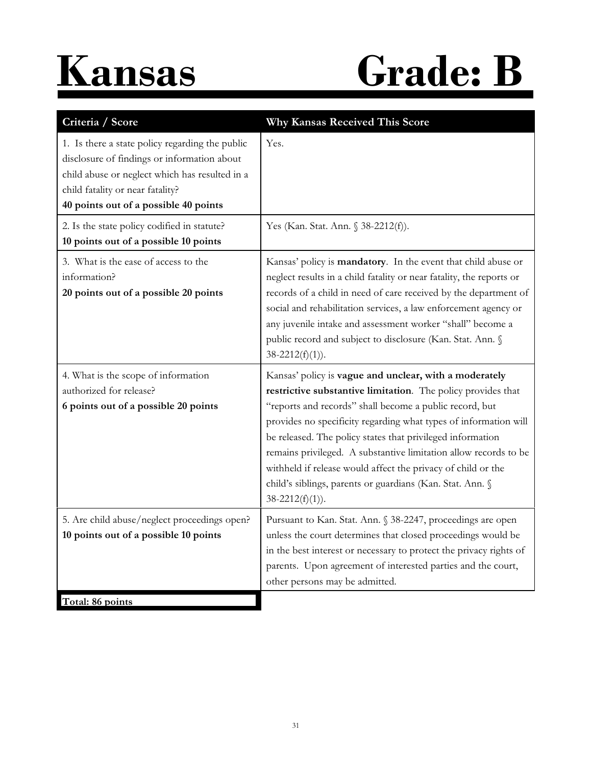

# **Kansas Grade: B**

| Criteria / Score                                                                                                                                                                                                              | Why Kansas Received This Score                                                                                                                                                                                                                                                                                                                                                                                                                                                                                                            |
|-------------------------------------------------------------------------------------------------------------------------------------------------------------------------------------------------------------------------------|-------------------------------------------------------------------------------------------------------------------------------------------------------------------------------------------------------------------------------------------------------------------------------------------------------------------------------------------------------------------------------------------------------------------------------------------------------------------------------------------------------------------------------------------|
| 1. Is there a state policy regarding the public<br>disclosure of findings or information about<br>child abuse or neglect which has resulted in a<br>child fatality or near fatality?<br>40 points out of a possible 40 points | Yes.                                                                                                                                                                                                                                                                                                                                                                                                                                                                                                                                      |
| 2. Is the state policy codified in statute?<br>10 points out of a possible 10 points                                                                                                                                          | Yes (Kan. Stat. Ann. § 38-2212(f)).                                                                                                                                                                                                                                                                                                                                                                                                                                                                                                       |
| 3. What is the ease of access to the<br>information?<br>20 points out of a possible 20 points                                                                                                                                 | Kansas' policy is mandatory. In the event that child abuse or<br>neglect results in a child fatality or near fatality, the reports or<br>records of a child in need of care received by the department of<br>social and rehabilitation services, a law enforcement agency or<br>any juvenile intake and assessment worker "shall" become a<br>public record and subject to disclosure (Kan. Stat. Ann. §<br>$38-2212(f)(1)$ ).                                                                                                            |
| 4. What is the scope of information<br>authorized for release?<br>6 points out of a possible 20 points                                                                                                                        | Kansas' policy is vague and unclear, with a moderately<br>restrictive substantive limitation. The policy provides that<br>"reports and records" shall become a public record, but<br>provides no specificity regarding what types of information will<br>be released. The policy states that privileged information<br>remains privileged. A substantive limitation allow records to be<br>withheld if release would affect the privacy of child or the<br>child's siblings, parents or guardians (Kan. Stat. Ann. §<br>$38-2212(f)(1)$ . |
| 5. Are child abuse/neglect proceedings open?<br>10 points out of a possible 10 points                                                                                                                                         | Pursuant to Kan. Stat. Ann. § 38-2247, proceedings are open<br>unless the court determines that closed proceedings would be<br>in the best interest or necessary to protect the privacy rights of<br>parents. Upon agreement of interested parties and the court,<br>other persons may be admitted.                                                                                                                                                                                                                                       |
| Total: 86 points                                                                                                                                                                                                              |                                                                                                                                                                                                                                                                                                                                                                                                                                                                                                                                           |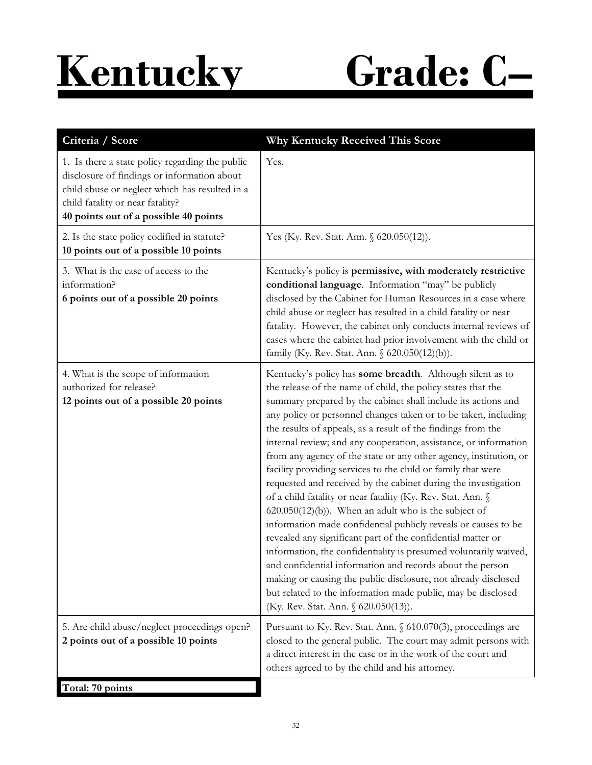

| Criteria / Score                                                                                                                                                                                                              | <b>Why Kentucky Received This Score</b>                                                                                                                                                                                                                                                                                                                                                                                                                                                                                                                                                                                                                                                                                                                                                                                                                                                                                                                                                                                                                                                                                                                                        |
|-------------------------------------------------------------------------------------------------------------------------------------------------------------------------------------------------------------------------------|--------------------------------------------------------------------------------------------------------------------------------------------------------------------------------------------------------------------------------------------------------------------------------------------------------------------------------------------------------------------------------------------------------------------------------------------------------------------------------------------------------------------------------------------------------------------------------------------------------------------------------------------------------------------------------------------------------------------------------------------------------------------------------------------------------------------------------------------------------------------------------------------------------------------------------------------------------------------------------------------------------------------------------------------------------------------------------------------------------------------------------------------------------------------------------|
| 1. Is there a state policy regarding the public<br>disclosure of findings or information about<br>child abuse or neglect which has resulted in a<br>child fatality or near fatality?<br>40 points out of a possible 40 points | Yes.                                                                                                                                                                                                                                                                                                                                                                                                                                                                                                                                                                                                                                                                                                                                                                                                                                                                                                                                                                                                                                                                                                                                                                           |
| 2. Is the state policy codified in statute?<br>10 points out of a possible 10 points                                                                                                                                          | Yes (Ky. Rev. Stat. Ann. § 620.050(12)).                                                                                                                                                                                                                                                                                                                                                                                                                                                                                                                                                                                                                                                                                                                                                                                                                                                                                                                                                                                                                                                                                                                                       |
| 3. What is the ease of access to the<br>information?<br>6 points out of a possible 20 points                                                                                                                                  | Kentucky's policy is permissive, with moderately restrictive<br>conditional language. Information "may" be publicly<br>disclosed by the Cabinet for Human Resources in a case where<br>child abuse or neglect has resulted in a child fatality or near<br>fatality. However, the cabinet only conducts internal reviews of<br>cases where the cabinet had prior involvement with the child or<br>family (Ky. Rev. Stat. Ann. § 620.050(12)(b)).                                                                                                                                                                                                                                                                                                                                                                                                                                                                                                                                                                                                                                                                                                                                |
| 4. What is the scope of information<br>authorized for release?<br>12 points out of a possible 20 points                                                                                                                       | Kentucky's policy has some breadth. Although silent as to<br>the release of the name of child, the policy states that the<br>summary prepared by the cabinet shall include its actions and<br>any policy or personnel changes taken or to be taken, including<br>the results of appeals, as a result of the findings from the<br>internal review; and any cooperation, assistance, or information<br>from any agency of the state or any other agency, institution, or<br>facility providing services to the child or family that were<br>requested and received by the cabinet during the investigation<br>of a child fatality or near fatality (Ky. Rev. Stat. Ann. §<br>$620.050(12)(b)$ ). When an adult who is the subject of<br>information made confidential publicly reveals or causes to be<br>revealed any significant part of the confidential matter or<br>information, the confidentiality is presumed voluntarily waived,<br>and confidential information and records about the person<br>making or causing the public disclosure, not already disclosed<br>but related to the information made public, may be disclosed<br>(Ky. Rev. Stat. Ann. § 620.050(13)). |
| 5. Are child abuse/neglect proceedings open?<br>2 points out of a possible 10 points                                                                                                                                          | Pursuant to Ky. Rev. Stat. Ann. § 610.070(3), proceedings are<br>closed to the general public. The court may admit persons with<br>a direct interest in the case or in the work of the court and<br>others agreed to by the child and his attorney.                                                                                                                                                                                                                                                                                                                                                                                                                                                                                                                                                                                                                                                                                                                                                                                                                                                                                                                            |
| Total: 70 points                                                                                                                                                                                                              |                                                                                                                                                                                                                                                                                                                                                                                                                                                                                                                                                                                                                                                                                                                                                                                                                                                                                                                                                                                                                                                                                                                                                                                |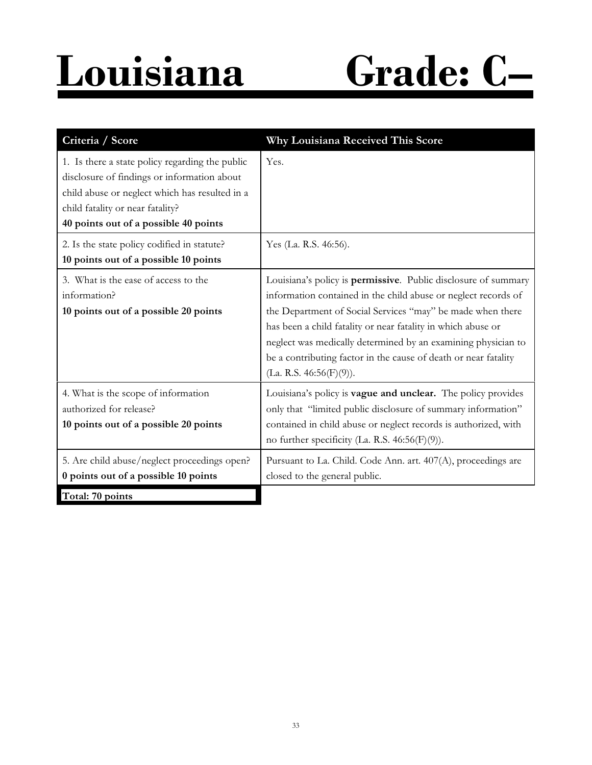## **Louisiana Grade: C–**

| Criteria / Score                                                                                                                                                                                                              | Why Louisiana Received This Score                                                                                                                                                                                                                                                                                                                                                                                                |
|-------------------------------------------------------------------------------------------------------------------------------------------------------------------------------------------------------------------------------|----------------------------------------------------------------------------------------------------------------------------------------------------------------------------------------------------------------------------------------------------------------------------------------------------------------------------------------------------------------------------------------------------------------------------------|
| 1. Is there a state policy regarding the public<br>disclosure of findings or information about<br>child abuse or neglect which has resulted in a<br>child fatality or near fatality?<br>40 points out of a possible 40 points | Yes.                                                                                                                                                                                                                                                                                                                                                                                                                             |
| 2. Is the state policy codified in statute?<br>10 points out of a possible 10 points                                                                                                                                          | Yes (La. R.S. 46:56).                                                                                                                                                                                                                                                                                                                                                                                                            |
| 3. What is the ease of access to the<br>information?<br>10 points out of a possible 20 points                                                                                                                                 | Louisiana's policy is permissive. Public disclosure of summary<br>information contained in the child abuse or neglect records of<br>the Department of Social Services "may" be made when there<br>has been a child fatality or near fatality in which abuse or<br>neglect was medically determined by an examining physician to<br>be a contributing factor in the cause of death or near fatality<br>(La. R.S. $46:56(F)(9)$ ). |
| 4. What is the scope of information<br>authorized for release?<br>10 points out of a possible 20 points                                                                                                                       | Louisiana's policy is vague and unclear. The policy provides<br>only that "limited public disclosure of summary information"<br>contained in child abuse or neglect records is authorized, with<br>no further specificity (La. R.S. $46:56(F)(9)$ ).                                                                                                                                                                             |
| 5. Are child abuse/neglect proceedings open?<br>0 points out of a possible 10 points                                                                                                                                          | Pursuant to La. Child. Code Ann. art. 407(A), proceedings are<br>closed to the general public.                                                                                                                                                                                                                                                                                                                                   |
| Total: 70 points                                                                                                                                                                                                              |                                                                                                                                                                                                                                                                                                                                                                                                                                  |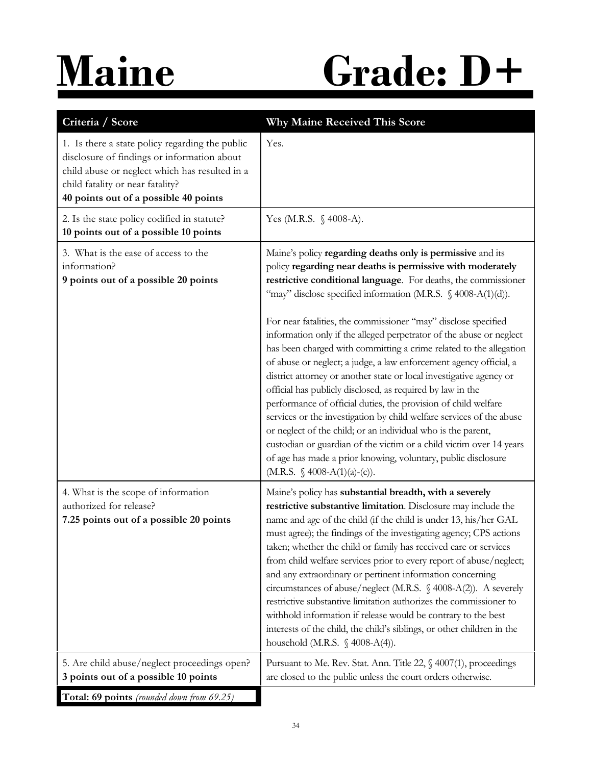## **Maine Grade: D+**

| Criteria / Score                                                                                                                                                                                                              | Why Maine Received This Score                                                                                                                                                                                                                                                                                                                                                                                                                                                                                                                                                                                                                                                                                                                                                                                                                                                                                                                                                                                                                                                 |
|-------------------------------------------------------------------------------------------------------------------------------------------------------------------------------------------------------------------------------|-------------------------------------------------------------------------------------------------------------------------------------------------------------------------------------------------------------------------------------------------------------------------------------------------------------------------------------------------------------------------------------------------------------------------------------------------------------------------------------------------------------------------------------------------------------------------------------------------------------------------------------------------------------------------------------------------------------------------------------------------------------------------------------------------------------------------------------------------------------------------------------------------------------------------------------------------------------------------------------------------------------------------------------------------------------------------------|
| 1. Is there a state policy regarding the public<br>disclosure of findings or information about<br>child abuse or neglect which has resulted in a<br>child fatality or near fatality?<br>40 points out of a possible 40 points | Yes.                                                                                                                                                                                                                                                                                                                                                                                                                                                                                                                                                                                                                                                                                                                                                                                                                                                                                                                                                                                                                                                                          |
| 2. Is the state policy codified in statute?<br>10 points out of a possible 10 points                                                                                                                                          | Yes (M.R.S. § 4008-A).                                                                                                                                                                                                                                                                                                                                                                                                                                                                                                                                                                                                                                                                                                                                                                                                                                                                                                                                                                                                                                                        |
| 3. What is the ease of access to the<br>information?<br>9 points out of a possible 20 points                                                                                                                                  | Maine's policy regarding deaths only is permissive and its<br>policy regarding near deaths is permissive with moderately<br>restrictive conditional language. For deaths, the commissioner<br>"may" disclose specified information (M.R.S. § 4008-A(1)(d)).<br>For near fatalities, the commissioner "may" disclose specified<br>information only if the alleged perpetrator of the abuse or neglect<br>has been charged with committing a crime related to the allegation<br>of abuse or neglect; a judge, a law enforcement agency official, a<br>district attorney or another state or local investigative agency or<br>official has publicly disclosed, as required by law in the<br>performance of official duties, the provision of child welfare<br>services or the investigation by child welfare services of the abuse<br>or neglect of the child; or an individual who is the parent,<br>custodian or guardian of the victim or a child victim over 14 years<br>of age has made a prior knowing, voluntary, public disclosure<br>(M.R.S. $\oint$ 4008-A(1)(a)-(c)). |
| 4. What is the scope of information<br>authorized for release?<br>7.25 points out of a possible 20 points                                                                                                                     | Maine's policy has substantial breadth, with a severely<br>restrictive substantive limitation. Disclosure may include the<br>name and age of the child (if the child is under 13, his/her GAL<br>must agree); the findings of the investigating agency; CPS actions<br>taken; whether the child or family has received care or services<br>from child welfare services prior to every report of abuse/neglect;<br>and any extraordinary or pertinent information concerning<br>circumstances of abuse/neglect (M.R.S. $\$$ 4008-A(2)). A severely<br>restrictive substantive limitation authorizes the commissioner to<br>withhold information if release would be contrary to the best<br>interests of the child, the child's siblings, or other children in the<br>household (M.R.S. $\$$ 4008-A(4)).                                                                                                                                                                                                                                                                       |
| 5. Are child abuse/neglect proceedings open?<br>3 points out of a possible 10 points                                                                                                                                          | Pursuant to Me. Rev. Stat. Ann. Title 22, § 4007(1), proceedings<br>are closed to the public unless the court orders otherwise.                                                                                                                                                                                                                                                                                                                                                                                                                                                                                                                                                                                                                                                                                                                                                                                                                                                                                                                                               |
| Total: 69 points (rounded down from 69.25)                                                                                                                                                                                    |                                                                                                                                                                                                                                                                                                                                                                                                                                                                                                                                                                                                                                                                                                                                                                                                                                                                                                                                                                                                                                                                               |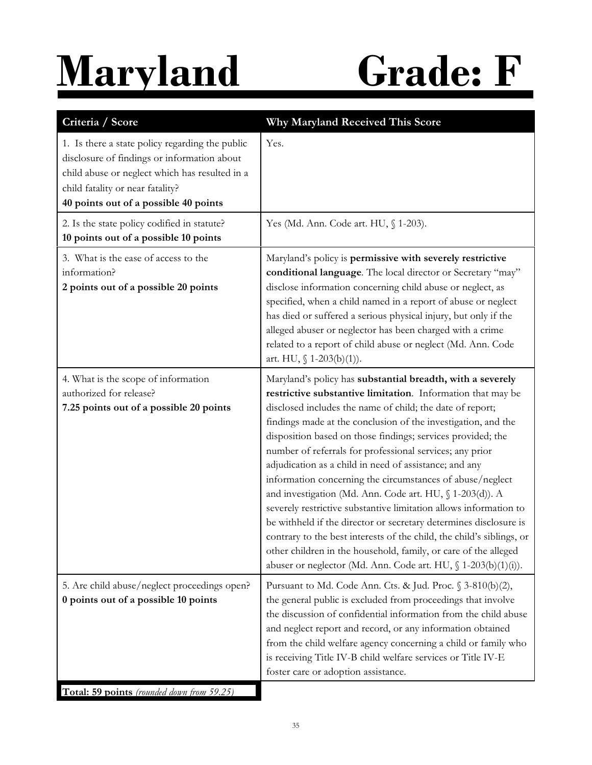# **Maryland Grade: F**

| Criteria / Score                                                                                                                                                                                                              | Why Maryland Received This Score                                                                                                                                                                                                                                                                                                                                                                                                                                                                                                                                                                                                                                                                                                                                                                                                                                                                                              |
|-------------------------------------------------------------------------------------------------------------------------------------------------------------------------------------------------------------------------------|-------------------------------------------------------------------------------------------------------------------------------------------------------------------------------------------------------------------------------------------------------------------------------------------------------------------------------------------------------------------------------------------------------------------------------------------------------------------------------------------------------------------------------------------------------------------------------------------------------------------------------------------------------------------------------------------------------------------------------------------------------------------------------------------------------------------------------------------------------------------------------------------------------------------------------|
| 1. Is there a state policy regarding the public<br>disclosure of findings or information about<br>child abuse or neglect which has resulted in a<br>child fatality or near fatality?<br>40 points out of a possible 40 points | Yes.                                                                                                                                                                                                                                                                                                                                                                                                                                                                                                                                                                                                                                                                                                                                                                                                                                                                                                                          |
| 2. Is the state policy codified in statute?<br>10 points out of a possible 10 points                                                                                                                                          | Yes (Md. Ann. Code art. HU, § 1-203).                                                                                                                                                                                                                                                                                                                                                                                                                                                                                                                                                                                                                                                                                                                                                                                                                                                                                         |
| 3. What is the ease of access to the<br>information?<br>2 points out of a possible 20 points                                                                                                                                  | Maryland's policy is permissive with severely restrictive<br>conditional language. The local director or Secretary "may"<br>disclose information concerning child abuse or neglect, as<br>specified, when a child named in a report of abuse or neglect<br>has died or suffered a serious physical injury, but only if the<br>alleged abuser or neglector has been charged with a crime<br>related to a report of child abuse or neglect (Md. Ann. Code<br>art. HU, $\int 1-203(b)(1)$ .                                                                                                                                                                                                                                                                                                                                                                                                                                      |
| 4. What is the scope of information<br>authorized for release?<br>7.25 points out of a possible 20 points                                                                                                                     | Maryland's policy has substantial breadth, with a severely<br>restrictive substantive limitation. Information that may be<br>disclosed includes the name of child; the date of report;<br>findings made at the conclusion of the investigation, and the<br>disposition based on those findings; services provided; the<br>number of referrals for professional services; any prior<br>adjudication as a child in need of assistance; and any<br>information concerning the circumstances of abuse/neglect<br>and investigation (Md. Ann. Code art. HU, § 1-203(d)). A<br>severely restrictive substantive limitation allows information to<br>be withheld if the director or secretary determines disclosure is<br>contrary to the best interests of the child, the child's siblings, or<br>other children in the household, family, or care of the alleged<br>abuser or neglector (Md. Ann. Code art. HU, § 1-203(b)(1)(i)). |
| 5. Are child abuse/neglect proceedings open?<br>0 points out of a possible 10 points                                                                                                                                          | Pursuant to Md. Code Ann. Cts. & Jud. Proc. § 3-810(b)(2),<br>the general public is excluded from proceedings that involve<br>the discussion of confidential information from the child abuse<br>and neglect report and record, or any information obtained<br>from the child welfare agency concerning a child or family who<br>is receiving Title IV-B child welfare services or Title IV-E<br>foster care or adoption assistance.                                                                                                                                                                                                                                                                                                                                                                                                                                                                                          |
| Total: 50 points (rounded down from 50.25)                                                                                                                                                                                    |                                                                                                                                                                                                                                                                                                                                                                                                                                                                                                                                                                                                                                                                                                                                                                                                                                                                                                                               |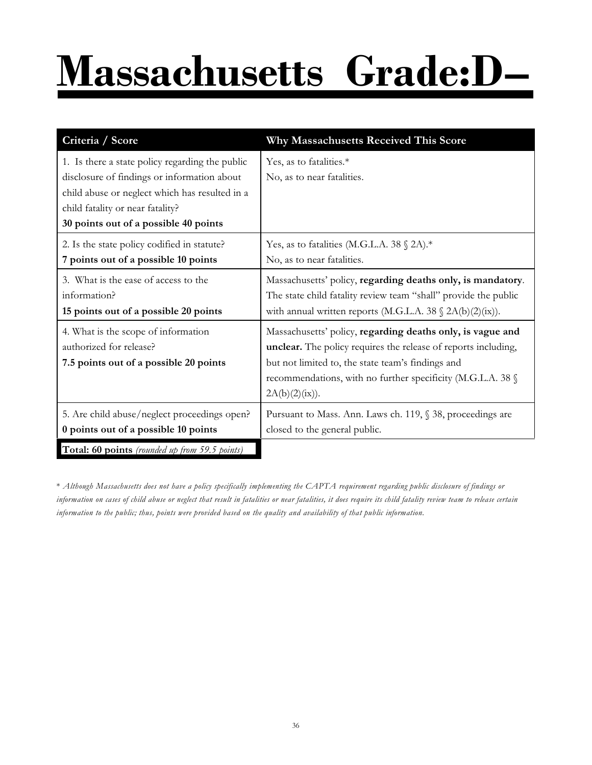# **Massachusetts Grade:D–**

| Criteria / Score                                                                                                                                                                                                              | Why Massachusetts Received This Score                                                                                                                                                                                                                              |
|-------------------------------------------------------------------------------------------------------------------------------------------------------------------------------------------------------------------------------|--------------------------------------------------------------------------------------------------------------------------------------------------------------------------------------------------------------------------------------------------------------------|
| 1. Is there a state policy regarding the public<br>disclosure of findings or information about<br>child abuse or neglect which has resulted in a<br>child fatality or near fatality?<br>30 points out of a possible 40 points | Yes, as to fatalities.*<br>No, as to near fatalities.                                                                                                                                                                                                              |
| 2. Is the state policy codified in statute?<br>7 points out of a possible 10 points                                                                                                                                           | Yes, as to fatalities (M.G.L.A. 38 $\%$ 2A).*<br>No, as to near fatalities.                                                                                                                                                                                        |
| 3. What is the ease of access to the<br>information?<br>15 points out of a possible 20 points                                                                                                                                 | Massachusetts' policy, regarding deaths only, is mandatory.<br>The state child fatality review team "shall" provide the public<br>with annual written reports (M.G.L.A. 38 $\Omega(A(b)(2)(ix))$ .                                                                 |
| 4. What is the scope of information<br>authorized for release?<br>7.5 points out of a possible 20 points                                                                                                                      | Massachusetts' policy, regarding deaths only, is vague and<br>unclear. The policy requires the release of reports including,<br>but not limited to, the state team's findings and<br>recommendations, with no further specificity (M.G.L.A. 38 §<br>2A(b)(2)(ix)). |
| 5. Are child abuse/neglect proceedings open?<br>0 points out of a possible 10 points                                                                                                                                          | Pursuant to Mass. Ann. Laws ch. 119, § 38, proceedings are<br>closed to the general public.                                                                                                                                                                        |
| Total: 60 points (rounded up from 59.5 points)                                                                                                                                                                                |                                                                                                                                                                                                                                                                    |

\* *Although Massachusetts does not have a policy specifically implementing the CAPTA requirement regarding public disclosure of findings or information on cases of child abuse or neglect that result in fatalities or near fatalities, it does require its child fatality review team to release certain information to the public; thus, points were provided based on the quality and availability of that public information.*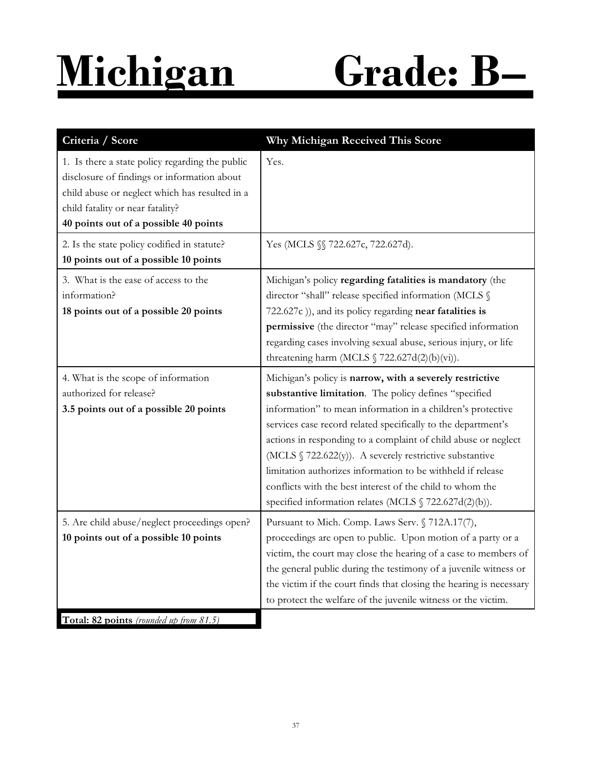### **Michigan Grade: B–**

| Criteria / Score                                                                                                                                                                                                              | Why Michigan Received This Score                                                                                                                                                                                                                                                                                                                                                                                                                                                                                                                                     |
|-------------------------------------------------------------------------------------------------------------------------------------------------------------------------------------------------------------------------------|----------------------------------------------------------------------------------------------------------------------------------------------------------------------------------------------------------------------------------------------------------------------------------------------------------------------------------------------------------------------------------------------------------------------------------------------------------------------------------------------------------------------------------------------------------------------|
| 1. Is there a state policy regarding the public<br>disclosure of findings or information about<br>child abuse or neglect which has resulted in a<br>child fatality or near fatality?<br>40 points out of a possible 40 points | Yes.                                                                                                                                                                                                                                                                                                                                                                                                                                                                                                                                                                 |
| 2. Is the state policy codified in statute?<br>10 points out of a possible 10 points                                                                                                                                          | Yes (MCLS §§ 722.627c, 722.627d).                                                                                                                                                                                                                                                                                                                                                                                                                                                                                                                                    |
| 3. What is the ease of access to the<br>information?<br>18 points out of a possible 20 points                                                                                                                                 | Michigan's policy regarding fatalities is mandatory (the<br>director "shall" release specified information (MCLS §<br>722.627c)), and its policy regarding near fatalities is<br>permissive (the director "may" release specified information<br>regarding cases involving sexual abuse, serious injury, or life<br>threatening harm (MCLS $\int$ 722.627d(2)(b)(vi)).                                                                                                                                                                                               |
| 4. What is the scope of information<br>authorized for release?<br>3.5 points out of a possible 20 points                                                                                                                      | Michigan's policy is narrow, with a severely restrictive<br>substantive limitation. The policy defines "specified<br>information" to mean information in a children's protective<br>services case record related specifically to the department's<br>actions in responding to a complaint of child abuse or neglect<br>(MCLS § 722.622(y)). A severely restrictive substantive<br>limitation authorizes information to be withheld if release<br>conflicts with the best interest of the child to whom the<br>specified information relates (MCLS § 722.627d(2)(b)). |
| 5. Are child abuse/neglect proceedings open?<br>10 points out of a possible 10 points<br>Total: 82 points (rounded up from 81.5)                                                                                              | Pursuant to Mich. Comp. Laws Serv. § 712A.17(7),<br>proceedings are open to public. Upon motion of a party or a<br>victim, the court may close the hearing of a case to members of<br>the general public during the testimony of a juvenile witness or<br>the victim if the court finds that closing the hearing is necessary<br>to protect the welfare of the juvenile witness or the victim.                                                                                                                                                                       |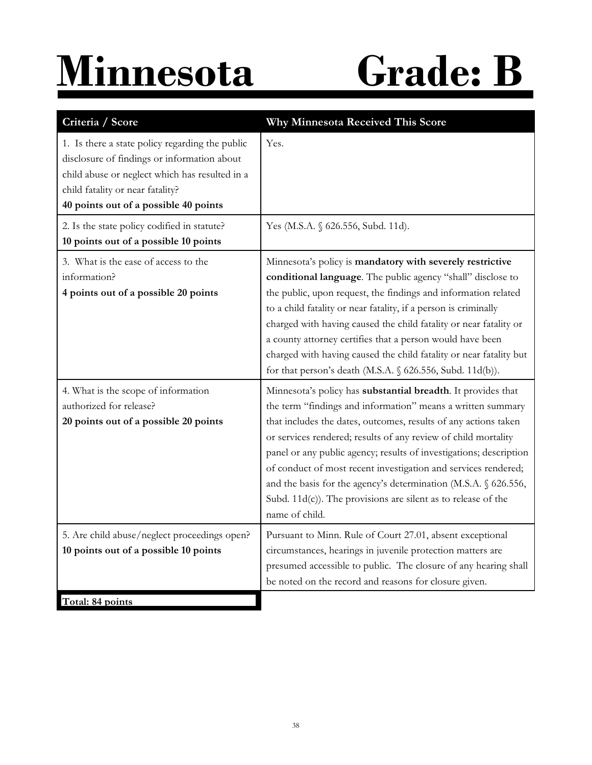## **Minnesota Grade: B**

| Criteria / Score                                                                                                                                                                                                              | Why Minnesota Received This Score                                                                                                                                                                                                                                                                                                                                                                                                                                                                                                                              |
|-------------------------------------------------------------------------------------------------------------------------------------------------------------------------------------------------------------------------------|----------------------------------------------------------------------------------------------------------------------------------------------------------------------------------------------------------------------------------------------------------------------------------------------------------------------------------------------------------------------------------------------------------------------------------------------------------------------------------------------------------------------------------------------------------------|
| 1. Is there a state policy regarding the public<br>disclosure of findings or information about<br>child abuse or neglect which has resulted in a<br>child fatality or near fatality?<br>40 points out of a possible 40 points | Yes.                                                                                                                                                                                                                                                                                                                                                                                                                                                                                                                                                           |
| 2. Is the state policy codified in statute?<br>10 points out of a possible 10 points                                                                                                                                          | Yes (M.S.A. § 626.556, Subd. 11d).                                                                                                                                                                                                                                                                                                                                                                                                                                                                                                                             |
| 3. What is the ease of access to the<br>information?<br>4 points out of a possible 20 points                                                                                                                                  | Minnesota's policy is mandatory with severely restrictive<br>conditional language. The public agency "shall" disclose to<br>the public, upon request, the findings and information related<br>to a child fatality or near fatality, if a person is criminally<br>charged with having caused the child fatality or near fatality or<br>a county attorney certifies that a person would have been<br>charged with having caused the child fatality or near fatality but<br>for that person's death (M.S.A. § 626.556, Subd. 11d(b)).                             |
| 4. What is the scope of information<br>authorized for release?<br>20 points out of a possible 20 points                                                                                                                       | Minnesota's policy has substantial breadth. It provides that<br>the term "findings and information" means a written summary<br>that includes the dates, outcomes, results of any actions taken<br>or services rendered; results of any review of child mortality<br>panel or any public agency; results of investigations; description<br>of conduct of most recent investigation and services rendered;<br>and the basis for the agency's determination (M.S.A. § 626.556,<br>Subd. 11d(c)). The provisions are silent as to release of the<br>name of child. |
| 5. Are child abuse/neglect proceedings open?<br>10 points out of a possible 10 points                                                                                                                                         | Pursuant to Minn. Rule of Court 27.01, absent exceptional<br>circumstances, hearings in juvenile protection matters are<br>presumed accessible to public. The closure of any hearing shall<br>be noted on the record and reasons for closure given.                                                                                                                                                                                                                                                                                                            |
| Total: 84 points                                                                                                                                                                                                              |                                                                                                                                                                                                                                                                                                                                                                                                                                                                                                                                                                |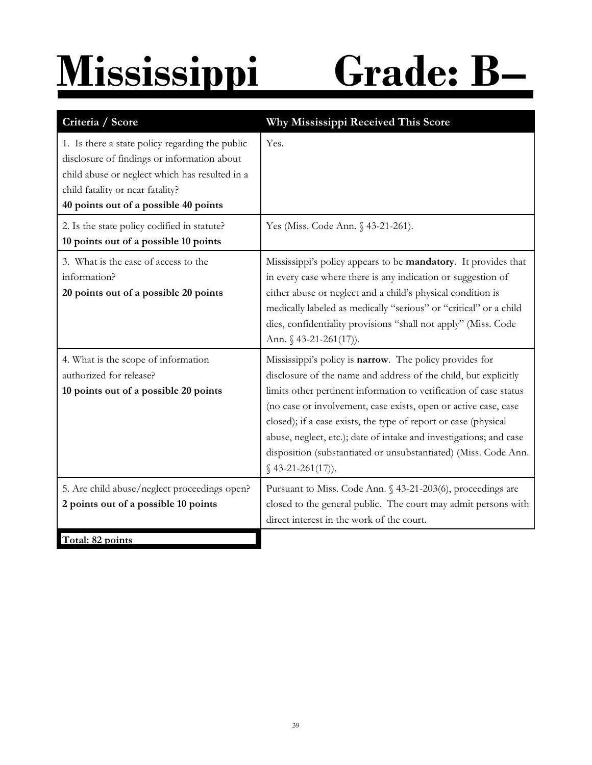## **Mississippi Grade: B–**

| Criteria / Score                                                                                                                                                                                                              | Why Mississippi Received This Score                                                                                                                                                                                                                                                                                                                                                                                                                                                                  |
|-------------------------------------------------------------------------------------------------------------------------------------------------------------------------------------------------------------------------------|------------------------------------------------------------------------------------------------------------------------------------------------------------------------------------------------------------------------------------------------------------------------------------------------------------------------------------------------------------------------------------------------------------------------------------------------------------------------------------------------------|
| 1. Is there a state policy regarding the public<br>disclosure of findings or information about<br>child abuse or neglect which has resulted in a<br>child fatality or near fatality?<br>40 points out of a possible 40 points | Yes.                                                                                                                                                                                                                                                                                                                                                                                                                                                                                                 |
| 2. Is the state policy codified in statute?<br>10 points out of a possible 10 points                                                                                                                                          | Yes (Miss. Code Ann. § 43-21-261).                                                                                                                                                                                                                                                                                                                                                                                                                                                                   |
| 3. What is the ease of access to the<br>information?<br>20 points out of a possible 20 points                                                                                                                                 | Mississippi's policy appears to be mandatory. It provides that<br>in every case where there is any indication or suggestion of<br>either abuse or neglect and a child's physical condition is<br>medically labeled as medically "serious" or "critical" or a child<br>dies, confidentiality provisions "shall not apply" (Miss. Code<br>Ann. $$43-21-261(17)$ .                                                                                                                                      |
| 4. What is the scope of information<br>authorized for release?<br>10 points out of a possible 20 points                                                                                                                       | Mississippi's policy is narrow. The policy provides for<br>disclosure of the name and address of the child, but explicitly<br>limits other pertinent information to verification of case status<br>(no case or involvement, case exists, open or active case, case<br>closed); if a case exists, the type of report or case (physical<br>abuse, neglect, etc.); date of intake and investigations; and case<br>disposition (substantiated or unsubstantiated) (Miss. Code Ann.<br>$$43-21-261(17)$ . |
| 5. Are child abuse/neglect proceedings open?<br>2 points out of a possible 10 points<br>Total: 82 points                                                                                                                      | Pursuant to Miss. Code Ann. § 43-21-203(6), proceedings are<br>closed to the general public. The court may admit persons with<br>direct interest in the work of the court.                                                                                                                                                                                                                                                                                                                           |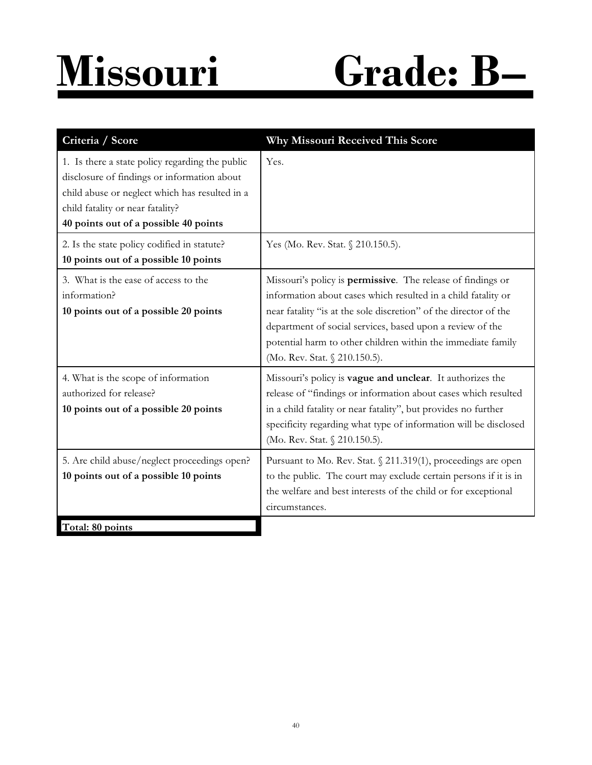### **Missouri Grade: B–**

| Criteria / Score                                                                                                                                                                                                              | Why Missouri Received This Score                                                                                                                                                                                                                                                                                                                               |
|-------------------------------------------------------------------------------------------------------------------------------------------------------------------------------------------------------------------------------|----------------------------------------------------------------------------------------------------------------------------------------------------------------------------------------------------------------------------------------------------------------------------------------------------------------------------------------------------------------|
| 1. Is there a state policy regarding the public<br>disclosure of findings or information about<br>child abuse or neglect which has resulted in a<br>child fatality or near fatality?<br>40 points out of a possible 40 points | Yes.                                                                                                                                                                                                                                                                                                                                                           |
| 2. Is the state policy codified in statute?<br>10 points out of a possible 10 points                                                                                                                                          | Yes (Mo. Rev. Stat. § 210.150.5).                                                                                                                                                                                                                                                                                                                              |
| 3. What is the ease of access to the<br>information?<br>10 points out of a possible 20 points                                                                                                                                 | Missouri's policy is permissive. The release of findings or<br>information about cases which resulted in a child fatality or<br>near fatality "is at the sole discretion" of the director of the<br>department of social services, based upon a review of the<br>potential harm to other children within the immediate family<br>(Mo. Rev. Stat. § 210.150.5). |
| 4. What is the scope of information<br>authorized for release?<br>10 points out of a possible 20 points                                                                                                                       | Missouri's policy is vague and unclear. It authorizes the<br>release of "findings or information about cases which resulted<br>in a child fatality or near fatality", but provides no further<br>specificity regarding what type of information will be disclosed<br>(Mo. Rev. Stat. § 210.150.5).                                                             |
| 5. Are child abuse/neglect proceedings open?<br>10 points out of a possible 10 points                                                                                                                                         | Pursuant to Mo. Rev. Stat. § 211.319(1), proceedings are open<br>to the public. The court may exclude certain persons if it is in<br>the welfare and best interests of the child or for exceptional<br>circumstances.                                                                                                                                          |
| Total: 80 points                                                                                                                                                                                                              |                                                                                                                                                                                                                                                                                                                                                                |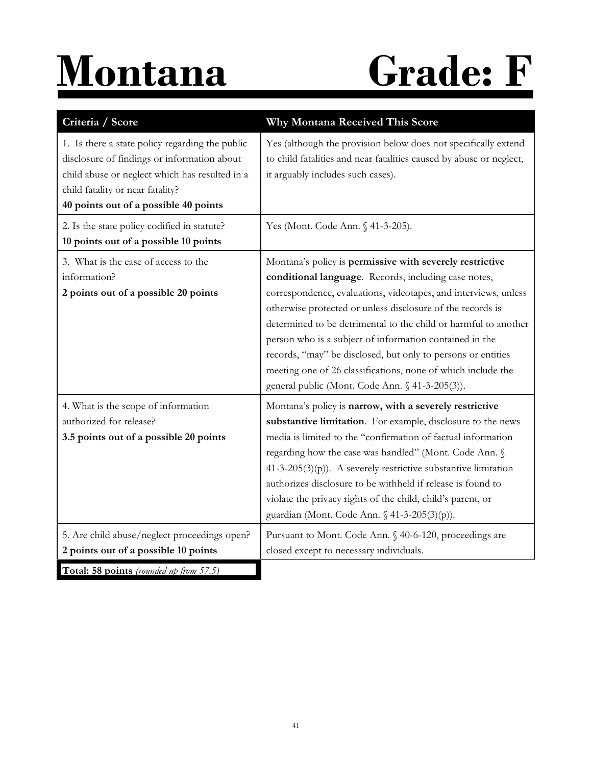# **Montana Grade: F**

| Criteria / Score                                                                                                                                                                                                              | Why Montana Received This Score                                                                                                                                                                                                                                                                                                                                                                                                                                                                                                                                    |
|-------------------------------------------------------------------------------------------------------------------------------------------------------------------------------------------------------------------------------|--------------------------------------------------------------------------------------------------------------------------------------------------------------------------------------------------------------------------------------------------------------------------------------------------------------------------------------------------------------------------------------------------------------------------------------------------------------------------------------------------------------------------------------------------------------------|
| 1. Is there a state policy regarding the public<br>disclosure of findings or information about<br>child abuse or neglect which has resulted in a<br>child fatality or near fatality?<br>40 points out of a possible 40 points | Yes (although the provision below does not specifically extend<br>to child fatalities and near fatalities caused by abuse or neglect,<br>it arguably includes such cases).                                                                                                                                                                                                                                                                                                                                                                                         |
| 2. Is the state policy codified in statute?<br>10 points out of a possible 10 points                                                                                                                                          | Yes (Mont. Code Ann. § 41-3-205).                                                                                                                                                                                                                                                                                                                                                                                                                                                                                                                                  |
| 3. What is the ease of access to the<br>information?<br>2 points out of a possible 20 points                                                                                                                                  | Montana's policy is permissive with severely restrictive<br>conditional language. Records, including case notes,<br>correspondence, evaluations, videotapes, and interviews, unless<br>otherwise protected or unless disclosure of the records is<br>determined to be detrimental to the child or harmful to another<br>person who is a subject of information contained in the<br>records, "may" be disclosed, but only to persons or entities<br>meeting one of 26 classifications, none of which include the<br>general public (Mont. Code Ann. § 41-3-205(3)). |
| 4. What is the scope of information<br>authorized for release?<br>3.5 points out of a possible 20 points                                                                                                                      | Montana's policy is narrow, with a severely restrictive<br>substantive limitation. For example, disclosure to the news<br>media is limited to the "confirmation of factual information<br>regarding how the case was handled" (Mont. Code Ann. §<br>$41-3-205(3)(p)$ ). A severely restrictive substantive limitation<br>authorizes disclosure to be withheld if release is found to<br>violate the privacy rights of the child, child's parent, or<br>guardian (Mont. Code Ann. § 41-3-205(3)(p)).                                                                |
| 5. Are child abuse/neglect proceedings open?<br>2 points out of a possible 10 points                                                                                                                                          | Pursuant to Mont. Code Ann. § 40-6-120, proceedings are<br>closed except to necessary individuals.                                                                                                                                                                                                                                                                                                                                                                                                                                                                 |
| Total: 58 points (rounded up from 57.5)                                                                                                                                                                                       |                                                                                                                                                                                                                                                                                                                                                                                                                                                                                                                                                                    |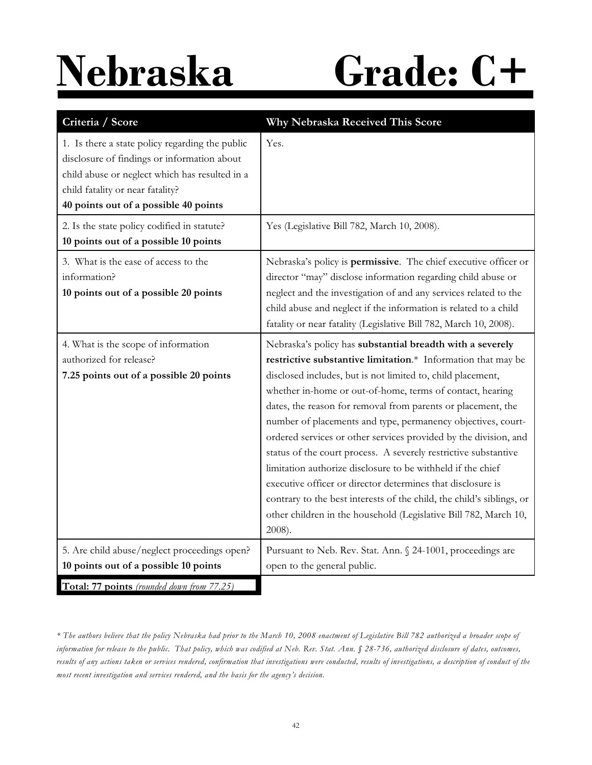### **Nebraska Grade: C+**

| Criteria / Score                                                                                                                                                                                                              | Why Nebraska Received This Score                                                                                                                                                                                                                                                                                                                                                                                                                                                                                                                                                                                                                                                                                                                                                                                  |
|-------------------------------------------------------------------------------------------------------------------------------------------------------------------------------------------------------------------------------|-------------------------------------------------------------------------------------------------------------------------------------------------------------------------------------------------------------------------------------------------------------------------------------------------------------------------------------------------------------------------------------------------------------------------------------------------------------------------------------------------------------------------------------------------------------------------------------------------------------------------------------------------------------------------------------------------------------------------------------------------------------------------------------------------------------------|
| 1. Is there a state policy regarding the public<br>disclosure of findings or information about<br>child abuse or neglect which has resulted in a<br>child fatality or near fatality?<br>40 points out of a possible 40 points | Yes.                                                                                                                                                                                                                                                                                                                                                                                                                                                                                                                                                                                                                                                                                                                                                                                                              |
| 2. Is the state policy codified in statute?<br>10 points out of a possible 10 points                                                                                                                                          | Yes (Legislative Bill 782, March 10, 2008).                                                                                                                                                                                                                                                                                                                                                                                                                                                                                                                                                                                                                                                                                                                                                                       |
| 3. What is the ease of access to the<br>information?<br>10 points out of a possible 20 points                                                                                                                                 | Nebraska's policy is permissive. The chief executive officer or<br>director "may" disclose information regarding child abuse or<br>neglect and the investigation of and any services related to the<br>child abuse and neglect if the information is related to a child<br>fatality or near fatality (Legislative Bill 782, March 10, 2008).                                                                                                                                                                                                                                                                                                                                                                                                                                                                      |
| 4. What is the scope of information<br>authorized for release?<br>7.25 points out of a possible 20 points                                                                                                                     | Nebraska's policy has substantial breadth with a severely<br>restrictive substantive limitation.* Information that may be<br>disclosed includes, but is not limited to, child placement,<br>whether in-home or out-of-home, terms of contact, hearing<br>dates, the reason for removal from parents or placement, the<br>number of placements and type, permanency objectives, court-<br>ordered services or other services provided by the division, and<br>status of the court process. A severely restrictive substantive<br>limitation authorize disclosure to be withheld if the chief<br>executive officer or director determines that disclosure is<br>contrary to the best interests of the child, the child's siblings, or<br>other children in the household (Legislative Bill 782, March 10,<br>2008). |
| 5. Are child abuse/neglect proceedings open?                                                                                                                                                                                  | Pursuant to Neb. Rev. Stat. Ann. § 24-1001, proceedings are                                                                                                                                                                                                                                                                                                                                                                                                                                                                                                                                                                                                                                                                                                                                                       |
| 10 points out of a possible 10 points<br>Total: 77 points (rounded down from 77.25)                                                                                                                                           | open to the general public.                                                                                                                                                                                                                                                                                                                                                                                                                                                                                                                                                                                                                                                                                                                                                                                       |

*\* The authors believe that the policy Nebraska had prior to the March 10, 2008 enactment of Legislative Bill 782 authorized a broader scope of information for release to the public. That policy, which was codified at Neb. Rev. Stat. Ann. § 28-736, authorized disclosure of dates, outcomes, results of any actions taken or services rendered, confirmation that investigations were conducted, results of investigations, a description of conduct of the most recent investigation and services rendered, and the basis for the agency's decision.*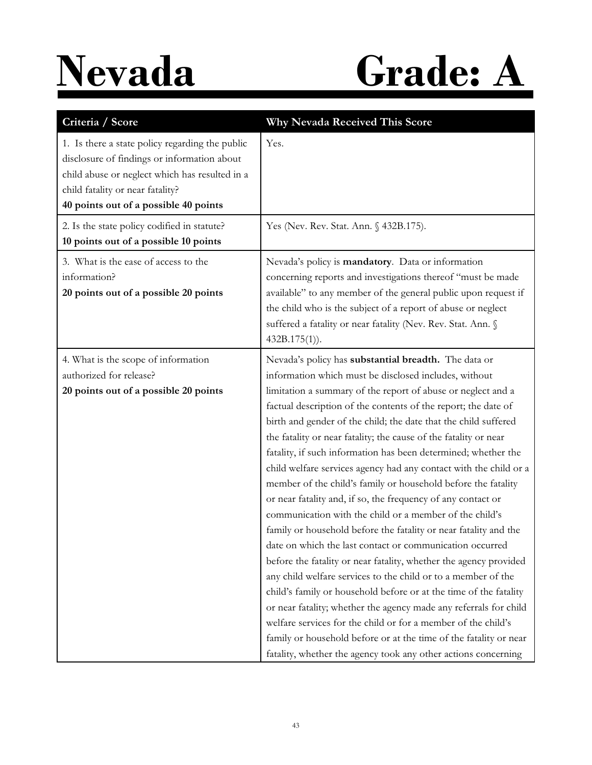## **Nevada Grade: A**

| Criteria / Score                                                                                                                                                                                                              | Why Nevada Received This Score                                                                                                                                                                                                                                                                                                                                                                                                                                                                                                                                                                                                                                                                                                                                                                                                                                                                                                                                                                                                                                                                                                                                                                                                                                                                                                                    |
|-------------------------------------------------------------------------------------------------------------------------------------------------------------------------------------------------------------------------------|---------------------------------------------------------------------------------------------------------------------------------------------------------------------------------------------------------------------------------------------------------------------------------------------------------------------------------------------------------------------------------------------------------------------------------------------------------------------------------------------------------------------------------------------------------------------------------------------------------------------------------------------------------------------------------------------------------------------------------------------------------------------------------------------------------------------------------------------------------------------------------------------------------------------------------------------------------------------------------------------------------------------------------------------------------------------------------------------------------------------------------------------------------------------------------------------------------------------------------------------------------------------------------------------------------------------------------------------------|
| 1. Is there a state policy regarding the public<br>disclosure of findings or information about<br>child abuse or neglect which has resulted in a<br>child fatality or near fatality?<br>40 points out of a possible 40 points | Yes.                                                                                                                                                                                                                                                                                                                                                                                                                                                                                                                                                                                                                                                                                                                                                                                                                                                                                                                                                                                                                                                                                                                                                                                                                                                                                                                                              |
| 2. Is the state policy codified in statute?<br>10 points out of a possible 10 points                                                                                                                                          | Yes (Nev. Rev. Stat. Ann. § 432B.175).                                                                                                                                                                                                                                                                                                                                                                                                                                                                                                                                                                                                                                                                                                                                                                                                                                                                                                                                                                                                                                                                                                                                                                                                                                                                                                            |
| 3. What is the ease of access to the<br>information?<br>20 points out of a possible 20 points                                                                                                                                 | Nevada's policy is mandatory. Data or information<br>concerning reports and investigations thereof "must be made<br>available" to any member of the general public upon request if<br>the child who is the subject of a report of abuse or neglect<br>suffered a fatality or near fatality (Nev. Rev. Stat. Ann. §<br>$432B.175(1)$ .                                                                                                                                                                                                                                                                                                                                                                                                                                                                                                                                                                                                                                                                                                                                                                                                                                                                                                                                                                                                             |
| 4. What is the scope of information<br>authorized for release?<br>20 points out of a possible 20 points                                                                                                                       | Nevada's policy has substantial breadth. The data or<br>information which must be disclosed includes, without<br>limitation a summary of the report of abuse or neglect and a<br>factual description of the contents of the report; the date of<br>birth and gender of the child; the date that the child suffered<br>the fatality or near fatality; the cause of the fatality or near<br>fatality, if such information has been determined; whether the<br>child welfare services agency had any contact with the child or a<br>member of the child's family or household before the fatality<br>or near fatality and, if so, the frequency of any contact or<br>communication with the child or a member of the child's<br>family or household before the fatality or near fatality and the<br>date on which the last contact or communication occurred<br>before the fatality or near fatality, whether the agency provided<br>any child welfare services to the child or to a member of the<br>child's family or household before or at the time of the fatality<br>or near fatality; whether the agency made any referrals for child<br>welfare services for the child or for a member of the child's<br>family or household before or at the time of the fatality or near<br>fatality, whether the agency took any other actions concerning |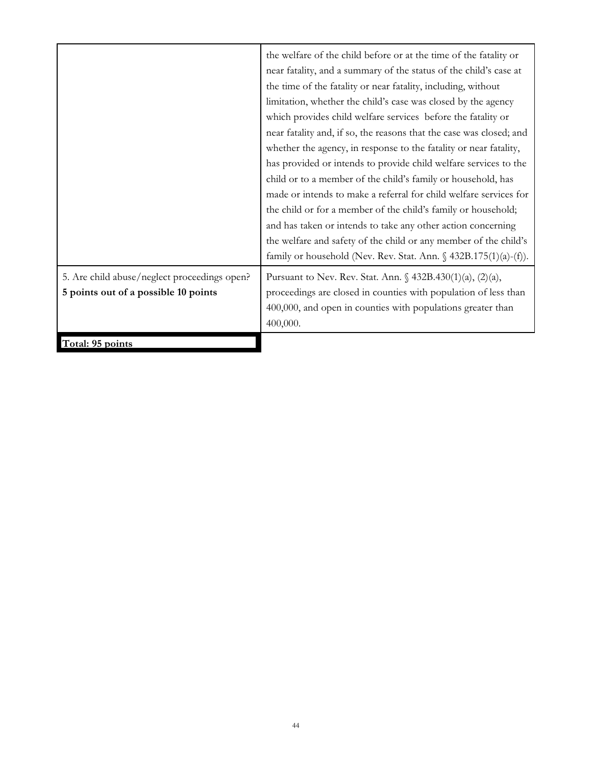|                                              | the welfare of the child before or at the time of the fatality or          |
|----------------------------------------------|----------------------------------------------------------------------------|
|                                              | near fatality, and a summary of the status of the child's case at          |
|                                              | the time of the fatality or near fatality, including, without              |
|                                              | limitation, whether the child's case was closed by the agency              |
|                                              | which provides child welfare services before the fatality or               |
|                                              | near fatality and, if so, the reasons that the case was closed; and        |
|                                              | whether the agency, in response to the fatality or near fatality,          |
|                                              | has provided or intends to provide child welfare services to the           |
|                                              | child or to a member of the child's family or household, has               |
|                                              | made or intends to make a referral for child welfare services for          |
|                                              | the child or for a member of the child's family or household;              |
|                                              | and has taken or intends to take any other action concerning               |
|                                              | the welfare and safety of the child or any member of the child's           |
|                                              | family or household (Nev. Rev. Stat. Ann. $\frac{432B.175(1)(a)-(f)}{2}$ . |
| 5. Are child abuse/neglect proceedings open? | Pursuant to Nev. Rev. Stat. Ann. $\frac{1}{2}$ 432B.430(1)(a), (2)(a),     |
| 5 points out of a possible 10 points         | proceedings are closed in counties with population of less than            |
|                                              | 400,000, and open in counties with populations greater than                |
|                                              | 400,000.                                                                   |
| Total: 95 points                             |                                                                            |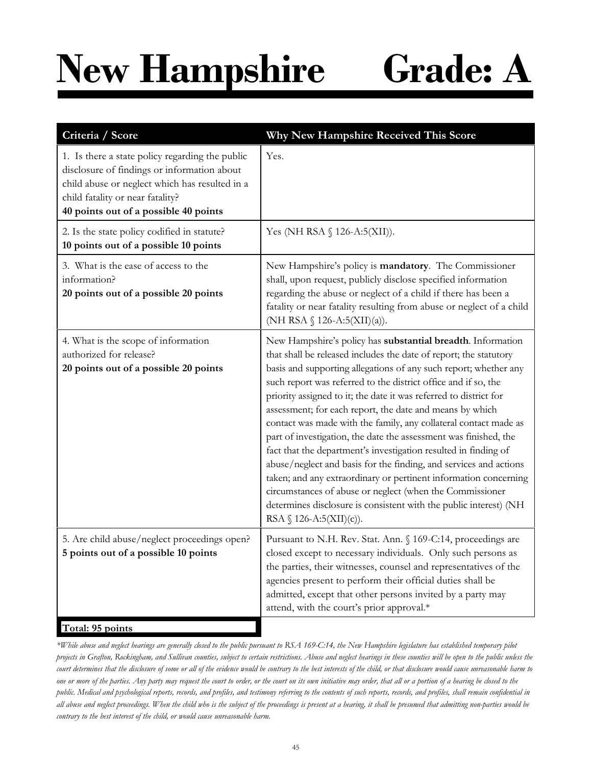## **New Hampshire Grade: A**

| Criteria / Score                                                                                                                                                                                                              | Why New Hampshire Received This Score                                                                                                                                                                                                                                                                                                                                                                                                                                                                                                                                                                                                                                                                                                                                                                                                                                                                                      |
|-------------------------------------------------------------------------------------------------------------------------------------------------------------------------------------------------------------------------------|----------------------------------------------------------------------------------------------------------------------------------------------------------------------------------------------------------------------------------------------------------------------------------------------------------------------------------------------------------------------------------------------------------------------------------------------------------------------------------------------------------------------------------------------------------------------------------------------------------------------------------------------------------------------------------------------------------------------------------------------------------------------------------------------------------------------------------------------------------------------------------------------------------------------------|
| 1. Is there a state policy regarding the public<br>disclosure of findings or information about<br>child abuse or neglect which has resulted in a<br>child fatality or near fatality?<br>40 points out of a possible 40 points | Yes.                                                                                                                                                                                                                                                                                                                                                                                                                                                                                                                                                                                                                                                                                                                                                                                                                                                                                                                       |
| 2. Is the state policy codified in statute?<br>10 points out of a possible 10 points                                                                                                                                          | Yes (NH RSA § 126-A:5(XII)).                                                                                                                                                                                                                                                                                                                                                                                                                                                                                                                                                                                                                                                                                                                                                                                                                                                                                               |
| 3. What is the ease of access to the<br>information?<br>20 points out of a possible 20 points                                                                                                                                 | New Hampshire's policy is mandatory. The Commissioner<br>shall, upon request, publicly disclose specified information<br>regarding the abuse or neglect of a child if there has been a<br>fatality or near fatality resulting from abuse or neglect of a child<br>(NH RSA $\S$ 126-A:5(XII)(a)).                                                                                                                                                                                                                                                                                                                                                                                                                                                                                                                                                                                                                           |
| 4. What is the scope of information<br>authorized for release?<br>20 points out of a possible 20 points                                                                                                                       | New Hampshire's policy has substantial breadth. Information<br>that shall be released includes the date of report; the statutory<br>basis and supporting allegations of any such report; whether any<br>such report was referred to the district office and if so, the<br>priority assigned to it; the date it was referred to district for<br>assessment; for each report, the date and means by which<br>contact was made with the family, any collateral contact made as<br>part of investigation, the date the assessment was finished, the<br>fact that the department's investigation resulted in finding of<br>abuse/neglect and basis for the finding, and services and actions<br>taken; and any extraordinary or pertinent information concerning<br>circumstances of abuse or neglect (when the Commissioner<br>determines disclosure is consistent with the public interest) (NH<br>RSA $\S$ 126-A:5(XII)(c)). |
| 5. Are child abuse/neglect proceedings open?<br>5 points out of a possible 10 points                                                                                                                                          | Pursuant to N.H. Rev. Stat. Ann. § 169-C:14, proceedings are<br>closed except to necessary individuals. Only such persons as<br>the parties, their witnesses, counsel and representatives of the<br>agencies present to perform their official duties shall be<br>admitted, except that other persons invited by a party may<br>attend, with the court's prior approval.*                                                                                                                                                                                                                                                                                                                                                                                                                                                                                                                                                  |
| Total: 95 points                                                                                                                                                                                                              |                                                                                                                                                                                                                                                                                                                                                                                                                                                                                                                                                                                                                                                                                                                                                                                                                                                                                                                            |

*\*While abuse and neglect hearings are generally closed to the public pursuant to RSA 169-C:14, the New Hampshire legislature has established temporary pilot projects in Grafton, Rockingham, and Sullivan counties, subject to certain restrictions. Abuse and neglect hearings in these counties will be open to the public unless the court determines that the disclosure of some or all of the evidence would be contrary to the best interests of the child, or that disclosure would cause unreasonable harm to one or more of the parties. Any party may request the court to order, or the court on its own initiative may order, that all or a portion of a hearing be closed to the public. Medical and psychological reports, records, and profiles, and testimony referring to the contents of such reports, records, and profiles, shall remain confidential in all abuse and neglect proceedings. When the child who is the subject of the proceedings is present at a hearing, it shall be presumed that admitting non-parties would be contrary to the best interest of the child, or would cause unreasonable harm.*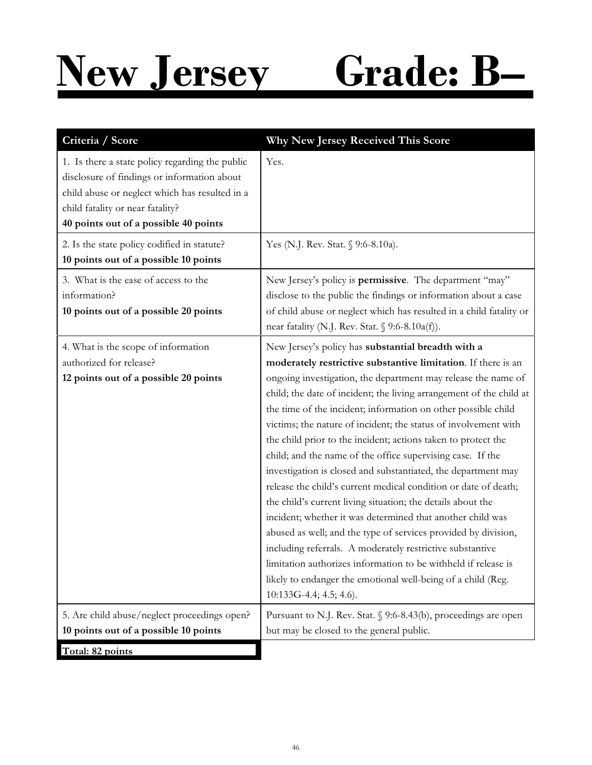## **New Jersey Grade: B–**

| Criteria / Score                                                                                                                                                                                                              | Why New Jersey Received This Score                                                                                                                                                                                                                                                                                                                                                                                                                                                                                                                                                                                                                                                                                                                                                                                                                                                                                                                                                                                                                                                          |
|-------------------------------------------------------------------------------------------------------------------------------------------------------------------------------------------------------------------------------|---------------------------------------------------------------------------------------------------------------------------------------------------------------------------------------------------------------------------------------------------------------------------------------------------------------------------------------------------------------------------------------------------------------------------------------------------------------------------------------------------------------------------------------------------------------------------------------------------------------------------------------------------------------------------------------------------------------------------------------------------------------------------------------------------------------------------------------------------------------------------------------------------------------------------------------------------------------------------------------------------------------------------------------------------------------------------------------------|
| 1. Is there a state policy regarding the public<br>disclosure of findings or information about<br>child abuse or neglect which has resulted in a<br>child fatality or near fatality?<br>40 points out of a possible 40 points | Yes.                                                                                                                                                                                                                                                                                                                                                                                                                                                                                                                                                                                                                                                                                                                                                                                                                                                                                                                                                                                                                                                                                        |
| 2. Is the state policy codified in statute?                                                                                                                                                                                   | Yes (N.J. Rev. Stat. § 9:6-8.10a).                                                                                                                                                                                                                                                                                                                                                                                                                                                                                                                                                                                                                                                                                                                                                                                                                                                                                                                                                                                                                                                          |
| 10 points out of a possible 10 points                                                                                                                                                                                         |                                                                                                                                                                                                                                                                                                                                                                                                                                                                                                                                                                                                                                                                                                                                                                                                                                                                                                                                                                                                                                                                                             |
| 3. What is the ease of access to the<br>information?<br>10 points out of a possible 20 points                                                                                                                                 | New Jersey's policy is permissive. The department "may"<br>disclose to the public the findings or information about a case<br>of child abuse or neglect which has resulted in a child fatality or<br>near fatality (N.J. Rev. Stat. § 9:6-8.10a(f)).                                                                                                                                                                                                                                                                                                                                                                                                                                                                                                                                                                                                                                                                                                                                                                                                                                        |
| 4. What is the scope of information<br>authorized for release?<br>12 points out of a possible 20 points                                                                                                                       | New Jersey's policy has substantial breadth with a<br>moderately restrictive substantive limitation. If there is an<br>ongoing investigation, the department may release the name of<br>child; the date of incident; the living arrangement of the child at<br>the time of the incident; information on other possible child<br>victims; the nature of incident; the status of involvement with<br>the child prior to the incident; actions taken to protect the<br>child; and the name of the office supervising case. If the<br>investigation is closed and substantiated, the department may<br>release the child's current medical condition or date of death;<br>the child's current living situation; the details about the<br>incident; whether it was determined that another child was<br>abused as well; and the type of services provided by division,<br>including referrals. A moderately restrictive substantive<br>limitation authorizes information to be withheld if release is<br>likely to endanger the emotional well-being of a child (Reg.<br>10:133G-4.4; 4.5; 4.6). |
| 5. Are child abuse/neglect proceedings open?                                                                                                                                                                                  | Pursuant to N.J. Rev. Stat. § 9:6-8.43(b), proceedings are open                                                                                                                                                                                                                                                                                                                                                                                                                                                                                                                                                                                                                                                                                                                                                                                                                                                                                                                                                                                                                             |
| 10 points out of a possible 10 points                                                                                                                                                                                         | but may be closed to the general public.                                                                                                                                                                                                                                                                                                                                                                                                                                                                                                                                                                                                                                                                                                                                                                                                                                                                                                                                                                                                                                                    |
| Total: 82 points                                                                                                                                                                                                              |                                                                                                                                                                                                                                                                                                                                                                                                                                                                                                                                                                                                                                                                                                                                                                                                                                                                                                                                                                                                                                                                                             |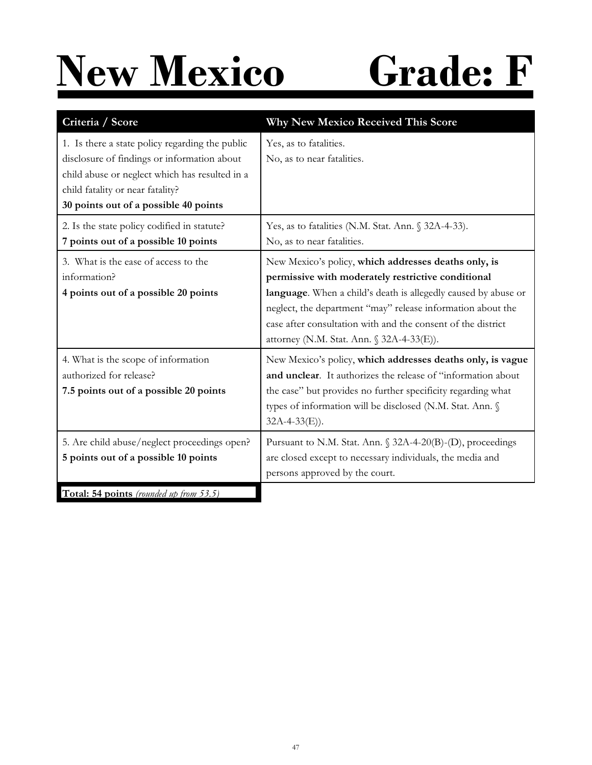# **New Mexico Grade: F**

| Criteria / Score                                                                                                                                                                                                              | <b>Why New Mexico Received This Score</b>                                                                                                                                                                                                                                                                                                                |
|-------------------------------------------------------------------------------------------------------------------------------------------------------------------------------------------------------------------------------|----------------------------------------------------------------------------------------------------------------------------------------------------------------------------------------------------------------------------------------------------------------------------------------------------------------------------------------------------------|
| 1. Is there a state policy regarding the public<br>disclosure of findings or information about<br>child abuse or neglect which has resulted in a<br>child fatality or near fatality?<br>30 points out of a possible 40 points | Yes, as to fatalities.<br>No, as to near fatalities.                                                                                                                                                                                                                                                                                                     |
| 2. Is the state policy codified in statute?<br>7 points out of a possible 10 points                                                                                                                                           | Yes, as to fatalities (N.M. Stat. Ann. § 32A-4-33).<br>No, as to near fatalities.                                                                                                                                                                                                                                                                        |
| 3. What is the ease of access to the<br>information?<br>4 points out of a possible 20 points                                                                                                                                  | New Mexico's policy, which addresses deaths only, is<br>permissive with moderately restrictive conditional<br>language. When a child's death is allegedly caused by abuse or<br>neglect, the department "may" release information about the<br>case after consultation with and the consent of the district<br>attorney (N.M. Stat. Ann. § 32A-4-33(E)). |
| 4. What is the scope of information<br>authorized for release?<br>7.5 points out of a possible 20 points                                                                                                                      | New Mexico's policy, which addresses deaths only, is vague<br>and unclear. It authorizes the release of "information about<br>the case" but provides no further specificity regarding what<br>types of information will be disclosed (N.M. Stat. Ann. §<br>$32A-4-33(E)$ ).                                                                              |
| 5. Are child abuse/neglect proceedings open?<br>5 points out of a possible 10 points                                                                                                                                          | Pursuant to N.M. Stat. Ann. § 32A-4-20(B)-(D), proceedings<br>are closed except to necessary individuals, the media and<br>persons approved by the court.                                                                                                                                                                                                |
| Total: 54 points (rounded up from 53.5)                                                                                                                                                                                       |                                                                                                                                                                                                                                                                                                                                                          |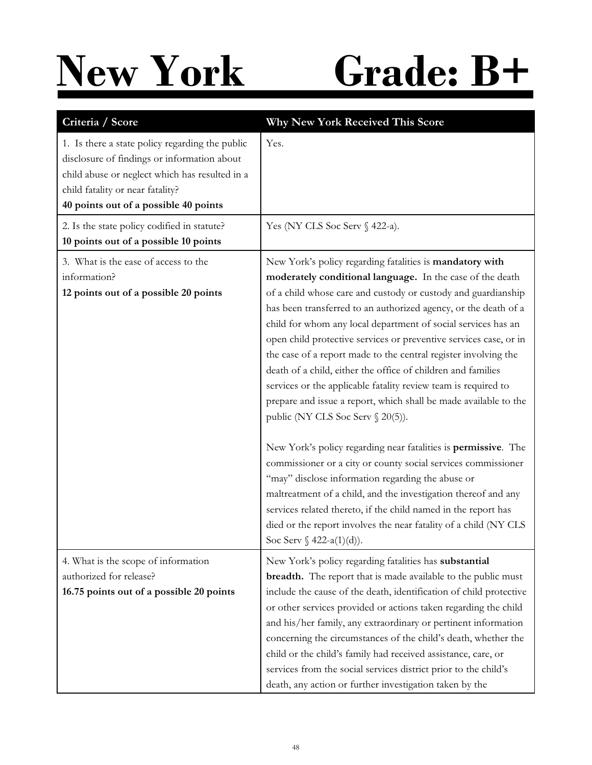### **New York Grade: B+**

| Criteria / Score                                                                                                                                                                                                              | <b>Why New York Received This Score</b>                                                                                                                                                                                                                                                                                                                                                                                                                                                                                                                                                                                                                                                                                                                                                                                                                                                                                                                                                                                                                                                                       |
|-------------------------------------------------------------------------------------------------------------------------------------------------------------------------------------------------------------------------------|---------------------------------------------------------------------------------------------------------------------------------------------------------------------------------------------------------------------------------------------------------------------------------------------------------------------------------------------------------------------------------------------------------------------------------------------------------------------------------------------------------------------------------------------------------------------------------------------------------------------------------------------------------------------------------------------------------------------------------------------------------------------------------------------------------------------------------------------------------------------------------------------------------------------------------------------------------------------------------------------------------------------------------------------------------------------------------------------------------------|
| 1. Is there a state policy regarding the public<br>disclosure of findings or information about<br>child abuse or neglect which has resulted in a<br>child fatality or near fatality?<br>40 points out of a possible 40 points | Yes.                                                                                                                                                                                                                                                                                                                                                                                                                                                                                                                                                                                                                                                                                                                                                                                                                                                                                                                                                                                                                                                                                                          |
| 2. Is the state policy codified in statute?<br>10 points out of a possible 10 points                                                                                                                                          | Yes (NY CLS Soc Serv § 422-a).                                                                                                                                                                                                                                                                                                                                                                                                                                                                                                                                                                                                                                                                                                                                                                                                                                                                                                                                                                                                                                                                                |
| 3. What is the ease of access to the<br>information?<br>12 points out of a possible 20 points                                                                                                                                 | New York's policy regarding fatalities is mandatory with<br>moderately conditional language. In the case of the death<br>of a child whose care and custody or custody and guardianship<br>has been transferred to an authorized agency, or the death of a<br>child for whom any local department of social services has an<br>open child protective services or preventive services case, or in<br>the case of a report made to the central register involving the<br>death of a child, either the office of children and families<br>services or the applicable fatality review team is required to<br>prepare and issue a report, which shall be made available to the<br>public (NY CLS Soc Serv § 20(5)).<br>New York's policy regarding near fatalities is permissive. The<br>commissioner or a city or county social services commissioner<br>"may" disclose information regarding the abuse or<br>maltreatment of a child, and the investigation thereof and any<br>services related thereto, if the child named in the report has<br>died or the report involves the near fatality of a child (NY CLS |
| 4. What is the scope of information<br>authorized for release?<br>16.75 points out of a possible 20 points                                                                                                                    | Soc Serv $\oint$ 422-a(1)(d)).<br>New York's policy regarding fatalities has substantial<br>breadth. The report that is made available to the public must<br>include the cause of the death, identification of child protective<br>or other services provided or actions taken regarding the child<br>and his/her family, any extraordinary or pertinent information<br>concerning the circumstances of the child's death, whether the<br>child or the child's family had received assistance, care, or<br>services from the social services district prior to the child's<br>death, any action or further investigation taken by the                                                                                                                                                                                                                                                                                                                                                                                                                                                                         |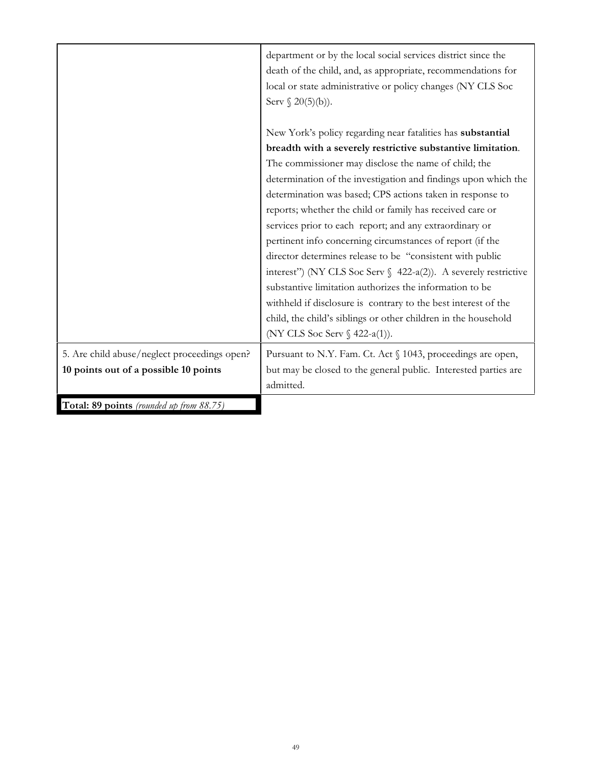|                                                                                       | department or by the local social services district since the<br>death of the child, and, as appropriate, recommendations for<br>local or state administrative or policy changes (NY CLS Soc<br>Serv $\S 20(5)(b)$ ).                                                                                                                                                                                                                                                                                                                                                                                                                                                                                                                                                                                                                                                       |
|---------------------------------------------------------------------------------------|-----------------------------------------------------------------------------------------------------------------------------------------------------------------------------------------------------------------------------------------------------------------------------------------------------------------------------------------------------------------------------------------------------------------------------------------------------------------------------------------------------------------------------------------------------------------------------------------------------------------------------------------------------------------------------------------------------------------------------------------------------------------------------------------------------------------------------------------------------------------------------|
|                                                                                       | New York's policy regarding near fatalities has substantial<br>breadth with a severely restrictive substantive limitation.<br>The commissioner may disclose the name of child; the<br>determination of the investigation and findings upon which the<br>determination was based; CPS actions taken in response to<br>reports; whether the child or family has received care or<br>services prior to each report; and any extraordinary or<br>pertinent info concerning circumstances of report (if the<br>director determines release to be "consistent with public<br>interest") (NY CLS Soc Serv $\int$ 422-a(2)). A severely restrictive<br>substantive limitation authorizes the information to be<br>withheld if disclosure is contrary to the best interest of the<br>child, the child's siblings or other children in the household<br>(NY CLS Soc Serv § 422-a(1)). |
| 5. Are child abuse/neglect proceedings open?<br>10 points out of a possible 10 points | Pursuant to N.Y. Fam. Ct. Act § 1043, proceedings are open,<br>but may be closed to the general public. Interested parties are<br>admitted.                                                                                                                                                                                                                                                                                                                                                                                                                                                                                                                                                                                                                                                                                                                                 |
| Total: 89 points (rounded up from 88.75)                                              |                                                                                                                                                                                                                                                                                                                                                                                                                                                                                                                                                                                                                                                                                                                                                                                                                                                                             |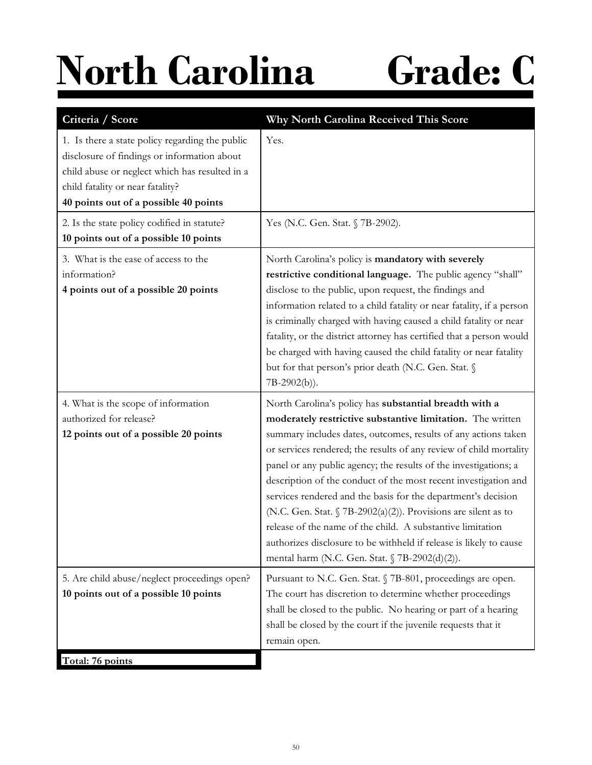## **North Carolina Grade: C**

| Criteria / Score                                                                                                                                                                                                              | Why North Carolina Received This Score                                                                                                                                                                                                                                                                                                                                                                                                                                                                                                                                                                                                                                                                                       |
|-------------------------------------------------------------------------------------------------------------------------------------------------------------------------------------------------------------------------------|------------------------------------------------------------------------------------------------------------------------------------------------------------------------------------------------------------------------------------------------------------------------------------------------------------------------------------------------------------------------------------------------------------------------------------------------------------------------------------------------------------------------------------------------------------------------------------------------------------------------------------------------------------------------------------------------------------------------------|
| 1. Is there a state policy regarding the public<br>disclosure of findings or information about<br>child abuse or neglect which has resulted in a<br>child fatality or near fatality?<br>40 points out of a possible 40 points | Yes.                                                                                                                                                                                                                                                                                                                                                                                                                                                                                                                                                                                                                                                                                                                         |
| 2. Is the state policy codified in statute?<br>10 points out of a possible 10 points                                                                                                                                          | Yes (N.C. Gen. Stat. § 7B-2902).                                                                                                                                                                                                                                                                                                                                                                                                                                                                                                                                                                                                                                                                                             |
| 3. What is the ease of access to the<br>information?<br>4 points out of a possible 20 points                                                                                                                                  | North Carolina's policy is mandatory with severely<br>restrictive conditional language. The public agency "shall"<br>disclose to the public, upon request, the findings and<br>information related to a child fatality or near fatality, if a person<br>is criminally charged with having caused a child fatality or near<br>fatality, or the district attorney has certified that a person would<br>be charged with having caused the child fatality or near fatality<br>but for that person's prior death (N.C. Gen. Stat. §<br>$7B-2902(b)$ ).                                                                                                                                                                            |
| 4. What is the scope of information<br>authorized for release?<br>12 points out of a possible 20 points                                                                                                                       | North Carolina's policy has substantial breadth with a<br>moderately restrictive substantive limitation. The written<br>summary includes dates, outcomes, results of any actions taken<br>or services rendered; the results of any review of child mortality<br>panel or any public agency; the results of the investigations; a<br>description of the conduct of the most recent investigation and<br>services rendered and the basis for the department's decision<br>(N.C. Gen. Stat. § 7B-2902(a)(2)). Provisions are silent as to<br>release of the name of the child. A substantive limitation<br>authorizes disclosure to be withheld if release is likely to cause<br>mental harm (N.C. Gen. Stat. § 7B-2902(d)(2)). |
| 5. Are child abuse/neglect proceedings open?<br>10 points out of a possible 10 points                                                                                                                                         | Pursuant to N.C. Gen. Stat. § 7B-801, proceedings are open.<br>The court has discretion to determine whether proceedings<br>shall be closed to the public. No hearing or part of a hearing<br>shall be closed by the court if the juvenile requests that it<br>remain open.                                                                                                                                                                                                                                                                                                                                                                                                                                                  |
| Total: 76 points                                                                                                                                                                                                              |                                                                                                                                                                                                                                                                                                                                                                                                                                                                                                                                                                                                                                                                                                                              |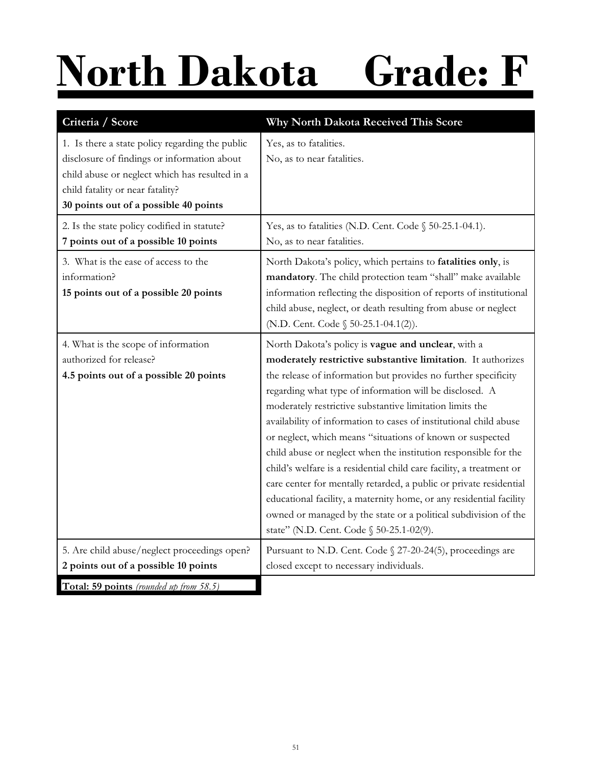# **North Dakota Grade: F**

| Criteria / Score                                                                                                                                                                                                              | Why North Dakota Received This Score                                                                                                                                                                                                                                                                                                                                                                                                                                                                                                                                                                                                                                                                                                                                                                                                                 |
|-------------------------------------------------------------------------------------------------------------------------------------------------------------------------------------------------------------------------------|------------------------------------------------------------------------------------------------------------------------------------------------------------------------------------------------------------------------------------------------------------------------------------------------------------------------------------------------------------------------------------------------------------------------------------------------------------------------------------------------------------------------------------------------------------------------------------------------------------------------------------------------------------------------------------------------------------------------------------------------------------------------------------------------------------------------------------------------------|
| 1. Is there a state policy regarding the public<br>disclosure of findings or information about<br>child abuse or neglect which has resulted in a<br>child fatality or near fatality?<br>30 points out of a possible 40 points | Yes, as to fatalities.<br>No, as to near fatalities.                                                                                                                                                                                                                                                                                                                                                                                                                                                                                                                                                                                                                                                                                                                                                                                                 |
| 2. Is the state policy codified in statute?<br>7 points out of a possible 10 points                                                                                                                                           | Yes, as to fatalities (N.D. Cent. Code § 50-25.1-04.1).<br>No, as to near fatalities.                                                                                                                                                                                                                                                                                                                                                                                                                                                                                                                                                                                                                                                                                                                                                                |
| 3. What is the ease of access to the<br>information?<br>15 points out of a possible 20 points                                                                                                                                 | North Dakota's policy, which pertains to fatalities only, is<br>mandatory. The child protection team "shall" make available<br>information reflecting the disposition of reports of institutional<br>child abuse, neglect, or death resulting from abuse or neglect<br>(N.D. Cent. Code § 50-25.1-04.1(2)).                                                                                                                                                                                                                                                                                                                                                                                                                                                                                                                                          |
| 4. What is the scope of information<br>authorized for release?<br>4.5 points out of a possible 20 points                                                                                                                      | North Dakota's policy is vague and unclear, with a<br>moderately restrictive substantive limitation. It authorizes<br>the release of information but provides no further specificity<br>regarding what type of information will be disclosed. A<br>moderately restrictive substantive limitation limits the<br>availability of information to cases of institutional child abuse<br>or neglect, which means "situations of known or suspected<br>child abuse or neglect when the institution responsible for the<br>child's welfare is a residential child care facility, a treatment or<br>care center for mentally retarded, a public or private residential<br>educational facility, a maternity home, or any residential facility<br>owned or managed by the state or a political subdivision of the<br>state" (N.D. Cent. Code § 50-25.1-02(9). |
| 5. Are child abuse/neglect proceedings open?<br>2 points out of a possible 10 points                                                                                                                                          | Pursuant to N.D. Cent. Code § 27-20-24(5), proceedings are<br>closed except to necessary individuals.                                                                                                                                                                                                                                                                                                                                                                                                                                                                                                                                                                                                                                                                                                                                                |
| Total: 59 points (rounded up from 58.5)                                                                                                                                                                                       |                                                                                                                                                                                                                                                                                                                                                                                                                                                                                                                                                                                                                                                                                                                                                                                                                                                      |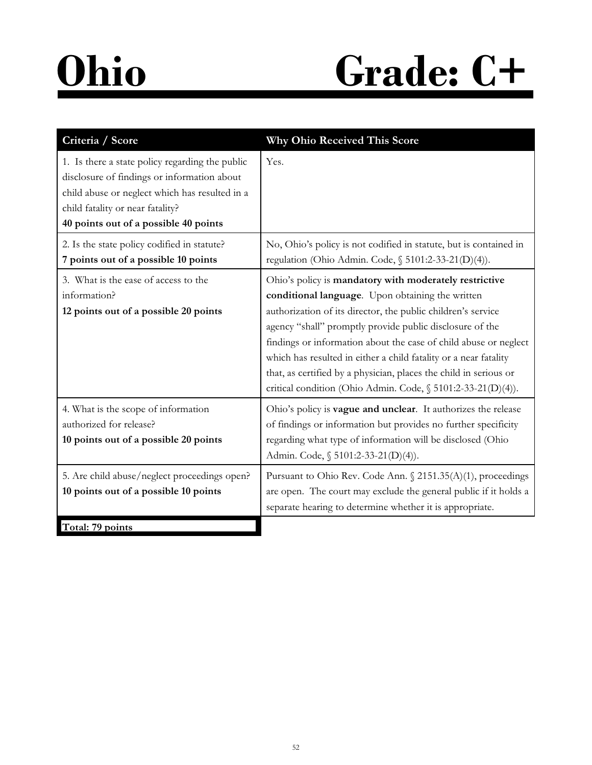### **Ohio Grade: C+**

| Criteria / Score                                                                                                                                                                                                              | <b>Why Ohio Received This Score</b>                                                                                                                                                                                                                                                                                                                                                                                                                                                                                 |
|-------------------------------------------------------------------------------------------------------------------------------------------------------------------------------------------------------------------------------|---------------------------------------------------------------------------------------------------------------------------------------------------------------------------------------------------------------------------------------------------------------------------------------------------------------------------------------------------------------------------------------------------------------------------------------------------------------------------------------------------------------------|
| 1. Is there a state policy regarding the public<br>disclosure of findings or information about<br>child abuse or neglect which has resulted in a<br>child fatality or near fatality?<br>40 points out of a possible 40 points | Yes.                                                                                                                                                                                                                                                                                                                                                                                                                                                                                                                |
| 2. Is the state policy codified in statute?<br>7 points out of a possible 10 points                                                                                                                                           | No, Ohio's policy is not codified in statute, but is contained in<br>regulation (Ohio Admin. Code, § 5101:2-33-21(D)(4)).                                                                                                                                                                                                                                                                                                                                                                                           |
| 3. What is the ease of access to the<br>information?<br>12 points out of a possible 20 points                                                                                                                                 | Ohio's policy is mandatory with moderately restrictive<br>conditional language. Upon obtaining the written<br>authorization of its director, the public children's service<br>agency "shall" promptly provide public disclosure of the<br>findings or information about the case of child abuse or neglect<br>which has resulted in either a child fatality or a near fatality<br>that, as certified by a physician, places the child in serious or<br>critical condition (Ohio Admin. Code, § 5101:2-33-21(D)(4)). |
| 4. What is the scope of information<br>authorized for release?<br>10 points out of a possible 20 points                                                                                                                       | Ohio's policy is vague and unclear. It authorizes the release<br>of findings or information but provides no further specificity<br>regarding what type of information will be disclosed (Ohio<br>Admin. Code, § 5101:2-33-21(D)(4)).                                                                                                                                                                                                                                                                                |
| 5. Are child abuse/neglect proceedings open?<br>10 points out of a possible 10 points                                                                                                                                         | Pursuant to Ohio Rev. Code Ann. § 2151.35(A)(1), proceedings<br>are open. The court may exclude the general public if it holds a<br>separate hearing to determine whether it is appropriate.                                                                                                                                                                                                                                                                                                                        |
| Total: 79 points                                                                                                                                                                                                              |                                                                                                                                                                                                                                                                                                                                                                                                                                                                                                                     |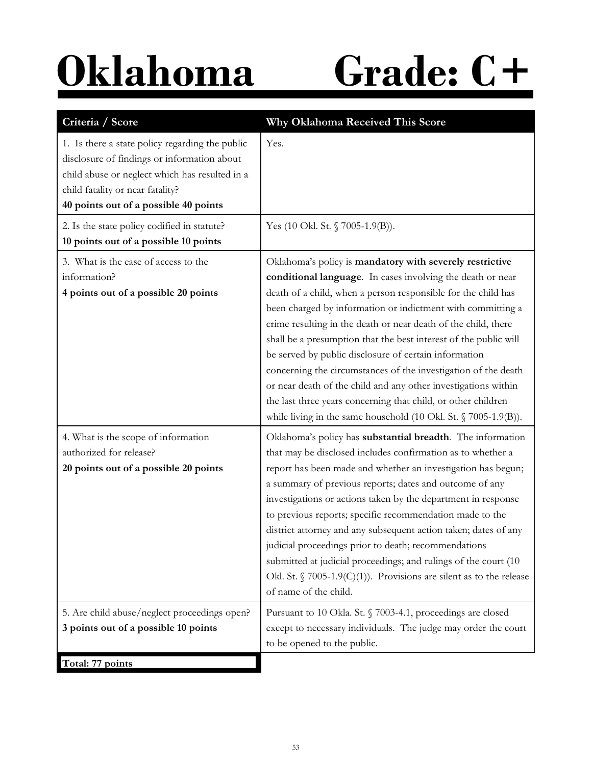# **Oklahoma Grade: C+**

| Criteria / Score                                                                                                                                                                                                              | Why Oklahoma Received This Score                                                                                                                                                                                                                                                                                                                                                                                                                                                                                                                                                                                                                                                                                                      |
|-------------------------------------------------------------------------------------------------------------------------------------------------------------------------------------------------------------------------------|---------------------------------------------------------------------------------------------------------------------------------------------------------------------------------------------------------------------------------------------------------------------------------------------------------------------------------------------------------------------------------------------------------------------------------------------------------------------------------------------------------------------------------------------------------------------------------------------------------------------------------------------------------------------------------------------------------------------------------------|
| 1. Is there a state policy regarding the public<br>disclosure of findings or information about<br>child abuse or neglect which has resulted in a<br>child fatality or near fatality?<br>40 points out of a possible 40 points | Yes.                                                                                                                                                                                                                                                                                                                                                                                                                                                                                                                                                                                                                                                                                                                                  |
| 2. Is the state policy codified in statute?<br>10 points out of a possible 10 points                                                                                                                                          | Yes (10 Okl. St. § 7005-1.9(B)).                                                                                                                                                                                                                                                                                                                                                                                                                                                                                                                                                                                                                                                                                                      |
| 3. What is the ease of access to the<br>information?<br>4 points out of a possible 20 points                                                                                                                                  | Oklahoma's policy is mandatory with severely restrictive<br>conditional language. In cases involving the death or near<br>death of a child, when a person responsible for the child has<br>been charged by information or indictment with committing a<br>crime resulting in the death or near death of the child, there<br>shall be a presumption that the best interest of the public will<br>be served by public disclosure of certain information<br>concerning the circumstances of the investigation of the death<br>or near death of the child and any other investigations within<br>the last three years concerning that child, or other children<br>while living in the same household (10 Okl. St. $\sqrt{7005-1.9(B)}$ ). |
| 4. What is the scope of information<br>authorized for release?<br>20 points out of a possible 20 points                                                                                                                       | Oklahoma's policy has substantial breadth. The information<br>that may be disclosed includes confirmation as to whether a<br>report has been made and whether an investigation has begun;<br>a summary of previous reports; dates and outcome of any<br>investigations or actions taken by the department in response<br>to previous reports; specific recommendation made to the<br>district attorney and any subsequent action taken; dates of any<br>judicial proceedings prior to death; recommendations<br>submitted at judicial proceedings; and rulings of the court (10<br>Okl. St. $\int$ 7005-1.9(C)(1)). Provisions are silent as to the release<br>of name of the child.                                                  |
| 5. Are child abuse/neglect proceedings open?<br>3 points out of a possible 10 points                                                                                                                                          | Pursuant to 10 Okla. St. § 7003-4.1, proceedings are closed<br>except to necessary individuals. The judge may order the court<br>to be opened to the public.                                                                                                                                                                                                                                                                                                                                                                                                                                                                                                                                                                          |
| Total: 77 points                                                                                                                                                                                                              |                                                                                                                                                                                                                                                                                                                                                                                                                                                                                                                                                                                                                                                                                                                                       |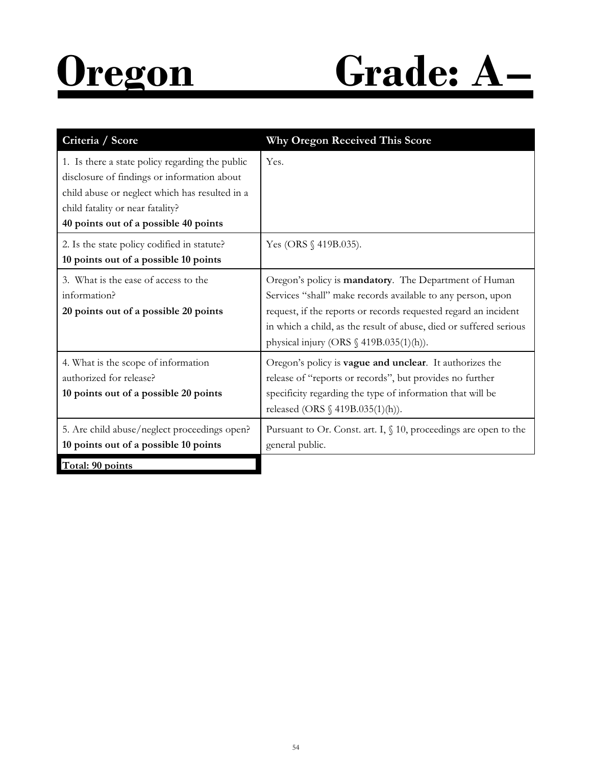

| Criteria / Score                                                                                                                                                                                                              | <b>Why Oregon Received This Score</b>                                                                                                                                                                                                                                                                                |
|-------------------------------------------------------------------------------------------------------------------------------------------------------------------------------------------------------------------------------|----------------------------------------------------------------------------------------------------------------------------------------------------------------------------------------------------------------------------------------------------------------------------------------------------------------------|
| 1. Is there a state policy regarding the public<br>disclosure of findings or information about<br>child abuse or neglect which has resulted in a<br>child fatality or near fatality?<br>40 points out of a possible 40 points | Yes.                                                                                                                                                                                                                                                                                                                 |
| 2. Is the state policy codified in statute?<br>10 points out of a possible 10 points                                                                                                                                          | Yes (ORS $\{\triangleleft 419B.035\}$ ).                                                                                                                                                                                                                                                                             |
| 3. What is the ease of access to the<br>information?<br>20 points out of a possible 20 points                                                                                                                                 | Oregon's policy is mandatory. The Department of Human<br>Services "shall" make records available to any person, upon<br>request, if the reports or records requested regard an incident<br>in which a child, as the result of abuse, died or suffered serious<br>physical injury (ORS $\frac{6}{9}$ 419B.035(1)(h)). |
| 4. What is the scope of information<br>authorized for release?<br>10 points out of a possible 20 points                                                                                                                       | Oregon's policy is vague and unclear. It authorizes the<br>release of "reports or records", but provides no further<br>specificity regarding the type of information that will be<br>released (ORS $\S$ 419B.035(1)(h)).                                                                                             |
| 5. Are child abuse/neglect proceedings open?<br>10 points out of a possible 10 points                                                                                                                                         | Pursuant to Or. Const. art. I, $\S$ 10, proceedings are open to the<br>general public.                                                                                                                                                                                                                               |
| Total: 90 points                                                                                                                                                                                                              |                                                                                                                                                                                                                                                                                                                      |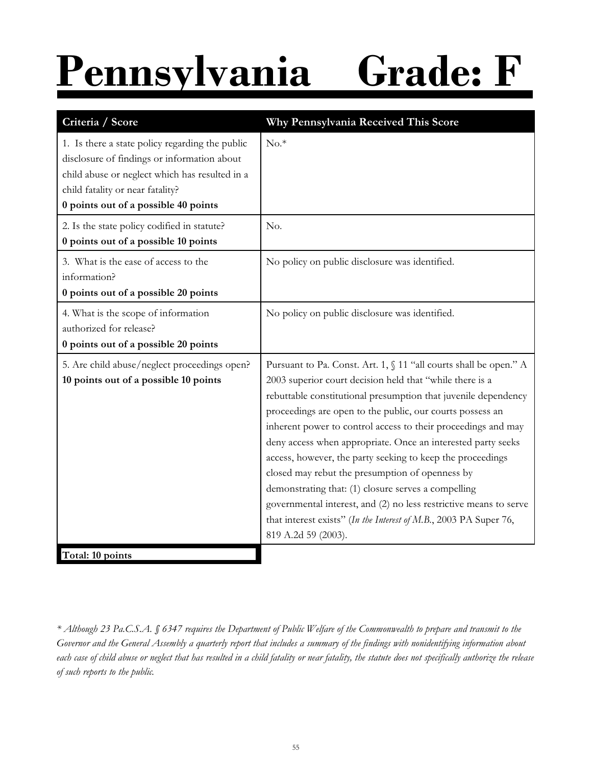# **Pennsylvania Grade: F**

| Criteria / Score                                                                                                                                                                                                             | Why Pennsylvania Received This Score                                                                                                                                                                                                                                                                                                                                                                                                                                                                                                                                                                                                                                                                                                   |
|------------------------------------------------------------------------------------------------------------------------------------------------------------------------------------------------------------------------------|----------------------------------------------------------------------------------------------------------------------------------------------------------------------------------------------------------------------------------------------------------------------------------------------------------------------------------------------------------------------------------------------------------------------------------------------------------------------------------------------------------------------------------------------------------------------------------------------------------------------------------------------------------------------------------------------------------------------------------------|
| 1. Is there a state policy regarding the public<br>disclosure of findings or information about<br>child abuse or neglect which has resulted in a<br>child fatality or near fatality?<br>0 points out of a possible 40 points | $No.*$                                                                                                                                                                                                                                                                                                                                                                                                                                                                                                                                                                                                                                                                                                                                 |
| 2. Is the state policy codified in statute?<br>0 points out of a possible 10 points                                                                                                                                          | No.                                                                                                                                                                                                                                                                                                                                                                                                                                                                                                                                                                                                                                                                                                                                    |
| 3. What is the ease of access to the<br>information?<br>0 points out of a possible 20 points                                                                                                                                 | No policy on public disclosure was identified.                                                                                                                                                                                                                                                                                                                                                                                                                                                                                                                                                                                                                                                                                         |
| 4. What is the scope of information<br>authorized for release?<br>0 points out of a possible 20 points                                                                                                                       | No policy on public disclosure was identified.                                                                                                                                                                                                                                                                                                                                                                                                                                                                                                                                                                                                                                                                                         |
| 5. Are child abuse/neglect proceedings open?<br>10 points out of a possible 10 points                                                                                                                                        | Pursuant to Pa. Const. Art. 1, § 11 "all courts shall be open." A<br>2003 superior court decision held that "while there is a<br>rebuttable constitutional presumption that juvenile dependency<br>proceedings are open to the public, our courts possess an<br>inherent power to control access to their proceedings and may<br>deny access when appropriate. Once an interested party seeks<br>access, however, the party seeking to keep the proceedings<br>closed may rebut the presumption of openness by<br>demonstrating that: (1) closure serves a compelling<br>governmental interest, and (2) no less restrictive means to serve<br>that interest exists" (In the Interest of M.B., 2003 PA Super 76,<br>819 A.2d 59 (2003). |
| Total: 10 points                                                                                                                                                                                                             |                                                                                                                                                                                                                                                                                                                                                                                                                                                                                                                                                                                                                                                                                                                                        |

*<sup>\*</sup> Although 23 Pa.C.S.A. § 6347 requires the Department of Public Welfare of the Commonwealth to prepare and transmit to the Governor and the General Assembly a quarterly report that includes a summary of the findings with nonidentifying information about each case of child abuse or neglect that has resulted in a child fatality or near fatality, the statute does not specifically authorize the release of such reports to the public.*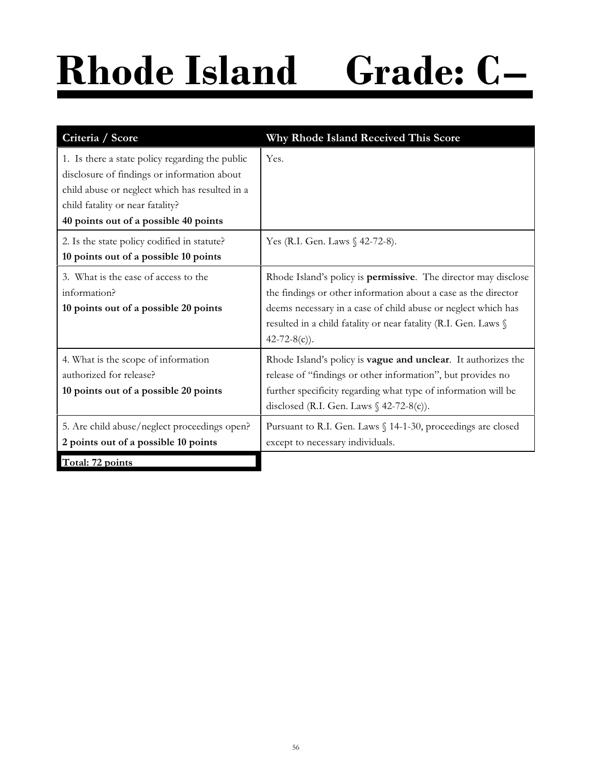# **Rhode Island Grade: C–**

| Criteria / Score                                                                                                                                                                                                              | Why Rhode Island Received This Score                                                                                                                                                                                                                                                               |
|-------------------------------------------------------------------------------------------------------------------------------------------------------------------------------------------------------------------------------|----------------------------------------------------------------------------------------------------------------------------------------------------------------------------------------------------------------------------------------------------------------------------------------------------|
| 1. Is there a state policy regarding the public<br>disclosure of findings or information about<br>child abuse or neglect which has resulted in a<br>child fatality or near fatality?<br>40 points out of a possible 40 points | Yes.                                                                                                                                                                                                                                                                                               |
| 2. Is the state policy codified in statute?<br>10 points out of a possible 10 points                                                                                                                                          | Yes (R.I. Gen. Laws § 42-72-8).                                                                                                                                                                                                                                                                    |
| 3. What is the ease of access to the<br>information?<br>10 points out of a possible 20 points                                                                                                                                 | Rhode Island's policy is <b>permissive</b> . The director may disclose<br>the findings or other information about a case as the director<br>deems necessary in a case of child abuse or neglect which has<br>resulted in a child fatality or near fatality (R.I. Gen. Laws §<br>$42 - 72 - 8(c)$ . |
| 4. What is the scope of information<br>authorized for release?<br>10 points out of a possible 20 points                                                                                                                       | Rhode Island's policy is vague and unclear. It authorizes the<br>release of "findings or other information", but provides no<br>further specificity regarding what type of information will be<br>disclosed (R.I. Gen. Laws $\frac{6}{5}$ 42-72-8(c)).                                             |
| 5. Are child abuse/neglect proceedings open?<br>2 points out of a possible 10 points                                                                                                                                          | Pursuant to R.I. Gen. Laws § 14-1-30, proceedings are closed<br>except to necessary individuals.                                                                                                                                                                                                   |
| Total: 72 points                                                                                                                                                                                                              |                                                                                                                                                                                                                                                                                                    |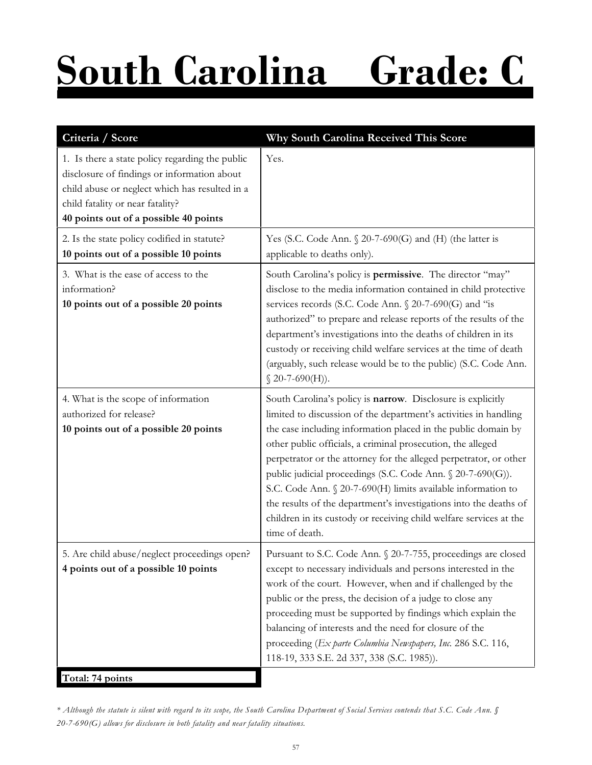# **South Carolina Grade: C**

| Criteria / Score                                                                                                                                                                                                              | Why South Carolina Received This Score                                                                                                                                                                                                                                                                                                                                                                                                                                                                                                                                                                                           |
|-------------------------------------------------------------------------------------------------------------------------------------------------------------------------------------------------------------------------------|----------------------------------------------------------------------------------------------------------------------------------------------------------------------------------------------------------------------------------------------------------------------------------------------------------------------------------------------------------------------------------------------------------------------------------------------------------------------------------------------------------------------------------------------------------------------------------------------------------------------------------|
| 1. Is there a state policy regarding the public<br>disclosure of findings or information about<br>child abuse or neglect which has resulted in a<br>child fatality or near fatality?<br>40 points out of a possible 40 points | Yes.                                                                                                                                                                                                                                                                                                                                                                                                                                                                                                                                                                                                                             |
| 2. Is the state policy codified in statute?<br>10 points out of a possible 10 points                                                                                                                                          | Yes (S.C. Code Ann. $\S 20$ -7-690(G) and (H) (the latter is<br>applicable to deaths only).                                                                                                                                                                                                                                                                                                                                                                                                                                                                                                                                      |
| 3. What is the ease of access to the<br>information?<br>10 points out of a possible 20 points                                                                                                                                 | South Carolina's policy is permissive. The director "may"<br>disclose to the media information contained in child protective<br>services records (S.C. Code Ann. § 20-7-690(G) and "is<br>authorized" to prepare and release reports of the results of the<br>department's investigations into the deaths of children in its<br>custody or receiving child welfare services at the time of death<br>(arguably, such release would be to the public) (S.C. Code Ann.<br>$$20-7-690(H)$ .                                                                                                                                          |
| 4. What is the scope of information<br>authorized for release?<br>10 points out of a possible 20 points                                                                                                                       | South Carolina's policy is narrow. Disclosure is explicitly<br>limited to discussion of the department's activities in handling<br>the case including information placed in the public domain by<br>other public officials, a criminal prosecution, the alleged<br>perpetrator or the attorney for the alleged perpetrator, or other<br>public judicial proceedings (S.C. Code Ann. § 20-7-690(G)).<br>S.C. Code Ann. § 20-7-690(H) limits available information to<br>the results of the department's investigations into the deaths of<br>children in its custody or receiving child welfare services at the<br>time of death. |
| 5. Are child abuse/neglect proceedings open?<br>4 points out of a possible 10 points                                                                                                                                          | Pursuant to S.C. Code Ann. § 20-7-755, proceedings are closed<br>except to necessary individuals and persons interested in the<br>work of the court. However, when and if challenged by the<br>public or the press, the decision of a judge to close any<br>proceeding must be supported by findings which explain the<br>balancing of interests and the need for closure of the<br>proceeding (Ex parte Columbia Newspapers, Inc. 286 S.C. 116,<br>118-19, 333 S.E. 2d 337, 338 (S.C. 1985)).                                                                                                                                   |
| Total: 74 points                                                                                                                                                                                                              |                                                                                                                                                                                                                                                                                                                                                                                                                                                                                                                                                                                                                                  |

*<sup>\*</sup> Although the statute is silent with regard to its scope, the South Carolina Department of Social Services contends that S.C. Code Ann. § 20-7-690(G) allows for disclosure in both fatality and near fatality situations.*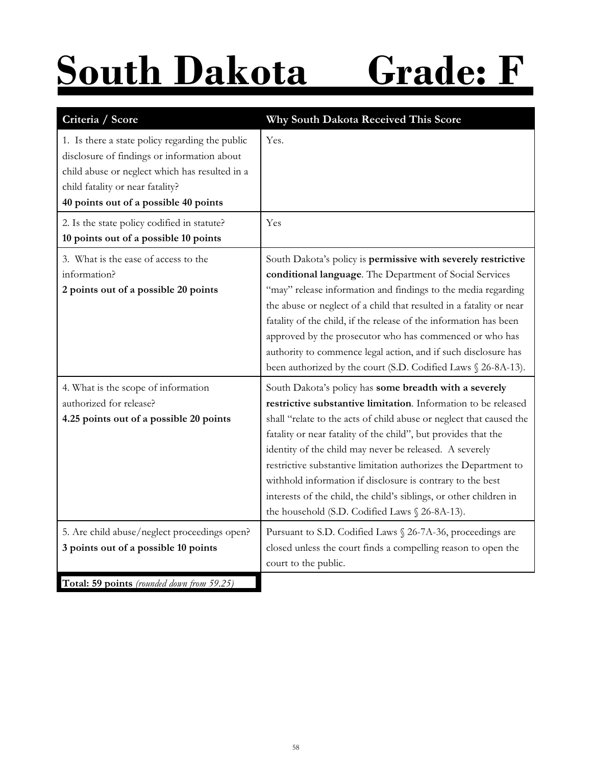## **South Dakota Grade: F**

| Criteria / Score                                                                                                                                                                                                              | Why South Dakota Received This Score                                                                                                                                                                                                                                                                                                                                                                                                                                                                                                                                                  |
|-------------------------------------------------------------------------------------------------------------------------------------------------------------------------------------------------------------------------------|---------------------------------------------------------------------------------------------------------------------------------------------------------------------------------------------------------------------------------------------------------------------------------------------------------------------------------------------------------------------------------------------------------------------------------------------------------------------------------------------------------------------------------------------------------------------------------------|
| 1. Is there a state policy regarding the public<br>disclosure of findings or information about<br>child abuse or neglect which has resulted in a<br>child fatality or near fatality?<br>40 points out of a possible 40 points | Yes.                                                                                                                                                                                                                                                                                                                                                                                                                                                                                                                                                                                  |
| 2. Is the state policy codified in statute?<br>10 points out of a possible 10 points                                                                                                                                          | Yes                                                                                                                                                                                                                                                                                                                                                                                                                                                                                                                                                                                   |
| 3. What is the ease of access to the<br>information?<br>2 points out of a possible 20 points                                                                                                                                  | South Dakota's policy is permissive with severely restrictive<br>conditional language. The Department of Social Services<br>"may" release information and findings to the media regarding<br>the abuse or neglect of a child that resulted in a fatality or near<br>fatality of the child, if the release of the information has been<br>approved by the prosecutor who has commenced or who has<br>authority to commence legal action, and if such disclosure has<br>been authorized by the court (S.D. Codified Laws § 26-8A-13).                                                   |
| 4. What is the scope of information<br>authorized for release?<br>4.25 points out of a possible 20 points                                                                                                                     | South Dakota's policy has some breadth with a severely<br>restrictive substantive limitation. Information to be released<br>shall "relate to the acts of child abuse or neglect that caused the<br>fatality or near fatality of the child", but provides that the<br>identity of the child may never be released. A severely<br>restrictive substantive limitation authorizes the Department to<br>withhold information if disclosure is contrary to the best<br>interests of the child, the child's siblings, or other children in<br>the household (S.D. Codified Laws § 26-8A-13). |
| 5. Are child abuse/neglect proceedings open?<br>3 points out of a possible 10 points                                                                                                                                          | Pursuant to S.D. Codified Laws § 26-7A-36, proceedings are<br>closed unless the court finds a compelling reason to open the<br>court to the public.                                                                                                                                                                                                                                                                                                                                                                                                                                   |
| Total: 59 points (rounded down from 59.25)                                                                                                                                                                                    |                                                                                                                                                                                                                                                                                                                                                                                                                                                                                                                                                                                       |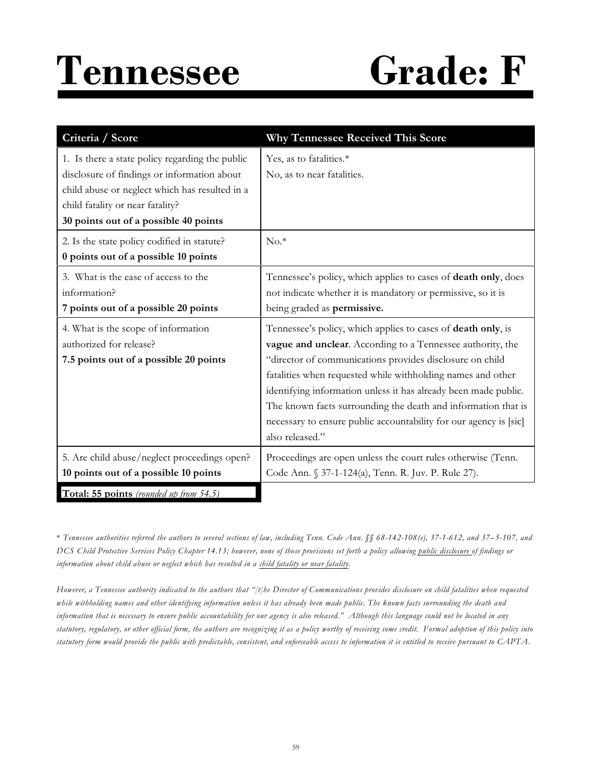### **Tennessee Grade: F**

| Criteria / Score                                                                                                                                                                                                              | <b>Why Tennessee Received This Score</b>                                                                                                                                                                                                                                                                                                                                                                                                                                          |
|-------------------------------------------------------------------------------------------------------------------------------------------------------------------------------------------------------------------------------|-----------------------------------------------------------------------------------------------------------------------------------------------------------------------------------------------------------------------------------------------------------------------------------------------------------------------------------------------------------------------------------------------------------------------------------------------------------------------------------|
| 1. Is there a state policy regarding the public<br>disclosure of findings or information about<br>child abuse or neglect which has resulted in a<br>child fatality or near fatality?<br>30 points out of a possible 40 points | Yes, as to fatalities.*<br>No, as to near fatalities.                                                                                                                                                                                                                                                                                                                                                                                                                             |
| 2. Is the state policy codified in statute?<br>0 points out of a possible 10 points                                                                                                                                           | $No.*$                                                                                                                                                                                                                                                                                                                                                                                                                                                                            |
| 3. What is the ease of access to the<br>information?<br>7 points out of a possible 20 points                                                                                                                                  | Tennessee's policy, which applies to cases of death only, does<br>not indicate whether it is mandatory or permissive, so it is<br>being graded as <b>permissive.</b>                                                                                                                                                                                                                                                                                                              |
| 4. What is the scope of information<br>authorized for release?<br>7.5 points out of a possible 20 points                                                                                                                      | Tennessee's policy, which applies to cases of death only, is<br>vague and unclear. According to a Tennessee authority, the<br>"director of communications provides disclosure on child<br>fatalities when requested while withholding names and other<br>identifying information unless it has already been made public.<br>The known facts surrounding the death and information that is<br>necessary to ensure public accountability for our agency is [sic]<br>also released." |
| 5. Are child abuse/neglect proceedings open?<br>10 points out of a possible 10 points                                                                                                                                         | Proceedings are open unless the court rules otherwise (Tenn.<br>Code Ann. § 37-1-124(a), Tenn. R. Juv. P. Rule 27).                                                                                                                                                                                                                                                                                                                                                               |
| Total: 55 points (rounded up from 54.5)                                                                                                                                                                                       |                                                                                                                                                                                                                                                                                                                                                                                                                                                                                   |

\* *Tennessee authorities referred the authors to several sections of law, including Tenn. Code Ann. §§ 68-142-108(e), 37-1-612, and 37–5-107, and DCS Child Protective Services Policy Chapter 14.13; however, none of those provisions set forth a policy allowing public disclosure of findings or information about child abuse or neglect which has resulted in a child fatality or near fatality.* 

*However, a Tennessee authority indicated to the authors that "[t]he Director of Communications provides disclosure on child fatalities when requested while withholding names and other identifying information unless it has already been made public. The known facts surrounding the death and information that is necessary to ensure public accountability for our agency is also released." Although this language could not be located in any statutory, regulatory, or other official form, the authors are recognizing it as a policy worthy of receiving some credit. Formal adoption of this policy into statutory form would provide the public with predictable, consistent, and enforceable access to information it is entitled to receive pursuant to CAPTA.*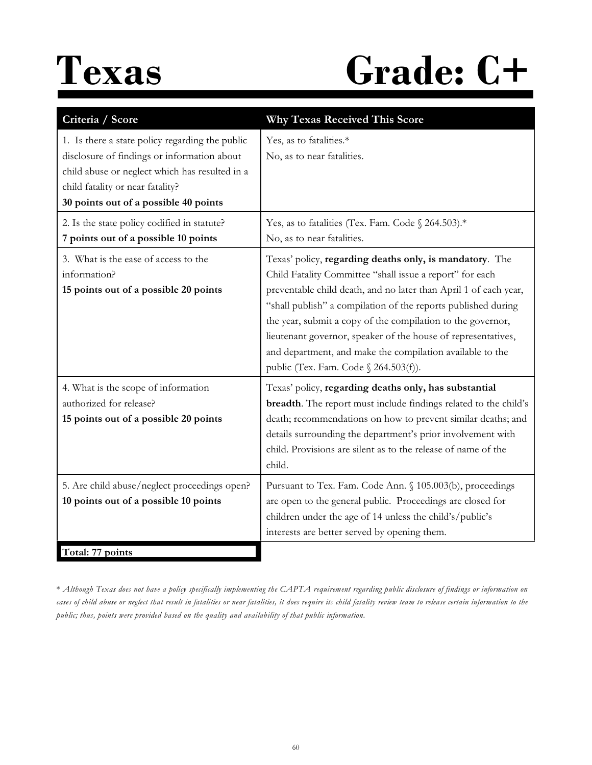### Texas Grade: C+

| Criteria / Score                                                                                                                                                                                                              | <b>Why Texas Received This Score</b>                                                                                                                                                                                                                                                                                                                                                                                                                                                           |
|-------------------------------------------------------------------------------------------------------------------------------------------------------------------------------------------------------------------------------|------------------------------------------------------------------------------------------------------------------------------------------------------------------------------------------------------------------------------------------------------------------------------------------------------------------------------------------------------------------------------------------------------------------------------------------------------------------------------------------------|
| 1. Is there a state policy regarding the public<br>disclosure of findings or information about<br>child abuse or neglect which has resulted in a<br>child fatality or near fatality?<br>30 points out of a possible 40 points | Yes, as to fatalities.*<br>No, as to near fatalities.                                                                                                                                                                                                                                                                                                                                                                                                                                          |
| 2. Is the state policy codified in statute?<br>7 points out of a possible 10 points                                                                                                                                           | Yes, as to fatalities (Tex. Fam. Code § 264.503).*<br>No, as to near fatalities.                                                                                                                                                                                                                                                                                                                                                                                                               |
| 3. What is the ease of access to the<br>information?<br>15 points out of a possible 20 points                                                                                                                                 | Texas' policy, regarding deaths only, is mandatory. The<br>Child Fatality Committee "shall issue a report" for each<br>preventable child death, and no later than April 1 of each year,<br>"shall publish" a compilation of the reports published during<br>the year, submit a copy of the compilation to the governor,<br>lieutenant governor, speaker of the house of representatives,<br>and department, and make the compilation available to the<br>public (Tex. Fam. Code § 264.503(f)). |
| 4. What is the scope of information<br>authorized for release?<br>15 points out of a possible 20 points                                                                                                                       | Texas' policy, regarding deaths only, has substantial<br>breadth. The report must include findings related to the child's<br>death; recommendations on how to prevent similar deaths; and<br>details surrounding the department's prior involvement with<br>child. Provisions are silent as to the release of name of the<br>child.                                                                                                                                                            |
| 5. Are child abuse/neglect proceedings open?<br>10 points out of a possible 10 points<br>Total: 77 points                                                                                                                     | Pursuant to Tex. Fam. Code Ann. § 105.003(b), proceedings<br>are open to the general public. Proceedings are closed for<br>children under the age of 14 unless the child's/public's<br>interests are better served by opening them.                                                                                                                                                                                                                                                            |

\* *Although Texas does not have a policy specifically implementing the CAPTA requirement regarding public disclosure of findings or information on cases of child abuse or neglect that result in fatalities or near fatalities, it does require its child fatality review team to release certain information to the public; thus, points were provided based on the quality and availability of that public information.*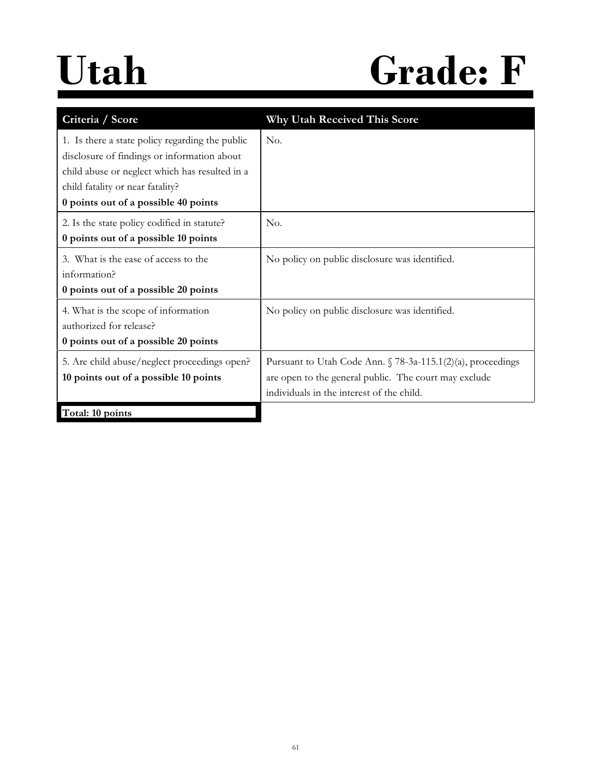### **Utah Grade: F**

| Criteria / Score                                                                                                                                                                                                             | <b>Why Utah Received This Score</b>                                                                                                                                       |
|------------------------------------------------------------------------------------------------------------------------------------------------------------------------------------------------------------------------------|---------------------------------------------------------------------------------------------------------------------------------------------------------------------------|
| 1. Is there a state policy regarding the public<br>disclosure of findings or information about<br>child abuse or neglect which has resulted in a<br>child fatality or near fatality?<br>0 points out of a possible 40 points | No.                                                                                                                                                                       |
| 2. Is the state policy codified in statute?<br>0 points out of a possible 10 points                                                                                                                                          | No.                                                                                                                                                                       |
| 3. What is the ease of access to the<br>information?<br>0 points out of a possible 20 points                                                                                                                                 | No policy on public disclosure was identified.                                                                                                                            |
| 4. What is the scope of information<br>authorized for release?<br>0 points out of a possible 20 points                                                                                                                       | No policy on public disclosure was identified.                                                                                                                            |
| 5. Are child abuse/neglect proceedings open?<br>10 points out of a possible 10 points                                                                                                                                        | Pursuant to Utah Code Ann. $\sqrt{78-3a-115.1(2)(a)}$ , proceedings<br>are open to the general public. The court may exclude<br>individuals in the interest of the child. |
| Total: 10 points                                                                                                                                                                                                             |                                                                                                                                                                           |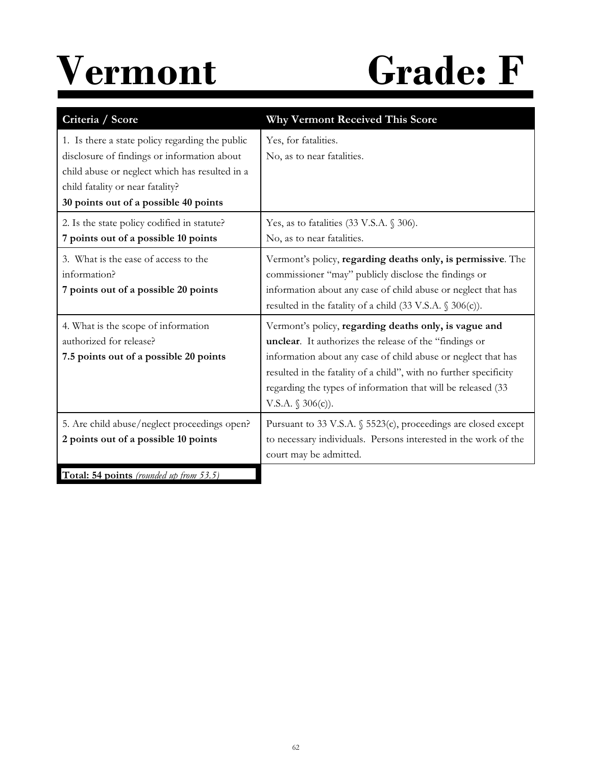

| Criteria / Score                                                                                                                                                                                                              | <b>Why Vermont Received This Score</b>                                                                                                                                                                                                                                                                                                       |
|-------------------------------------------------------------------------------------------------------------------------------------------------------------------------------------------------------------------------------|----------------------------------------------------------------------------------------------------------------------------------------------------------------------------------------------------------------------------------------------------------------------------------------------------------------------------------------------|
| 1. Is there a state policy regarding the public<br>disclosure of findings or information about<br>child abuse or neglect which has resulted in a<br>child fatality or near fatality?<br>30 points out of a possible 40 points | Yes, for fatalities.<br>No, as to near fatalities.                                                                                                                                                                                                                                                                                           |
| 2. Is the state policy codified in statute?<br>7 points out of a possible 10 points                                                                                                                                           | Yes, as to fatalities $(33 \text{ V.S.A. } § 306)$ .<br>No, as to near fatalities.                                                                                                                                                                                                                                                           |
| 3. What is the ease of access to the<br>information?<br>7 points out of a possible 20 points                                                                                                                                  | Vermont's policy, regarding deaths only, is permissive. The<br>commissioner "may" publicly disclose the findings or<br>information about any case of child abuse or neglect that has<br>resulted in the fatality of a child $(33 \text{ V.S.A. }$ \$ 306(c)).                                                                                |
| 4. What is the scope of information<br>authorized for release?<br>7.5 points out of a possible 20 points                                                                                                                      | Vermont's policy, regarding deaths only, is vague and<br>unclear. It authorizes the release of the "findings or<br>information about any case of child abuse or neglect that has<br>resulted in the fatality of a child", with no further specificity<br>regarding the types of information that will be released (33<br>V.S.A. $$306(c)$ ). |
| 5. Are child abuse/neglect proceedings open?<br>2 points out of a possible 10 points                                                                                                                                          | Pursuant to 33 V.S.A. § 5523(c), proceedings are closed except<br>to necessary individuals. Persons interested in the work of the<br>court may be admitted.                                                                                                                                                                                  |
| Total: 54 points (rounded up from 53.5)                                                                                                                                                                                       |                                                                                                                                                                                                                                                                                                                                              |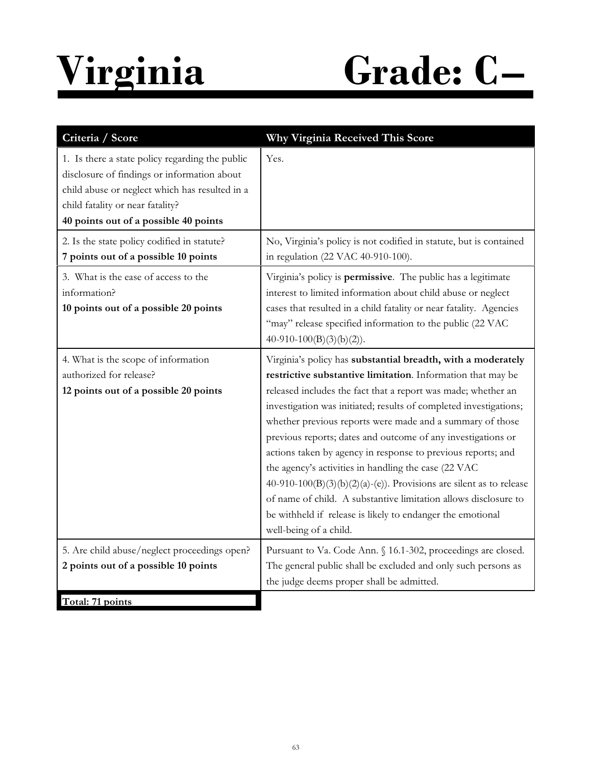# **Virginia Grade: C–**

| Criteria / Score                                                                                                                                                                                                              | Why Virginia Received This Score                                                                                                                                                                                                                                                                                                                                                                                                                                                                                                                                                                                                                                                                                                                         |
|-------------------------------------------------------------------------------------------------------------------------------------------------------------------------------------------------------------------------------|----------------------------------------------------------------------------------------------------------------------------------------------------------------------------------------------------------------------------------------------------------------------------------------------------------------------------------------------------------------------------------------------------------------------------------------------------------------------------------------------------------------------------------------------------------------------------------------------------------------------------------------------------------------------------------------------------------------------------------------------------------|
| 1. Is there a state policy regarding the public<br>disclosure of findings or information about<br>child abuse or neglect which has resulted in a<br>child fatality or near fatality?<br>40 points out of a possible 40 points | Yes.                                                                                                                                                                                                                                                                                                                                                                                                                                                                                                                                                                                                                                                                                                                                                     |
| 2. Is the state policy codified in statute?<br>7 points out of a possible 10 points                                                                                                                                           | No, Virginia's policy is not codified in statute, but is contained<br>in regulation (22 VAC 40-910-100).                                                                                                                                                                                                                                                                                                                                                                                                                                                                                                                                                                                                                                                 |
| 3. What is the ease of access to the<br>information?<br>10 points out of a possible 20 points                                                                                                                                 | Virginia's policy is permissive. The public has a legitimate<br>interest to limited information about child abuse or neglect<br>cases that resulted in a child fatality or near fatality. Agencies<br>"may" release specified information to the public (22 VAC<br>$40-910-100(B)(3)(b)(2)$ .                                                                                                                                                                                                                                                                                                                                                                                                                                                            |
| 4. What is the scope of information<br>authorized for release?<br>12 points out of a possible 20 points                                                                                                                       | Virginia's policy has substantial breadth, with a moderately<br>restrictive substantive limitation. Information that may be<br>released includes the fact that a report was made; whether an<br>investigation was initiated; results of completed investigations;<br>whether previous reports were made and a summary of those<br>previous reports; dates and outcome of any investigations or<br>actions taken by agency in response to previous reports; and<br>the agency's activities in handling the case (22 VAC<br>40-910-100(B)(3)(b)(2)(a)-(e)). Provisions are silent as to release<br>of name of child. A substantive limitation allows disclosure to<br>be withheld if release is likely to endanger the emotional<br>well-being of a child. |
| 5. Are child abuse/neglect proceedings open?<br>2 points out of a possible 10 points                                                                                                                                          | Pursuant to Va. Code Ann. § 16.1-302, proceedings are closed.<br>The general public shall be excluded and only such persons as<br>the judge deems proper shall be admitted.                                                                                                                                                                                                                                                                                                                                                                                                                                                                                                                                                                              |
| Total: 71 points                                                                                                                                                                                                              |                                                                                                                                                                                                                                                                                                                                                                                                                                                                                                                                                                                                                                                                                                                                                          |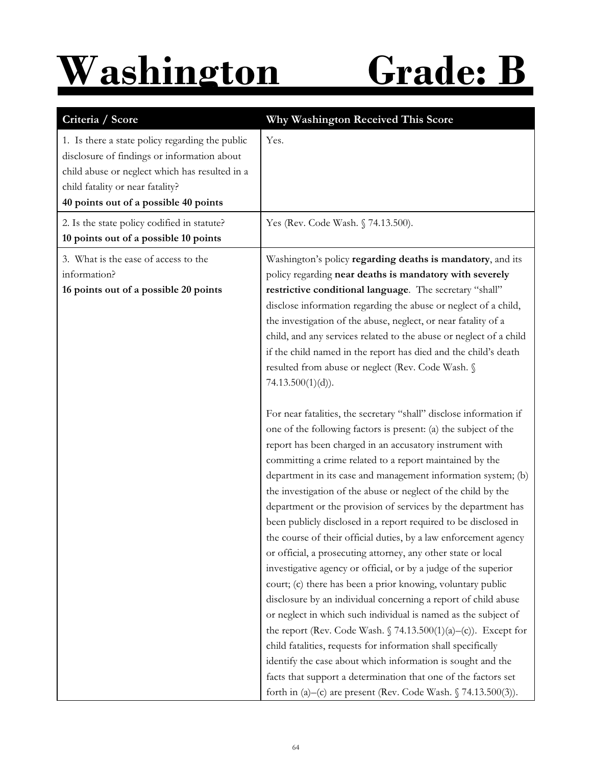### **Washington Grade: B**

| Criteria / Score                                                                                                                                                                                                              | Why Washington Received This Score                                                                                                                                                                                                                                                                                                                                                                                                                                                                                                                                                                                                                                                                                                                                                                                                                                                                                                                                                                                                                                                                                                                                                                                                                                                                                                                                                                                                                                                                                                                                                                                                                                                                                                                                                                                                                 |
|-------------------------------------------------------------------------------------------------------------------------------------------------------------------------------------------------------------------------------|----------------------------------------------------------------------------------------------------------------------------------------------------------------------------------------------------------------------------------------------------------------------------------------------------------------------------------------------------------------------------------------------------------------------------------------------------------------------------------------------------------------------------------------------------------------------------------------------------------------------------------------------------------------------------------------------------------------------------------------------------------------------------------------------------------------------------------------------------------------------------------------------------------------------------------------------------------------------------------------------------------------------------------------------------------------------------------------------------------------------------------------------------------------------------------------------------------------------------------------------------------------------------------------------------------------------------------------------------------------------------------------------------------------------------------------------------------------------------------------------------------------------------------------------------------------------------------------------------------------------------------------------------------------------------------------------------------------------------------------------------------------------------------------------------------------------------------------------------|
| 1. Is there a state policy regarding the public<br>disclosure of findings or information about<br>child abuse or neglect which has resulted in a<br>child fatality or near fatality?<br>40 points out of a possible 40 points | Yes.                                                                                                                                                                                                                                                                                                                                                                                                                                                                                                                                                                                                                                                                                                                                                                                                                                                                                                                                                                                                                                                                                                                                                                                                                                                                                                                                                                                                                                                                                                                                                                                                                                                                                                                                                                                                                                               |
| 2. Is the state policy codified in statute?<br>10 points out of a possible 10 points                                                                                                                                          | Yes (Rev. Code Wash. § 74.13.500).                                                                                                                                                                                                                                                                                                                                                                                                                                                                                                                                                                                                                                                                                                                                                                                                                                                                                                                                                                                                                                                                                                                                                                                                                                                                                                                                                                                                                                                                                                                                                                                                                                                                                                                                                                                                                 |
| 3. What is the ease of access to the<br>information?<br>16 points out of a possible 20 points                                                                                                                                 | Washington's policy regarding deaths is mandatory, and its<br>policy regarding near deaths is mandatory with severely<br>restrictive conditional language. The secretary "shall"<br>disclose information regarding the abuse or neglect of a child,<br>the investigation of the abuse, neglect, or near fatality of a<br>child, and any services related to the abuse or neglect of a child<br>if the child named in the report has died and the child's death<br>resulted from abuse or neglect (Rev. Code Wash. §<br>$74.13.500(1)(d)$ .<br>For near fatalities, the secretary "shall" disclose information if<br>one of the following factors is present: (a) the subject of the<br>report has been charged in an accusatory instrument with<br>committing a crime related to a report maintained by the<br>department in its case and management information system; (b)<br>the investigation of the abuse or neglect of the child by the<br>department or the provision of services by the department has<br>been publicly disclosed in a report required to be disclosed in<br>the course of their official duties, by a law enforcement agency<br>or official, a prosecuting attorney, any other state or local<br>investigative agency or official, or by a judge of the superior<br>court; (c) there has been a prior knowing, voluntary public<br>disclosure by an individual concerning a report of child abuse<br>or neglect in which such individual is named as the subject of<br>the report (Rev. Code Wash. $\int 74.13.500(1)(a) - (c)$ ). Except for<br>child fatalities, requests for information shall specifically<br>identify the case about which information is sought and the<br>facts that support a determination that one of the factors set<br>forth in (a)–(c) are present (Rev. Code Wash. $\sqrt{74.13.500(3)}$ ). |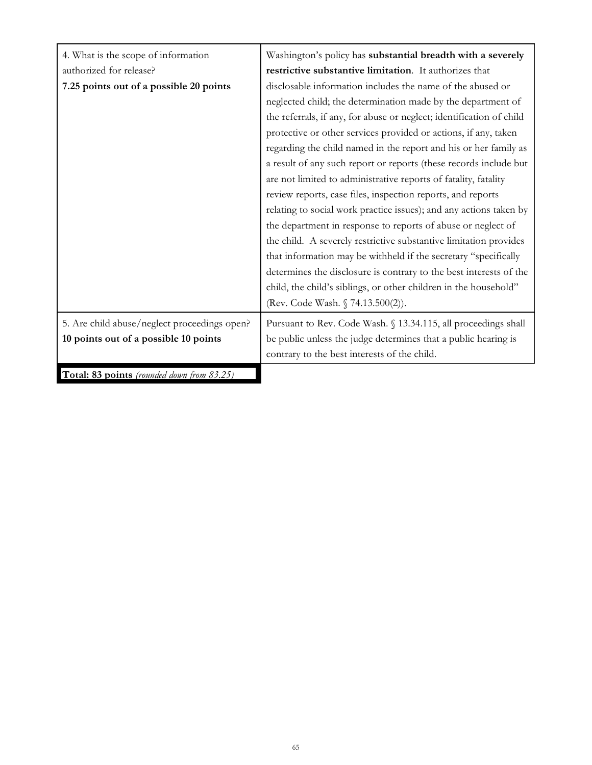| 4. What is the scope of information          | Washington's policy has substantial breadth with a severely          |
|----------------------------------------------|----------------------------------------------------------------------|
| authorized for release?                      | restrictive substantive limitation. It authorizes that               |
| 7.25 points out of a possible 20 points      | disclosable information includes the name of the abused or           |
|                                              | neglected child; the determination made by the department of         |
|                                              | the referrals, if any, for abuse or neglect; identification of child |
|                                              | protective or other services provided or actions, if any, taken      |
|                                              | regarding the child named in the report and his or her family as     |
|                                              | a result of any such report or reports (these records include but    |
|                                              | are not limited to administrative reports of fatality, fatality      |
|                                              | review reports, case files, inspection reports, and reports          |
|                                              | relating to social work practice issues); and any actions taken by   |
|                                              | the department in response to reports of abuse or neglect of         |
|                                              | the child. A severely restrictive substantive limitation provides    |
|                                              | that information may be withheld if the secretary "specifically      |
|                                              | determines the disclosure is contrary to the best interests of the   |
|                                              | child, the child's siblings, or other children in the household"     |
|                                              | (Rev. Code Wash. § 74.13.500(2)).                                    |
| 5. Are child abuse/neglect proceedings open? | Pursuant to Rev. Code Wash. § 13.34.115, all proceedings shall       |
| 10 points out of a possible 10 points        | be public unless the judge determines that a public hearing is       |
|                                              | contrary to the best interests of the child.                         |
| Total: 83 points (rounded down from 83.25)   |                                                                      |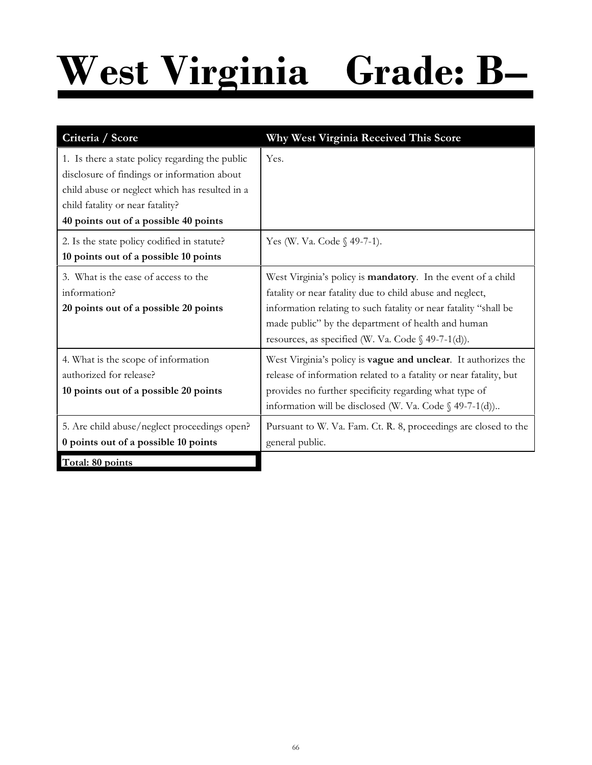## **West Virginia Grade: B–**

| Criteria / Score                                                                                                                                                                                                              | Why West Virginia Received This Score                                                                                                                                                                                                                                                                        |
|-------------------------------------------------------------------------------------------------------------------------------------------------------------------------------------------------------------------------------|--------------------------------------------------------------------------------------------------------------------------------------------------------------------------------------------------------------------------------------------------------------------------------------------------------------|
| 1. Is there a state policy regarding the public<br>disclosure of findings or information about<br>child abuse or neglect which has resulted in a<br>child fatality or near fatality?<br>40 points out of a possible 40 points | Yes.                                                                                                                                                                                                                                                                                                         |
| 2. Is the state policy codified in statute?<br>10 points out of a possible 10 points                                                                                                                                          | Yes (W. Va. Code § 49-7-1).                                                                                                                                                                                                                                                                                  |
| 3. What is the ease of access to the<br>information?<br>20 points out of a possible 20 points                                                                                                                                 | West Virginia's policy is mandatory. In the event of a child<br>fatality or near fatality due to child abuse and neglect,<br>information relating to such fatality or near fatality "shall be<br>made public" by the department of health and human<br>resources, as specified (W. Va. Code $\S$ 49-7-1(d)). |
| 4. What is the scope of information<br>authorized for release?<br>10 points out of a possible 20 points                                                                                                                       | West Virginia's policy is <b>vague and unclear</b> . It authorizes the<br>release of information related to a fatality or near fatality, but<br>provides no further specificity regarding what type of<br>information will be disclosed (W. Va. Code $\S$ 49-7-1(d))                                         |
| 5. Are child abuse/neglect proceedings open?<br>0 points out of a possible 10 points                                                                                                                                          | Pursuant to W. Va. Fam. Ct. R. 8, proceedings are closed to the<br>general public.                                                                                                                                                                                                                           |
| Total: 80 points                                                                                                                                                                                                              |                                                                                                                                                                                                                                                                                                              |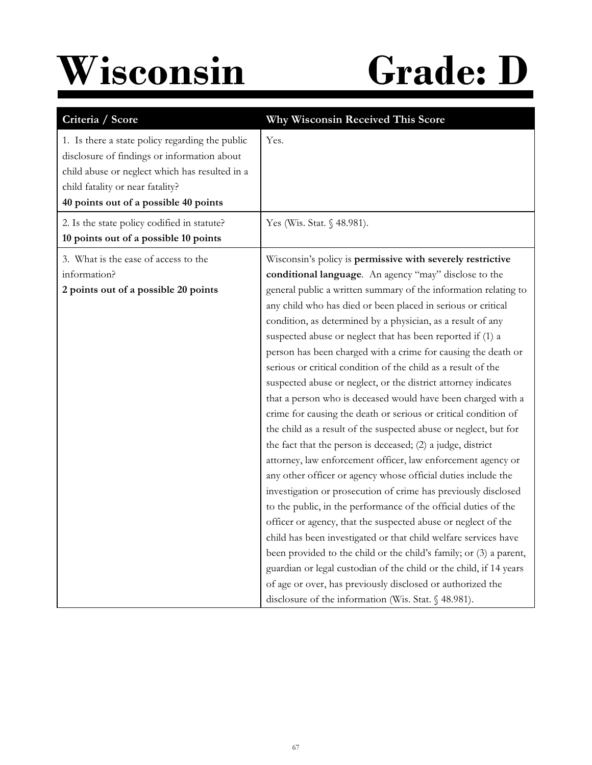## **Wisconsin Grade: D**

| Criteria / Score                                                                                                                                                                                                              | Why Wisconsin Received This Score                                                                                                                                                                                                                                                                                                                                                                                                                                                                                                                                                                                                                                                                                                                                                                                                                                                                                                                                                                                                                                                                                                                                                                                                                                                                                                                                                                                                                                                                                                         |
|-------------------------------------------------------------------------------------------------------------------------------------------------------------------------------------------------------------------------------|-------------------------------------------------------------------------------------------------------------------------------------------------------------------------------------------------------------------------------------------------------------------------------------------------------------------------------------------------------------------------------------------------------------------------------------------------------------------------------------------------------------------------------------------------------------------------------------------------------------------------------------------------------------------------------------------------------------------------------------------------------------------------------------------------------------------------------------------------------------------------------------------------------------------------------------------------------------------------------------------------------------------------------------------------------------------------------------------------------------------------------------------------------------------------------------------------------------------------------------------------------------------------------------------------------------------------------------------------------------------------------------------------------------------------------------------------------------------------------------------------------------------------------------------|
| 1. Is there a state policy regarding the public<br>disclosure of findings or information about<br>child abuse or neglect which has resulted in a<br>child fatality or near fatality?<br>40 points out of a possible 40 points | Yes.                                                                                                                                                                                                                                                                                                                                                                                                                                                                                                                                                                                                                                                                                                                                                                                                                                                                                                                                                                                                                                                                                                                                                                                                                                                                                                                                                                                                                                                                                                                                      |
| 2. Is the state policy codified in statute?<br>10 points out of a possible 10 points                                                                                                                                          | Yes (Wis. Stat. § 48.981).                                                                                                                                                                                                                                                                                                                                                                                                                                                                                                                                                                                                                                                                                                                                                                                                                                                                                                                                                                                                                                                                                                                                                                                                                                                                                                                                                                                                                                                                                                                |
| 3. What is the ease of access to the<br>information?<br>2 points out of a possible 20 points                                                                                                                                  | Wisconsin's policy is permissive with severely restrictive<br>conditional language. An agency "may" disclose to the<br>general public a written summary of the information relating to<br>any child who has died or been placed in serious or critical<br>condition, as determined by a physician, as a result of any<br>suspected abuse or neglect that has been reported if (1) a<br>person has been charged with a crime for causing the death or<br>serious or critical condition of the child as a result of the<br>suspected abuse or neglect, or the district attorney indicates<br>that a person who is deceased would have been charged with a<br>crime for causing the death or serious or critical condition of<br>the child as a result of the suspected abuse or neglect, but for<br>the fact that the person is deceased; (2) a judge, district<br>attorney, law enforcement officer, law enforcement agency or<br>any other officer or agency whose official duties include the<br>investigation or prosecution of crime has previously disclosed<br>to the public, in the performance of the official duties of the<br>officer or agency, that the suspected abuse or neglect of the<br>child has been investigated or that child welfare services have<br>been provided to the child or the child's family; or (3) a parent,<br>guardian or legal custodian of the child or the child, if 14 years<br>of age or over, has previously disclosed or authorized the<br>disclosure of the information (Wis. Stat. § 48.981). |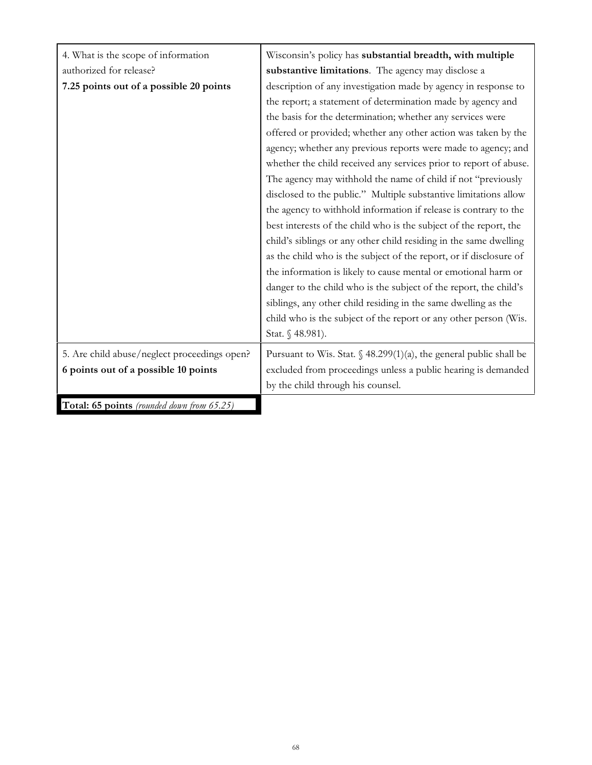| 4. What is the scope of information          | Wisconsin's policy has substantial breadth, with multiple                      |  |  |  |  |
|----------------------------------------------|--------------------------------------------------------------------------------|--|--|--|--|
| authorized for release?                      | substantive limitations. The agency may disclose a                             |  |  |  |  |
| 7.25 points out of a possible 20 points      | description of any investigation made by agency in response to                 |  |  |  |  |
|                                              | the report; a statement of determination made by agency and                    |  |  |  |  |
|                                              | the basis for the determination; whether any services were                     |  |  |  |  |
|                                              | offered or provided; whether any other action was taken by the                 |  |  |  |  |
|                                              | agency; whether any previous reports were made to agency; and                  |  |  |  |  |
|                                              | whether the child received any services prior to report of abuse.              |  |  |  |  |
|                                              | The agency may withhold the name of child if not "previously                   |  |  |  |  |
|                                              | disclosed to the public." Multiple substantive limitations allow               |  |  |  |  |
|                                              | the agency to withhold information if release is contrary to the               |  |  |  |  |
|                                              | best interests of the child who is the subject of the report, the              |  |  |  |  |
|                                              | child's siblings or any other child residing in the same dwelling              |  |  |  |  |
|                                              | as the child who is the subject of the report, or if disclosure of             |  |  |  |  |
|                                              | the information is likely to cause mental or emotional harm or                 |  |  |  |  |
|                                              | danger to the child who is the subject of the report, the child's              |  |  |  |  |
|                                              | siblings, any other child residing in the same dwelling as the                 |  |  |  |  |
|                                              | child who is the subject of the report or any other person (Wis.               |  |  |  |  |
|                                              | Stat. § 48.981).                                                               |  |  |  |  |
| 5. Are child abuse/neglect proceedings open? | Pursuant to Wis. Stat. $\frac{6}{9}$ 48.299(1)(a), the general public shall be |  |  |  |  |
| 6 points out of a possible 10 points         | excluded from proceedings unless a public hearing is demanded                  |  |  |  |  |
|                                              | by the child through his counsel.                                              |  |  |  |  |
| Total: 65 points (rounded down from 65.25)   |                                                                                |  |  |  |  |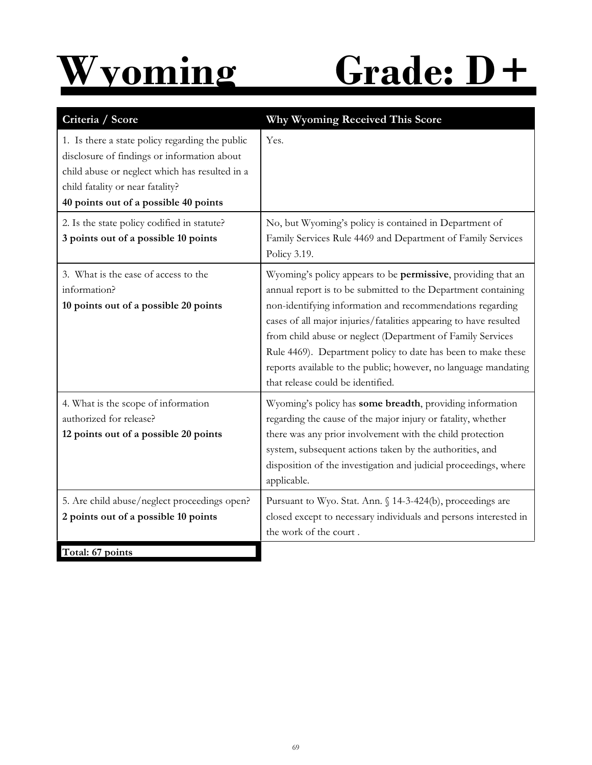

## **Wyoming Grade: D+**

| 1. Is there a state policy regarding the public<br>disclosure of findings or information about                              | Yes.                                                                                                                                                                                                                                                                                                                                                                                                                                                                                                  |
|-----------------------------------------------------------------------------------------------------------------------------|-------------------------------------------------------------------------------------------------------------------------------------------------------------------------------------------------------------------------------------------------------------------------------------------------------------------------------------------------------------------------------------------------------------------------------------------------------------------------------------------------------|
| child abuse or neglect which has resulted in a<br>child fatality or near fatality?<br>40 points out of a possible 40 points |                                                                                                                                                                                                                                                                                                                                                                                                                                                                                                       |
| 2. Is the state policy codified in statute?<br>3 points out of a possible 10 points                                         | No, but Wyoming's policy is contained in Department of<br>Family Services Rule 4469 and Department of Family Services<br>Policy 3.19.                                                                                                                                                                                                                                                                                                                                                                 |
| 3. What is the ease of access to the<br>information?<br>10 points out of a possible 20 points                               | Wyoming's policy appears to be permissive, providing that an<br>annual report is to be submitted to the Department containing<br>non-identifying information and recommendations regarding<br>cases of all major injuries/fatalities appearing to have resulted<br>from child abuse or neglect (Department of Family Services<br>Rule 4469). Department policy to date has been to make these<br>reports available to the public; however, no language mandating<br>that release could be identified. |
| 4. What is the scope of information<br>authorized for release?<br>12 points out of a possible 20 points                     | Wyoming's policy has some breadth, providing information<br>regarding the cause of the major injury or fatality, whether<br>there was any prior involvement with the child protection<br>system, subsequent actions taken by the authorities, and<br>disposition of the investigation and judicial proceedings, where<br>applicable.                                                                                                                                                                  |
| 5. Are child abuse/neglect proceedings open?<br>2 points out of a possible 10 points<br>Total: 67 points                    | Pursuant to Wyo. Stat. Ann. § 14-3-424(b), proceedings are<br>closed except to necessary individuals and persons interested in<br>the work of the court.                                                                                                                                                                                                                                                                                                                                              |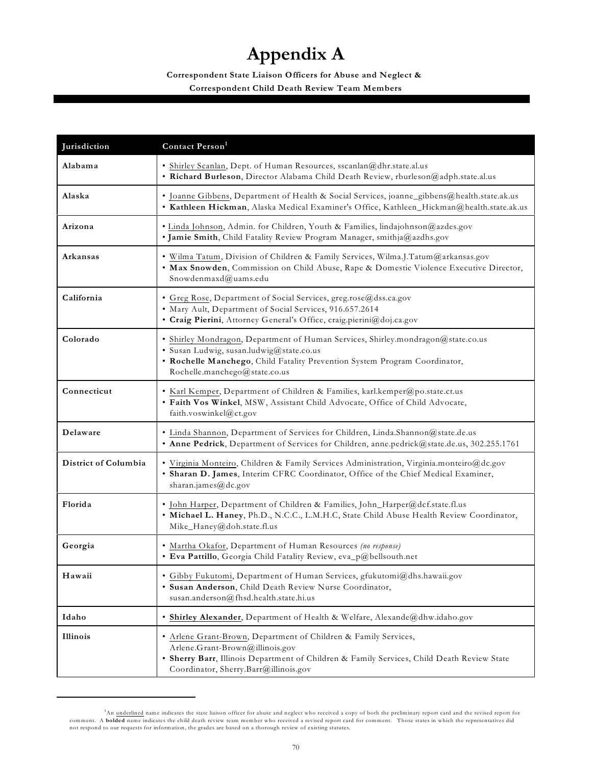### **Appendix A**

### **Correspondent State Liaison Officers for Abuse and Neglect & Correspondent Child Death Review Team Members**

| Jurisdiction         | Contact Person <sup>1</sup>                                                                                                                                                                                                                 |
|----------------------|---------------------------------------------------------------------------------------------------------------------------------------------------------------------------------------------------------------------------------------------|
| Alabama              | · Shirley Scanlan, Dept. of Human Resources, sscanlan@dhr.state.al.us<br>· Richard Burleson, Director Alabama Child Death Review, rburleson@adph.state.al.us                                                                                |
| Alaska               | · Joanne Gibbens, Department of Health & Social Services, joanne_gibbens@health.state.ak.us<br>· Kathleen Hickman, Alaska Medical Examiner's Office, Kathleen_Hickman@health.state.ak.us                                                    |
| Arizona              | · Linda Johnson, Admin. for Children, Youth & Families, lindajohnson@azdes.gov<br>· Jamie Smith, Child Fatality Review Program Manager, smithja@azdhs.gov                                                                                   |
| Arkansas             | • Wilma Tatum, Division of Children & Family Services, Wilma.J.Tatum@arkansas.gov<br>. Max Snowden, Commission on Child Abuse, Rape & Domestic Violence Executive Director,<br>Snowdenmaxd@uams.edu                                         |
| California           | · Greg Rose, Department of Social Services, greg.rose@dss.ca.gov<br>· Mary Ault, Department of Social Services, 916.657.2614<br>· Craig Pierini, Attorney General's Office, craig.pierini@doj.ca.gov                                        |
| Colorado             | · Shirley Mondragon, Department of Human Services, Shirley.mondragon@state.co.us<br>· Susan Ludwig, susan.ludwig@state.co.us<br>• Rochelle Manchego, Child Fatality Prevention System Program Coordinator,<br>Rochelle.manchego@state.co.us |
| Connecticut          | · Karl Kemper, Department of Children & Families, karl.kemper@po.state.ct.us<br>· Faith Vos Winkel, MSW, Assistant Child Advocate, Office of Child Advocate,<br>faith.voswinkel@ct.gov                                                      |
| Delaware             | · Linda Shannon, Department of Services for Children, Linda.Shannon@state.de.us<br>· Anne Pedrick, Department of Services for Children, anne.pedrick@state.de.us, 302.255.1761                                                              |
| District of Columbia | · Virginia Monteiro, Children & Family Services Administration, Virginia.monteiro@dc.gov<br>· Sharan D. James, Interim CFRC Coordinator, Office of the Chief Medical Examiner,<br>sharan.james@dc.gov                                       |
| Florida              | · John Harper, Department of Children & Families, John_Harper@dcf.state.fl.us<br>. Michael L. Haney, Ph.D., N.C.C., L.M.H.C, State Child Abuse Health Review Coordinator,<br>Mike_Haney@doh.state.fl.us                                     |
| Georgia              | • Martha Okafor, Department of Human Resources (no response)<br>· Eva Pattillo, Georgia Child Fatality Review, eva_p@bellsouth.net                                                                                                          |
| Hawaii               | · Gibby Fukutomi, Department of Human Services, gfukutomi@dhs.hawaii.gov<br>· Susan Anderson, Child Death Review Nurse Coordinator,<br>susan.anderson@fhsd.health.state.hi.us                                                               |
| Idaho                | • Shirley Alexander, Department of Health & Welfare, Alexande@dhw.idaho.gov                                                                                                                                                                 |
| Illinois             | • Arlene Grant-Brown, Department of Children & Family Services,<br>Arlene.Grant-Brown@illinois.gov<br>· Sherry Barr, Illinois Department of Children & Family Services, Child Death Review State<br>Coordinator, Sherry.Barr@illinois.gov   |

An underlined name indicates the state liaison officer for abuse and neglect who received a copy of both the preliminary report card and the revised report for 1 comment. A **bolded** name indicates the child death review team member who received a revised report card for comment. Those states in which the representatives did<br>not respond to our requests for information, the grades a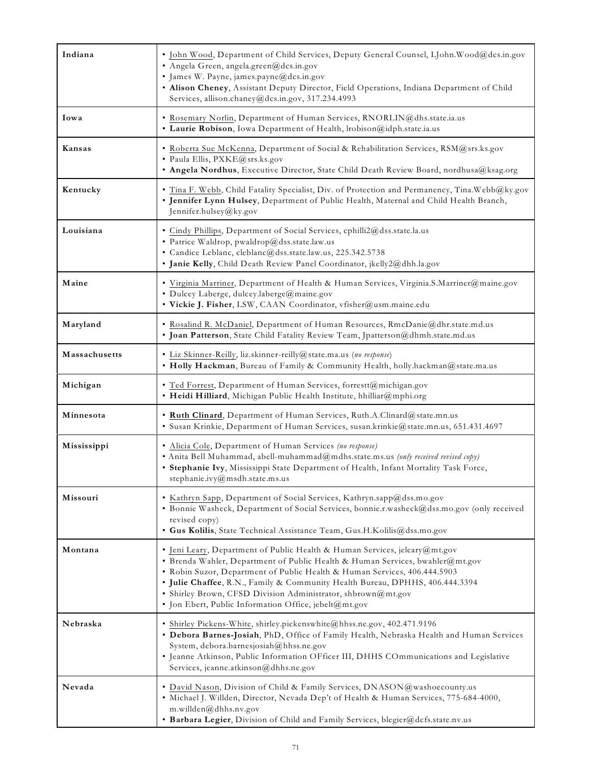| Indiana       | · John Wood, Department of Child Services, Deputy General Counsel, LJohn.Wood@dcs.in.gov<br>· Angela Green, angela.green@dcs.in.gov<br>· James W. Payne, james.payne@dcs.in.gov<br>. Alison Cheney, Assistant Deputy Director, Field Operations, Indiana Department of Child<br>Services, allison.chaney@dcs.in.gov, 317.234.4993                                                                                                                 |
|---------------|---------------------------------------------------------------------------------------------------------------------------------------------------------------------------------------------------------------------------------------------------------------------------------------------------------------------------------------------------------------------------------------------------------------------------------------------------|
| Iowa          | · Rosemary Norlin, Department of Human Services, RNORLIN@dhs.state.ia.us<br>· Laurie Robison, Iowa Department of Health, lrobison@idph.state.ia.us                                                                                                                                                                                                                                                                                                |
| Kansas        | · Roberta Sue McKenna, Department of Social & Rehabilitation Services, RSM@srs.ks.gov<br>· Paula Ellis, PXKE@srs.ks.gov<br>. Angela Nordhus, Executive Director, State Child Death Review Board, nordhusa@ksag.org                                                                                                                                                                                                                                |
| Kentucky      | · Tina F. Webb, Child Fatality Specialist, Div. of Protection and Permanency, Tina. Webb@ky.gov<br>. Jennifer Lynn Hulsey, Department of Public Health, Maternal and Child Health Branch,<br>Jennifer.hulsey@ky.gov                                                                                                                                                                                                                               |
| Louisiana     | · Cindy Phillips, Department of Social Services, cphilli2@dss.state.la.us<br>· Patrice Waldrop, pwaldrop@dss.state.law.us<br>· Candice Leblanc, cleblanc@dss.state.law.us, 225.342.5738<br>· Janie Kelly, Child Death Review Panel Coordinator, jkelly2@dhh.la.gov                                                                                                                                                                                |
| Maine         | · Virginia Marriner, Department of Health & Human Services, Virginia.S.Marriner@maine.gov<br>· Dulcey Laberge, dulcey.laberge@maine.gov<br>· Vickie J. Fisher, LSW, CAAN Coordinator, vfisher@usm.maine.edu                                                                                                                                                                                                                                       |
| Maryland      | · Rosalind R. McDaniel, Department of Human Resources, RmcDanie@dhr.state.md.us<br>· Joan Patterson, State Child Fatality Review Team, Jpatterson@dhmh.state.md.us                                                                                                                                                                                                                                                                                |
| Massachusetts | · Liz Skinner-Reilly, liz.skinner-reilly@state.ma.us (no response)<br>. Holly Hackman, Bureau of Family & Community Health, holly.hackman@state.ma.us                                                                                                                                                                                                                                                                                             |
| Michigan      | · Ted Forrest, Department of Human Services, forrestt@michigan.gov<br>· Heidi Hilliard, Michigan Public Health Institute, hhilliar@mphi.org                                                                                                                                                                                                                                                                                                       |
| Minnesota     | · Ruth Clinard, Department of Human Services, Ruth.A.Clinard@state.mn.us<br>· Susan Krinkie, Department of Human Services, susan.krinkie@state.mn.us, 651.431.4697                                                                                                                                                                                                                                                                                |
| Mississippi   | · Alicia Cole, Department of Human Services (no response)<br>• Anita Bell Muhammad, abell-muhammad@mdhs.state.ms.us (only received revised copy)<br>· Stephanie Ivy, Mississippi State Department of Health, Infant Mortality Task Force,<br>stephanie.ivy@msdh.state.ms.us                                                                                                                                                                       |
| Missouri      | Kathryn Sapp, Department of Social Services, Kathryn.sapp@dss.mo.gov<br>· Bonnie Washeck, Department of Social Services, bonnie.r.washeck@dss.mo.gov (only received<br>revised copy)<br>• Gus Kolilis, State Technical Assistance Team, Gus.H.Kolilis@dss.mo.gov                                                                                                                                                                                  |
| Montana       | · Jeni Leary, Department of Public Health & Human Services, jeleary@mt.gov<br>· Brenda Wahler, Department of Public Health & Human Services, bwahler@mt.gov<br>· Robin Suzor, Department of Public Health & Human Services, 406.444.5903<br>· Julie Chaffee, R.N., Family & Community Health Bureau, DPHHS, 406.444.3394<br>· Shirley Brown, CFSD Division Administrator, shbrown@mt.gov<br>· Jon Ebert, Public Information Office, jebelt@mt.gov |
| Nebraska      | · Shirley Pickens-White, shirley.pickenswhite@hhss.ne.gov, 402.471.9196<br>. Debora Barnes-Josiah, PhD, Office of Family Health, Nebraska Health and Human Services<br>System, debora.barnesjosiah@hhss.ne.gov<br>· Jeanne Atkinson, Public Information OFficer III, DHHS COmmunications and Legislative<br>Services, jeanne.atkinson@dhhs.ne.gov                                                                                                 |
| Nevada        | • David Nason, Division of Child & Family Services, DNASON@washoecounty.us<br>· Michael J. Willden, Director, Nevada Dep't of Health & Human Services, 775-684-4000,<br>m.willden@dhhs.nv.gov<br>· Barbara Legier, Division of Child and Family Services, blegier@dcfs.state.nv.us                                                                                                                                                                |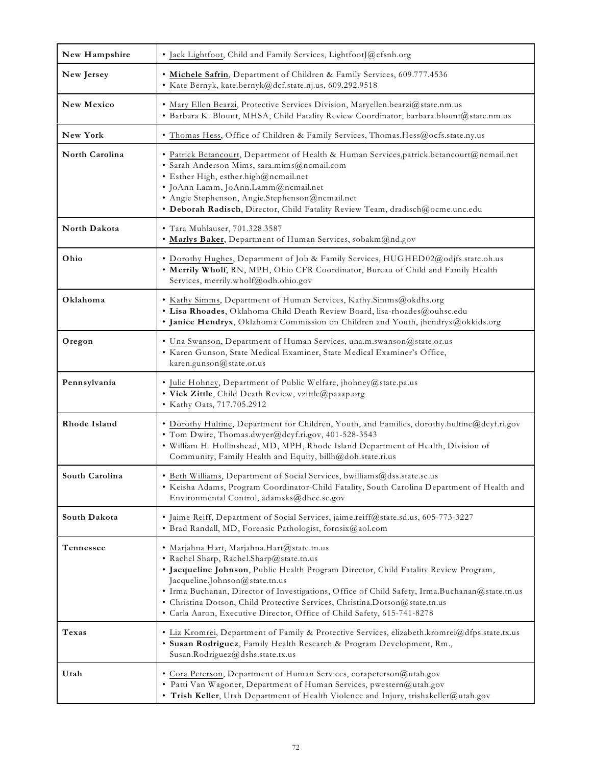| New Hampshire   | · Jack Lightfoot, Child and Family Services, LightfootJ@cfsnh.org                                                                                                                                                                                                                                                                                                                                                                                                            |
|-----------------|------------------------------------------------------------------------------------------------------------------------------------------------------------------------------------------------------------------------------------------------------------------------------------------------------------------------------------------------------------------------------------------------------------------------------------------------------------------------------|
| New Jersey      | · Michele Safrin, Department of Children & Family Services, 609.777.4536<br>· Kate Bernyk, kate.bernyk@dcf.state.nj.us, 609.292.9518                                                                                                                                                                                                                                                                                                                                         |
| New Mexico      | · Mary Ellen Bearzi, Protective Services Division, Maryellen.bearzi@state.nm.us<br>· Barbara K. Blount, MHSA, Child Fatality Review Coordinator, barbara.blount@state.nm.us                                                                                                                                                                                                                                                                                                  |
| <b>New York</b> | · Thomas Hess, Office of Children & Family Services, Thomas.Hess@ocfs.state.ny.us                                                                                                                                                                                                                                                                                                                                                                                            |
| North Carolina  | · Patrick Betancourt, Department of Health & Human Services, patrick.betancourt@ncmail.net<br>· Sarah Anderson Mims, sara.mims@ncmail.com<br>· Esther High, esther.high@ncmail.net<br>· JoAnn Lamm, JoAnn.Lamm@ncmail.net<br>· Angie Stephenson, Angie.Stephenson@ncmail.net<br>· Deborah Radisch, Director, Child Fatality Review Team, dradisch@ocme.unc.edu                                                                                                               |
| North Dakota    | · Tara Muhlauser, 701.328.3587<br>· Marlys Baker, Department of Human Services, sobakm@nd.gov                                                                                                                                                                                                                                                                                                                                                                                |
| Ohio            | · Dorothy Hughes, Department of Job & Family Services, HUGHED02@odjfs.state.oh.us<br>. Merrily Wholf, RN, MPH, Ohio CFR Coordinator, Bureau of Child and Family Health<br>Services, merrily.wholf@odh.ohio.gov                                                                                                                                                                                                                                                               |
| Oklahoma        | · Kathy Simms, Department of Human Services, Kathy.Simms@okdhs.org<br>· Lisa Rhoades, Oklahoma Child Death Review Board, lisa-rhoades@ouhsc.edu<br>· Janice Hendryx, Oklahoma Commission on Children and Youth, jhendryx@okkids.org                                                                                                                                                                                                                                          |
| Oregon          | · Una Swanson, Department of Human Services, una.m.swanson@state.or.us<br>· Karen Gunson, State Medical Examiner, State Medical Examiner's Office,<br>karen.gunson@state.or.us                                                                                                                                                                                                                                                                                               |
| Pennsylvania    | · Julie Hohney, Department of Public Welfare, jhohney@state.pa.us<br>· Vick Zittle, Child Death Review, vzittle@paaap.org<br>• Kathy Oats, 717.705.2912                                                                                                                                                                                                                                                                                                                      |
| Rhode Island    | · Dorothy Hultine, Department for Children, Youth, and Families, dorothy.hultine@dcyf.ri.gov<br>· Tom Dwire, Thomas.dwyer@dcyf.ri.gov, 401-528-3543<br>· William H. Hollinshead, MD, MPH, Rhode Island Department of Health, Division of<br>Community, Family Health and Equity, billh@doh.state.ri.us                                                                                                                                                                       |
| South Carolina  | Beth Williams, Department of Social Services, bwilliams@dss.state.sc.us<br>· Keisha Adams, Program Coordinator-Child Fatality, South Carolina Department of Health and<br>Environmental Control, adamsks@dhec.sc.gov                                                                                                                                                                                                                                                         |
| South Dakota    | · Jaime Reiff, Department of Social Services, jaime.reiff@state.sd.us, 605-773-3227<br>· Brad Randall, MD, Forensic Pathologist, fornsix@aol.com                                                                                                                                                                                                                                                                                                                             |
| Tennessee       | · Marjahna Hart, Marjahna.Hart@state.tn.us<br>· Rachel Sharp, Rachel.Sharp@state.tn.us<br>· Jacqueline Johnson, Public Health Program Director, Child Fatality Review Program,<br>Jacqueline.Johnson@state.tn.us<br>· Irma Buchanan, Director of Investigations, Office of Child Safety, Irma.Buchanan@state.tn.us<br>· Christina Dotson, Child Protective Services, Christina.Dotson@state.tn.us<br>· Carla Aaron, Executive Director, Office of Child Safety, 615-741-8278 |
| Texas           | · Liz Kromrei, Department of Family & Protective Services, elizabeth.kromrei@dfps.state.tx.us<br>· Susan Rodriguez, Family Health Research & Program Development, Rm.,<br>Susan.Rodriguez@dshs.state.tx.us                                                                                                                                                                                                                                                                   |
| Utah            | • Cora Peterson, Department of Human Services, corapeterson@utah.gov<br>· Patti Van Wagoner, Department of Human Services, pwestern@utah.gov<br>. Trish Keller, Utah Department of Health Violence and Injury, trishakeller@utah.gov                                                                                                                                                                                                                                         |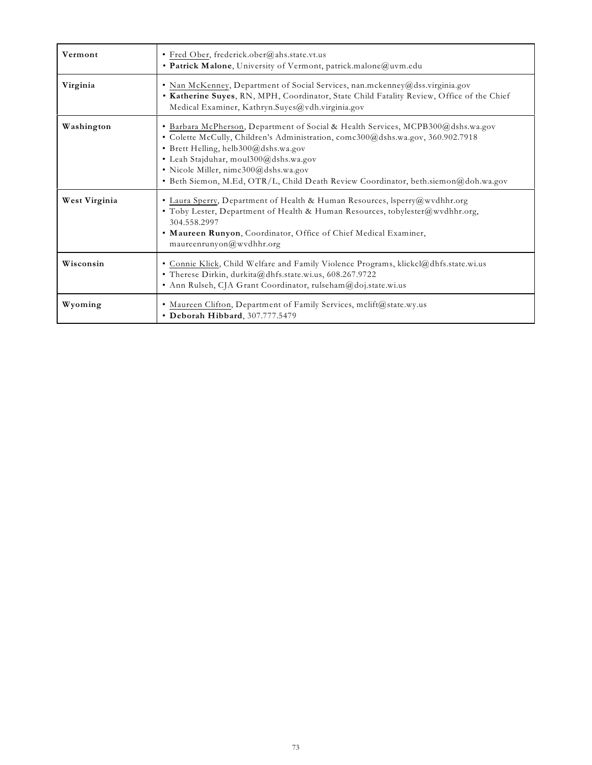| Vermont       | · Fred Ober, frederick.ober@ahs.state.vt.us<br>· Patrick Malone, University of Vermont, patrick.malone@uvm.edu                                                                                                                                                                                                                                                                     |
|---------------|------------------------------------------------------------------------------------------------------------------------------------------------------------------------------------------------------------------------------------------------------------------------------------------------------------------------------------------------------------------------------------|
| Virginia      | • Nan McKenney, Department of Social Services, nan.mckenney@dss.virginia.gov<br>. Katherine Suyes, RN, MPH, Coordinator, State Child Fatality Review, Office of the Chief<br>Medical Examiner, Kathryn.Suyes@vdh.virginia.gov                                                                                                                                                      |
| Washington    | · Barbara McPherson, Department of Social & Health Services, MCPB300@dshs.wa.gov<br>· Colette McCully, Children's Administration, comc300@dshs.wa.gov, 360.902.7918<br>· Brett Helling, helb300@dshs.wa.gov<br>· Leah Stajduhar, moul300@dshs.wa.gov<br>· Nicole Miller, nimc300@dshs.wa.gov<br>· Beth Siemon, M.Ed, OTR/L, Child Death Review Coordinator, beth.siemon@doh.wa.gov |
| West Virginia | • Laura Sperry, Department of Health & Human Resources, lsperry@wvdhhr.org<br>· Toby Lester, Department of Health & Human Resources, tobylester@wvdhhr.org,<br>304.558.2997<br>. Maureen Runyon, Coordinator, Office of Chief Medical Examiner,<br>maureenrunyon@wvdhhr.org                                                                                                        |
| Wisconsin     | • Connie Klick, Child Welfare and Family Violence Programs, klickcl@dhfs.state.wi.us<br>• Therese Dirkin, durkita@dhfs.state.wi.us, 608.267.9722<br>· Ann Rulseh, CJA Grant Coordinator, rulseham@doj.state.wi.us                                                                                                                                                                  |
| Wyoming       | · Maureen Clifton, Department of Family Services, mclift@state.wy.us<br>• Deborah Hibbard, 307.777.5479                                                                                                                                                                                                                                                                            |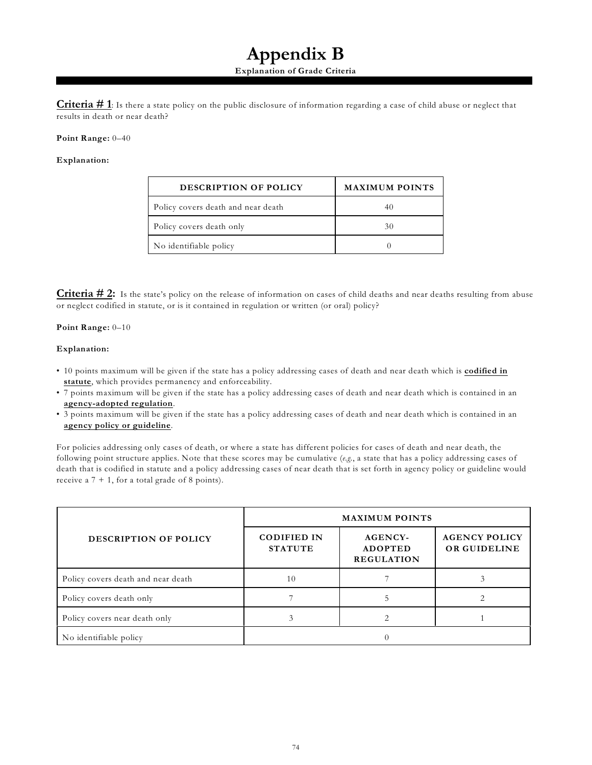### **Appendix B**

#### **Explanation of Grade Criteria**

**Criteria # 1**: Is there a state policy on the public disclosure of information regarding a case of child abuse or neglect that results in death or near death?

#### **Point Range:** 0–40

#### **Explanation:**

| <b>DESCRIPTION OF POLICY</b>       | <b>MAXIMUM POINTS</b> |
|------------------------------------|-----------------------|
| Policy covers death and near death |                       |
| Policy covers death only           | 30                    |
| No identifiable policy             |                       |

**Criteria # 2:** Is the state's policy on the release of information on cases of child deaths and near deaths resulting from abuse or neglect codified in statute, or is it contained in regulation or written (or oral) policy?

#### **Point Range:** 0–10

#### **Explanation:**

- 10 points maximum will be given if the state has a policy addressing cases of death and near death which is **codified in statute**, which provides permanency and enforceability.
- 7 points maximum will be given if the state has a policy addressing cases of death and near death which is contained in an **agency-adopted regulation**.
- 3 points maximum will be given if the state has a policy addressing cases of death and near death which is contained in an **agency policy or guideline**.

For policies addressing only cases of death, or where a state has different policies for cases of death and near death, the following point structure applies. Note that these scores may be cumulative (*e.g.*, a state that has a policy addressing cases of death that is codified in statute and a policy addressing cases of near death that is set forth in agency policy or guideline would receive a  $7 + 1$ , for a total grade of 8 points).

|                                    | <b>MAXIMUM POINTS</b>                |                                                       |                                      |  |  |  |
|------------------------------------|--------------------------------------|-------------------------------------------------------|--------------------------------------|--|--|--|
| DESCRIPTION OF POLICY              | <b>CODIFIED IN</b><br><b>STATUTE</b> | <b>AGENCY-</b><br><b>ADOPTED</b><br><b>REGULATION</b> | <b>AGENCY POLICY</b><br>OR GUIDELINE |  |  |  |
| Policy covers death and near death | 10                                   |                                                       |                                      |  |  |  |
| Policy covers death only           |                                      |                                                       |                                      |  |  |  |
| Policy covers near death only      |                                      |                                                       |                                      |  |  |  |
| No identifiable policy             |                                      |                                                       |                                      |  |  |  |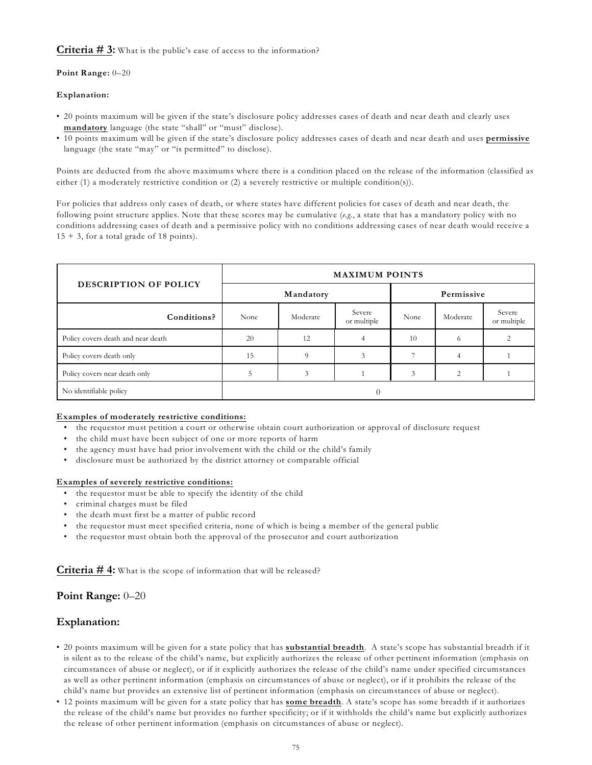#### **Criteria # 3:** What is the public's ease of access to the information?

#### **Point Range:** 0–20

#### **Explanation:**

- 20 points maximum will be given if the state's disclosure policy addresses cases of death and near death and clearly uses **mandatory** language (the state "shall" or "must" disclose).
- 10 points maximum will be given if the state's disclosure policy addresses cases of death and near death and uses **permissive** language (the state "may" or "is permitted" to disclose).

Points are deducted from the above maximums where there is a condition placed on the release of the information (classified as either (1) a moderately restrictive condition or (2) a severely restrictive or multiple condition(s)).

For policies that address only cases of death, or where states have different policies for cases of death and near death, the following point structure applies. Note that these scores may be cumulative (*e.g.*, a state that has a mandatory policy with no conditions addressing cases of death and a permissive policy with no conditions addressing cases of near death would receive a  $15 + 3$ , for a total grade of 18 points).

|                                    | <b>MAXIMUM POINTS</b> |           |                       |                  |                          |                       |  |
|------------------------------------|-----------------------|-----------|-----------------------|------------------|--------------------------|-----------------------|--|
| DESCRIPTION OF POLICY              |                       | Mandatory | Permissive            |                  |                          |                       |  |
| Conditions?                        | Moderate<br>None      |           | Severe<br>or multiple | Moderate<br>None |                          | Severe<br>or multiple |  |
| Policy covers death and near death | 20                    | 12        |                       | 10               | $^{(1)}$                 |                       |  |
| Policy covers death only           | 15                    |           |                       |                  | 4                        |                       |  |
| Policy covers near death only      | C                     |           |                       | 3                | $\mathfrak{D}_{1}^{(1)}$ |                       |  |
| No identifiable policy             |                       |           |                       |                  |                          |                       |  |

#### **Examples of moderately restrictive conditions:**

- the requestor must petition a court or otherwise obtain court authorization or approval of disclosure request
- the child must have been subject of one or more reports of harm
- the agency must have had prior involvement with the child or the child's family
- disclosure must be authorized by the district attorney or comparable official

#### **Examples of severely restrictive conditions:**

- the requestor must be able to specify the identity of the child
- criminal charges must be filed
- the death must first be a matter of public record
- the requestor must meet specified criteria, none of which is being a member of the general public
- the requestor must obtain both the approval of the prosecutor and court authorization

**Criteria # 4:** What is the scope of information that will be released?

#### **Point Range:** 0–20

#### **Explanation:**

- 20 points maximum will be given for a state policy that has **substantial breadth**. A state's scope has substantial breadth if it is silent as to the release of the child's name, but explicitly authorizes the release of other pertinent information (emphasis on circumstances of abuse or neglect), or if it explicitly authorizes the release of the child's name under specified circumstances as well as other pertinent information (emphasis on circumstances of abuse or neglect), or if it prohibits the release of the child's name but provides an extensive list of pertinent information (emphasis on circumstances of abuse or neglect).
- 12 points maximum will be given for a state policy that has **some breadth**. A state's scope has some breadth if it authorizes the release of the child's name but provides no further specificity; or if it withholds the child's name but explicitly authorizes the release of other pertinent information (emphasis on circumstances of abuse or neglect).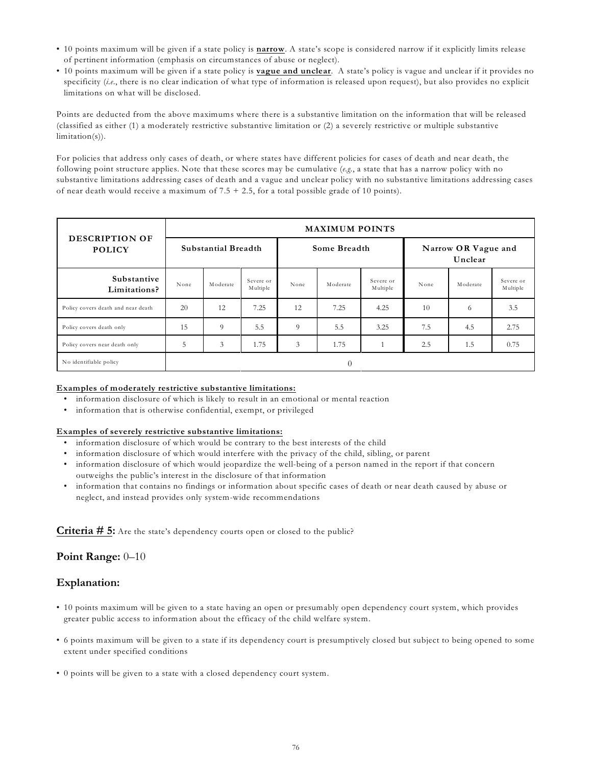- 10 points maximum will be given if a state policy is **narrow**. A state's scope is considered narrow if it explicitly limits release of pertinent information (emphasis on circumstances of abuse or neglect).
- 10 points maximum will be given if a state policy is **vague and unclear**. A state's policy is vague and unclear if it provides no specificity (*i.e*., there is no clear indication of what type of information is released upon request), but also provides no explicit limitations on what will be disclosed.

Points are deducted from the above maximums where there is a substantive limitation on the information that will be released (classified as either (1) a moderately restrictive substantive limitation or (2) a severely restrictive or multiple substantive limitation(s)).

For policies that address only cases of death, or where states have different policies for cases of death and near death, the following point structure applies. Note that these scores may be cumulative (*e.g.*, a state that has a narrow policy with no substantive limitations addressing cases of death and a vague and unclear policy with no substantive limitations addressing cases of near death would receive a maximum of 7.5 + 2.5, for a total possible grade of 10 points).

| <b>DESCRIPTION OF</b><br><b>POLICY</b> | <b>MAXIMUM POINTS</b> |          |                       |      |          |                                |      |          |                       |
|----------------------------------------|-----------------------|----------|-----------------------|------|----------|--------------------------------|------|----------|-----------------------|
|                                        | Substantial Breadth   |          | Some Breadth          |      |          | Narrow OR Vague and<br>Unclear |      |          |                       |
| Substantive<br>Limitations?            | None                  | Moderate | Severe or<br>Multiple | None | Moderate | Severe or<br>Multiple          | None | Moderate | Severe or<br>Multiple |
| Policy covers death and near death     | 20                    | 12       | 7.25                  | 12   | 7.25     | 4.25                           | 10   | 6        | 3.5                   |
| Policy covers death only               | 15                    | 9        | 5.5                   | 9    | 5.5      | 3.25                           | 7.5  | 4.5      | 2.75                  |
| Policy covers near death only          | 5                     | 3        | 1.75                  | 3    | 1.75     |                                | 2.5  | 1.5      | 0.75                  |
| No identifiable policy                 |                       |          |                       |      | $\theta$ |                                |      |          |                       |

#### **Examples of moderately restrictive substantive limitations:**

- information disclosure of which is likely to result in an emotional or mental reaction
- information that is otherwise confidential, exempt, or privileged

#### **Examples of severely restrictive substantive limitations:**

- information disclosure of which would be contrary to the best interests of the child
- information disclosure of which would interfere with the privacy of the child, sibling, or parent
- information disclosure of which would jeopardize the well-being of a person named in the report if that concern outweighs the public's interest in the disclosure of that information
- information that contains no findings or information about specific cases of death or near death caused by abuse or neglect, and instead provides only system-wide recommendations

**Criteria # 5:** Are the state's dependency courts open or closed to the public?

#### **Point Range:** 0–10

### **Explanation:**

- 10 points maximum will be given to a state having an open or presumably open dependency court system, which provides greater public access to information about the efficacy of the child welfare system.
- 6 points maximum will be given to a state if its dependency court is presumptively closed but subject to being opened to some extent under specified conditions
- 0 points will be given to a state with a closed dependency court system.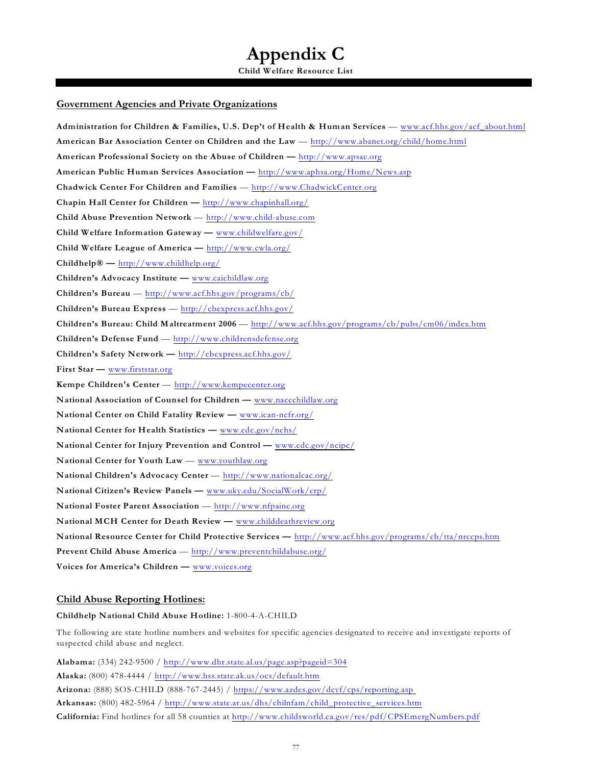### **Appendix C**

**Child Welfare Resource List**

#### **Government Agencies and Private Organizations**

**Administration for Children & Families, U.S. Dep't of Health & Human Services** — [www.acf.hhs.gov/acf\\_about.html](http://www.acf.hhs.gov/acf_about.html) **American Bar Association Center on Children and the Law** —<http://www.abanet.org/child/home.html> **American Professional Society on the Abuse of Children —** <http://www.apsac.org> **American Public Human Services Association —** <http://www.aphsa.org/Home/News.asp> **Chadwick Center For Children and Families** —<http://www.ChadwickCenter.org> **Chapin Hall Center for Children —** <http://www.chapinhall.org/> **Child Abuse Prevention Network** —<http://www.child-abuse.com> **Child Welfare Information Gateway —** [www.childwelfare.gov/](http://www.childwelfare.gov/) **Child Welfare League of America —** <http://www.cwla.org/> **Childhelp® —** <http://www.childhelp.org/> **Children's Advocacy Institute —** [www.caichildlaw.org](http://www.caichildlaw.org) **Children's Bureau** — <http://www.acf.hhs.gov/programs/cb/> **Children's Bureau Express** —<http://cbexpress.acf.hhs.gov/> **Children's Bureau: Child Maltreatment 2006** —<http://www.acf.hhs.gov/programs/cb/pubs/cm06/index.htm> **Children's Defense Fund** —<http://www.childrensdefense.org> **Children's Safety Network —** <http://cbexpress.acf.hhs.gov/> **First Star —** [www.firststar.org](http://www.firststar.org) **Kempe Children's Center** —<http://www.kempecenter.org> **National Association of Counsel for Children —** [www.naccchildlaw.org](http://www.naccchildlaw.org) **National Center on Child Fatality Review —** [www.ican-ncfr.org/](http://www.ican-ncfr.org/) **National Center for Health Statistics —** [www.cdc.gov/nchs/](http://www.cdc.gov/nchs/) **National Center for Injury Prevention and Control —** [www.cdc.gov/ncipc/](http://www.cdc.gov/ncipc/) **National Center for Youth Law** — [www.youthlaw.org](http://www.youthlaw.org) **National Children's Advocacy Center** —<http://www.nationalcac.org/> **National Citizen's Review Panels —** [www.uky.edu/SocialWork/crp/](http://www.uky.edu/SocialWork/crp/) **National Foster Parent Association** —<http://www.nfpainc.org> **National MCH Center for Death Review —** [www.childdeathreview.org](http://www.childdeathreview.org) **National Resource Center for Child Protective Services —** <http://www.acf.hhs.gov/programs/cb/tta/nrccps.htm> **Prevent Child Abuse America** — <http://www.preventchildabuse.org/> **Voices for America's Children —** [www.voices.org](http://www.voices.org)

#### **Child Abuse Reporting Hotlines:**

#### **Childhelp National Child Abuse Hotline:** 1-800-4-A-CHILD

The following are state hotline numbers and websites for specific agencies designated to receive and investigate reports of suspected child abuse and neglect.

**Alabama:** (334) 242-9500 /<http://www.dhr.state.al.us/page.asp?pageid=304> **Alaska:** (800) 478-4444 / <http://www.hss.state.ak.us/ocs/default.htm> **Arizona:** (888) SOS-CHILD (888-767-2445) /<https://www.azdes.gov/dcyf/cps/reporting.asp> **Arkansas:** (800) 482-5964 / [http://www.state.ar.us/dhs/chilnfam/child\\_protective\\_services.htm](http://www.state.ar.us/dhs/chilnfam/child_protective_services.htm) **California:** Find hotlines for all 58 counties at <http://www.childsworld.ca.gov/res/pdf/CPSEmergNumbers.pdf>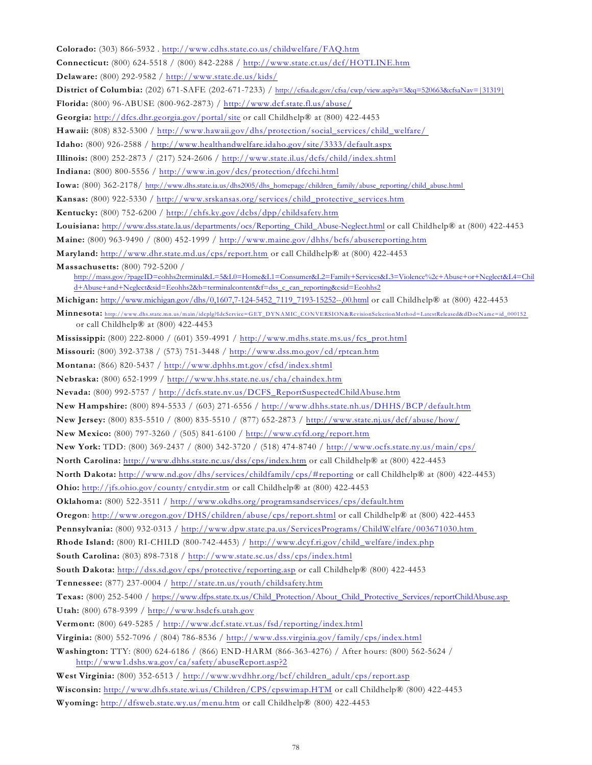| Colorado: (303) 866-5932. http://www.cdhs.state.co.us/childwelfare/FAQ.htm                                                                                                                         |
|----------------------------------------------------------------------------------------------------------------------------------------------------------------------------------------------------|
| Connecticut: (800) 624-5518 / (800) 842-2288 / http://www.state.ct.us/dcf/HOTLINE.htm                                                                                                              |
| Delaware: (800) 292-9582 / http://www.state.de.us/kids/                                                                                                                                            |
| <b>District of Columbia:</b> (202) 671-SAFE (202-671-7233) / http://cfsa.dc.gov/cfsa/cwp/view.asp?a=3&q=520663&cfsaNav=[31319]                                                                     |
| Florida: (800) 96-ABUSE (800-962-2873) / http://www.dcf.state.fl.us/abuse/                                                                                                                         |
| Georgia: http://dfcs.dhr.georgia.gov/portal/site or call Childhelp® at (800) 422-4453                                                                                                              |
| Hawaii: (808) 832-5300 / http://www.hawaii.gov/dhs/protection/social_services/child_welfare/                                                                                                       |
| Idaho: (800) 926-2588 / http://www.healthandwelfare.idaho.gov/site/3333/default.aspx                                                                                                               |
| Illinois: (800) 252-2873 / (217) 524-2606 / http://www.state.il.us/dcfs/child/index.shtml                                                                                                          |
| Indiana: (800) 800-5556 / http://www.in.gov/dcs/protection/dfcchi.html                                                                                                                             |
| Iowa: (800) 362-2178/ http://www.dhs.state.ia.us/dhs2005/dhs_homepage/children_family/abuse_reporting/child_abuse.html                                                                             |
| Kansas: (800) 922-5330 / http://www.srskansas.org/services/child_protective_services.htm                                                                                                           |
| Kentucky: (800) 752-6200 / http://chfs.ky.gov/dcbs/dpp/childsafety.htm                                                                                                                             |
| Louisiana: http://www.dss.state.la.us/departments/ocs/Reporting_Child_Abuse-Neglect.html or call Childhelp® at (800) 422-4453                                                                      |
| Maine: (800) 963-9490 / (800) 452-1999 / http://www.maine.gov/dhhs/bcfs/abusereporting.htm                                                                                                         |
| Maryland: http://www.dhr.state.md.us/cps/report.htm or call Childhelp® at (800) 422-4453                                                                                                           |
| Massachusetts: (800) 792-5200 /                                                                                                                                                                    |
| http://mass.gov/?pageID=eohhs2terminal&L=5&L0=Home&L1=Consumer&L2=Family+Services&L3=Violence%2c+Abuse+or+Neglect&L4=Chil                                                                          |
| d+Abuse+and+Neglect&sid=Eeohhs2&b=terminalcontent&f=dss_c_can_reporting&csid=Eeohhs2                                                                                                               |
| Michigan: http://www.michigan.gov/dhs/0,1607,7-124-5452_7119_7193-15252--,00.html or call Childhelp® at (800) 422-4453                                                                             |
| Minnesota: http://www.dhs.state.mn.us/main/idcplg?IdcService=GET_DYNAMIC_CONVERSION&RevisionSelectionMethod=LatestReleased&dDocName=id_000152<br>or call Childhelp $\Omega$ at (800) 422-4453      |
| Mississippi: (800) 222-8000 / (601) 359-4991 / http://www.mdhs.state.ms.us/fcs_prot.html                                                                                                           |
| Missouri: (800) 392-3738 / (573) 751-3448 / http://www.dss.mo.gov/cd/rptcan.htm                                                                                                                    |
| Montana: (866) 820-5437 / http://www.dphhs.mt.gov/cfsd/index.shtml                                                                                                                                 |
| Nebraska: (800) 652-1999 / http://www.hhs.state.ne.us/cha/chaindex.htm                                                                                                                             |
| Nevada: (800) 992-5757 / http://dcfs.state.nv.us/DCFS_ReportSuspectedChildAbuse.htm                                                                                                                |
| New Hampshire: (800) 894-5533 / (603) 271-6556 / http://www.dhhs.state.nh.us/DHHS/BCP/default.htm                                                                                                  |
| New Jersey: (800) 835-5510 / (800) 835-5510 / (877) 652-2873 / http://www.state.nj.us/dcf/abuse/how/                                                                                               |
| New Mexico: (800) 797-3260 / (505) 841-6100 / http://www.cyfd.org/report.htm                                                                                                                       |
| New York: TDD: (800) 369-2437 / (800) 342-3720 / (518) 474-8740 / http://www.ocfs.state.ny.us/main/cps/                                                                                            |
| North Carolina: http://www.dhhs.state.nc.us/dss/cps/index.htm or call Childhelp® at (800) 422-4453                                                                                                 |
|                                                                                                                                                                                                    |
| North Dakota: http://www.nd.gov/dhs/services/childfamily/cps/#reporting or call Childhelp® at (800) 422-4453)<br>Ohio: http://jfs.ohio.gov/county/cntydir.stm or call Childhelp® at (800) 422-4453 |
| Oklahoma: (800) 522-3511 / http://www.okdhs.org/programsandservices/cps/default.htm                                                                                                                |
| Oregon: http://www.oregon.gov/DHS/children/abuse/cps/report.shtml or call Childhelp® at (800) 422-4453                                                                                             |
|                                                                                                                                                                                                    |
| Pennsylvania: (800) 932-0313 / http://www.dpw.state.pa.us/ServicesPrograms/ChildWelfare/003671030.htm                                                                                              |
| Rhode Island: (800) RI-CHILD (800-742-4453) / http://www.dcyf.ri.gov/child_welfare/index.php<br>South Carolina: (803) 898-7318 / http://www.state.sc.us/dss/cps/index.html                         |
|                                                                                                                                                                                                    |
| South Dakota: http://dss.sd.gov/cps/protective/reporting.asp or call Childhelp® (800) 422-4453                                                                                                     |
| Tennessee: (877) 237-0004 / http://state.tn.us/youth/childsafety.htm                                                                                                                               |
| Texas: (800) 252-5400 / https://www.dfps.state.tx.us/Child_Protection/About_Child_Protective_Services/reportChildAbuse.asp                                                                         |
| Utah: (800) 678-9399 / http://www.hsdcfs.utah.gov                                                                                                                                                  |
| Vermont: (800) 649-5285 / http://www.dcf.state.vt.us/fsd/reporting/index.html                                                                                                                      |
| Virginia: (800) 552-7096 / (804) 786-8536 / http://www.dss.virginia.gov/family/cps/index.html                                                                                                      |
| Washington: TTY: (800) 624-6186 / (866) END-HARM (866-363-4276) / After hours: (800) 562-5624 /<br>http://www1.dshs.wa.gov/ca/safety/abuseReport.asp?2                                             |
| West Virginia: (800) 352-6513 / http://www.wvdhhr.org/bcf/children_adult/cps/report.asp                                                                                                            |
| Wisconsin: http://www.dhfs.state.wi.us/Children/CPS/cpswimap.HTM or call Childhelp® (800) 422-4453                                                                                                 |
|                                                                                                                                                                                                    |

**Wyoming:** <http://dfsweb.state.wy.us/menu.htm> or call Childhelp® (800) 422-4453